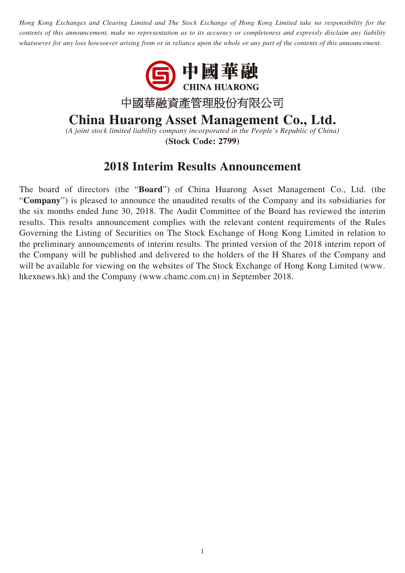*Hong Kong Exchanges and Clearing Limited and The Stock Exchange of Hong Kong Limited take no responsibility for the contents of this announcement, make no representation as to its accuracy or completeness and expressly disclaim any liability whatsoever for any loss howsoever arising from or in reliance upon the whole or any part of the contents of this announcement.*



# **China Huarong Asset Management Co., Ltd.**

*(A joint stock limited liability company incorporated in the People's Republic of China)* **(Stock Code: 2799)**

## **2018 Interim Results Announcement**

The board of directors (the "**Board**") of China Huarong Asset Management Co., Ltd. (the "**Company**") is pleased to announce the unaudited results of the Company and its subsidiaries for the six months ended June 30, 2018. The Audit Committee of the Board has reviewed the interim results. This results announcement complies with the relevant content requirements of the Rules Governing the Listing of Securities on The Stock Exchange of Hong Kong Limited in relation to the preliminary announcements of interim results. The printed version of the 2018 interim report of the Company will be published and delivered to the holders of the H Shares of the Company and will be available for viewing on the websites of The Stock Exchange of Hong Kong Limited (www. hkexnews.hk) and the Company (www.chamc.com.cn) in September 2018.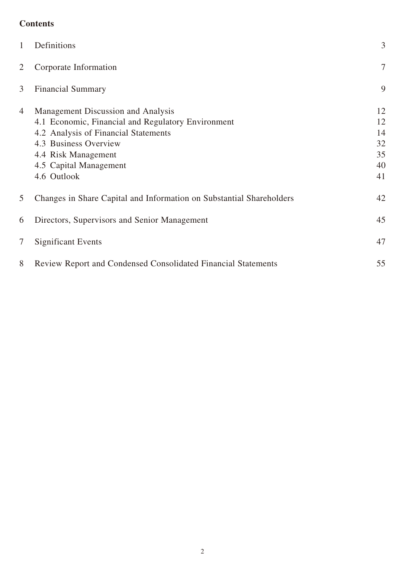## **Contents**

| $\mathbf{1}$   | Definitions                                                                                                                                                                                                               | 3                                      |
|----------------|---------------------------------------------------------------------------------------------------------------------------------------------------------------------------------------------------------------------------|----------------------------------------|
| 2              | Corporate Information                                                                                                                                                                                                     | 7                                      |
| 3              | <b>Financial Summary</b>                                                                                                                                                                                                  | 9                                      |
| $\overline{4}$ | Management Discussion and Analysis<br>4.1 Economic, Financial and Regulatory Environment<br>4.2 Analysis of Financial Statements<br>4.3 Business Overview<br>4.4 Risk Management<br>4.5 Capital Management<br>4.6 Outlook | 12<br>12<br>14<br>32<br>35<br>40<br>41 |
| 5              | Changes in Share Capital and Information on Substantial Shareholders                                                                                                                                                      | 42                                     |
| 6              | Directors, Supervisors and Senior Management                                                                                                                                                                              | 45                                     |
| 7              | <b>Significant Events</b>                                                                                                                                                                                                 | 47                                     |
| 8              | <b>Review Report and Condensed Consolidated Financial Statements</b>                                                                                                                                                      | 55                                     |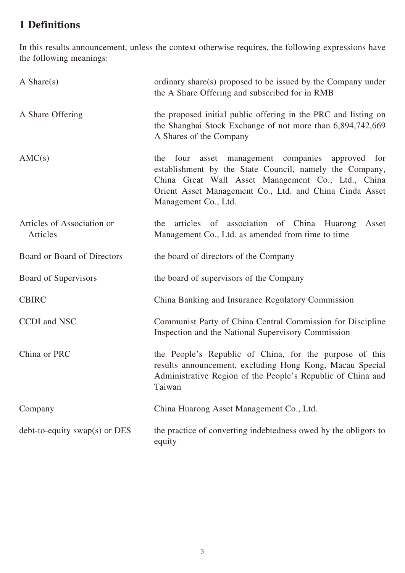## **1 Definitions**

In this results announcement, unless the context otherwise requires, the following expressions have the following meanings:

| A Share $(s)$                          | ordinary share(s) proposed to be issued by the Company under<br>the A Share Offering and subscribed for in RMB                                                                                                                                             |
|----------------------------------------|------------------------------------------------------------------------------------------------------------------------------------------------------------------------------------------------------------------------------------------------------------|
| A Share Offering                       | the proposed initial public offering in the PRC and listing on<br>the Shanghai Stock Exchange of not more than 6,894,742,669<br>A Shares of the Company                                                                                                    |
| AMC(s)                                 | asset management companies approved for<br>the<br>four<br>establishment by the State Council, namely the Company,<br>China Great Wall Asset Management Co., Ltd., China<br>Orient Asset Management Co., Ltd. and China Cinda Asset<br>Management Co., Ltd. |
| Articles of Association or<br>Articles | articles of association of China Huarong<br>the<br>Asset<br>Management Co., Ltd. as amended from time to time                                                                                                                                              |
| Board or Board of Directors            | the board of directors of the Company                                                                                                                                                                                                                      |
| Board of Supervisors                   | the board of supervisors of the Company                                                                                                                                                                                                                    |
| <b>CBIRC</b>                           | China Banking and Insurance Regulatory Commission                                                                                                                                                                                                          |
| CCDI and NSC                           | Communist Party of China Central Commission for Discipline<br>Inspection and the National Supervisory Commission                                                                                                                                           |
| China or PRC                           | the People's Republic of China, for the purpose of this<br>results announcement, excluding Hong Kong, Macau Special<br>Administrative Region of the People's Republic of China and<br>Taiwan                                                               |
| Company                                | China Huarong Asset Management Co., Ltd.                                                                                                                                                                                                                   |
| $debt-to-equity swap(s)$ or DES        | the practice of converting indebtedness owed by the obligors to<br>equity                                                                                                                                                                                  |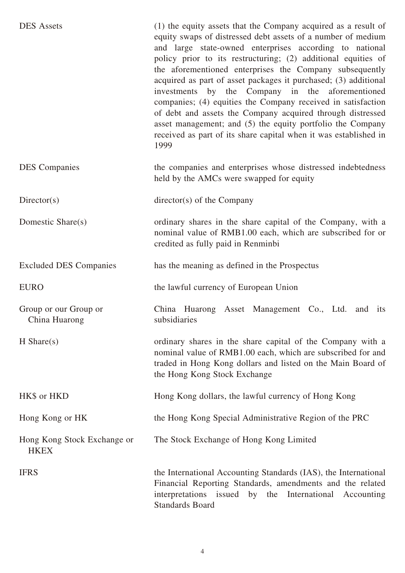| <b>DES</b> Assets                          | (1) the equity assets that the Company acquired as a result of<br>equity swaps of distressed debt assets of a number of medium<br>and large state-owned enterprises according to national<br>policy prior to its restructuring; (2) additional equities of<br>the aforementioned enterprises the Company subsequently<br>acquired as part of asset packages it purchased; (3) additional<br>investments by the Company in the aforementioned<br>companies; (4) equities the Company received in satisfaction<br>of debt and assets the Company acquired through distressed<br>asset management; and (5) the equity portfolio the Company<br>received as part of its share capital when it was established in<br>1999 |
|--------------------------------------------|----------------------------------------------------------------------------------------------------------------------------------------------------------------------------------------------------------------------------------------------------------------------------------------------------------------------------------------------------------------------------------------------------------------------------------------------------------------------------------------------------------------------------------------------------------------------------------------------------------------------------------------------------------------------------------------------------------------------|
| <b>DES</b> Companies                       | the companies and enterprises whose distressed indebtedness<br>held by the AMCs were swapped for equity                                                                                                                                                                                                                                                                                                                                                                                                                                                                                                                                                                                                              |
| Directory(s)                               | $\text{directory}(s)$ of the Company                                                                                                                                                                                                                                                                                                                                                                                                                                                                                                                                                                                                                                                                                 |
| Domestic Share(s)                          | ordinary shares in the share capital of the Company, with a<br>nominal value of RMB1.00 each, which are subscribed for or<br>credited as fully paid in Renminbi                                                                                                                                                                                                                                                                                                                                                                                                                                                                                                                                                      |
| <b>Excluded DES Companies</b>              | has the meaning as defined in the Prospectus                                                                                                                                                                                                                                                                                                                                                                                                                                                                                                                                                                                                                                                                         |
| <b>EURO</b>                                | the lawful currency of European Union                                                                                                                                                                                                                                                                                                                                                                                                                                                                                                                                                                                                                                                                                |
| Group or our Group or<br>China Huarong     | China Huarong Asset Management Co., Ltd. and<br>its<br>subsidiaries                                                                                                                                                                                                                                                                                                                                                                                                                                                                                                                                                                                                                                                  |
| $H$ Share(s)                               | ordinary shares in the share capital of the Company with a<br>nominal value of RMB1.00 each, which are subscribed for and<br>traded in Hong Kong dollars and listed on the Main Board of<br>the Hong Kong Stock Exchange                                                                                                                                                                                                                                                                                                                                                                                                                                                                                             |
| HK\$ or HKD                                | Hong Kong dollars, the lawful currency of Hong Kong                                                                                                                                                                                                                                                                                                                                                                                                                                                                                                                                                                                                                                                                  |
| Hong Kong or HK                            | the Hong Kong Special Administrative Region of the PRC                                                                                                                                                                                                                                                                                                                                                                                                                                                                                                                                                                                                                                                               |
| Hong Kong Stock Exchange or<br><b>HKEX</b> | The Stock Exchange of Hong Kong Limited                                                                                                                                                                                                                                                                                                                                                                                                                                                                                                                                                                                                                                                                              |
| <b>IFRS</b>                                | the International Accounting Standards (IAS), the International<br>Financial Reporting Standards, amendments and the related<br>interpretations issued by the International Accounting<br><b>Standards Board</b>                                                                                                                                                                                                                                                                                                                                                                                                                                                                                                     |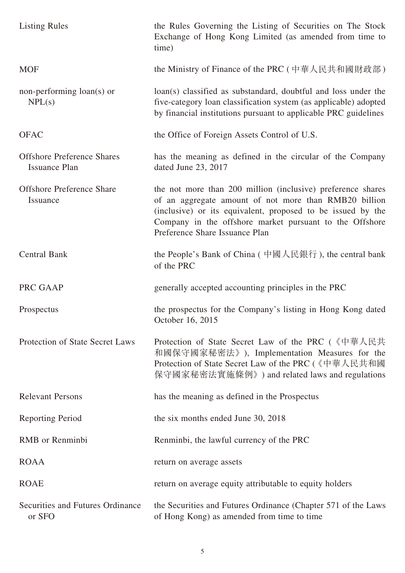| <b>Listing Rules</b>                                      | the Rules Governing the Listing of Securities on The Stock<br>Exchange of Hong Kong Limited (as amended from time to<br>time)                                                                                                                                                    |
|-----------------------------------------------------------|----------------------------------------------------------------------------------------------------------------------------------------------------------------------------------------------------------------------------------------------------------------------------------|
| <b>MOF</b>                                                | the Ministry of Finance of the PRC (中華人民共和國財政部)                                                                                                                                                                                                                                  |
| non-performing loan(s) or<br>NPL(s)                       | loan(s) classified as substandard, doubtful and loss under the<br>five-category loan classification system (as applicable) adopted<br>by financial institutions pursuant to applicable PRC guidelines                                                                            |
| <b>OFAC</b>                                               | the Office of Foreign Assets Control of U.S.                                                                                                                                                                                                                                     |
| <b>Offshore Preference Shares</b><br><b>Issuance Plan</b> | has the meaning as defined in the circular of the Company<br>dated June 23, 2017                                                                                                                                                                                                 |
| <b>Offshore Preference Share</b><br>Issuance              | the not more than 200 million (inclusive) preference shares<br>of an aggregate amount of not more than RMB20 billion<br>(inclusive) or its equivalent, proposed to be issued by the<br>Company in the offshore market pursuant to the Offshore<br>Preference Share Issuance Plan |
| <b>Central Bank</b>                                       | the People's Bank of China (中國人民銀行), the central bank<br>of the PRC                                                                                                                                                                                                              |
| PRC GAAP                                                  | generally accepted accounting principles in the PRC                                                                                                                                                                                                                              |
| Prospectus                                                | the prospectus for the Company's listing in Hong Kong dated<br>October 16, 2015                                                                                                                                                                                                  |
| Protection of State Secret Laws                           | Protection of State Secret Law of the PRC (《中華人民共<br>和國保守國家秘密法》), Implementation Measures for the<br>Protection of State Secret Law of the PRC (《中華人民共和國<br>保守國家秘密法實施條例》) and related laws and regulations                                                                       |
| <b>Relevant Persons</b>                                   | has the meaning as defined in the Prospectus                                                                                                                                                                                                                                     |
| <b>Reporting Period</b>                                   | the six months ended June 30, 2018                                                                                                                                                                                                                                               |
| <b>RMB</b> or Renminbi                                    | Renminbi, the lawful currency of the PRC                                                                                                                                                                                                                                         |
| <b>ROAA</b>                                               | return on average assets                                                                                                                                                                                                                                                         |
| <b>ROAE</b>                                               | return on average equity attributable to equity holders                                                                                                                                                                                                                          |
| Securities and Futures Ordinance<br>or SFO                | the Securities and Futures Ordinance (Chapter 571 of the Laws<br>of Hong Kong) as amended from time to time                                                                                                                                                                      |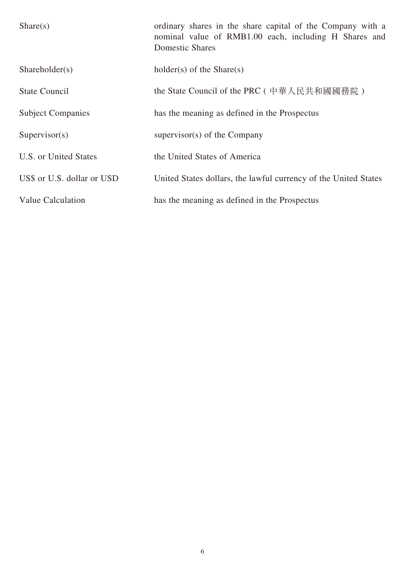| Share(s)                   | ordinary shares in the share capital of the Company with a<br>nominal value of RMB1.00 each, including H Shares and<br><b>Domestic Shares</b> |
|----------------------------|-----------------------------------------------------------------------------------------------------------------------------------------------|
| Shareholder(s)             | $holder(s)$ of the Share $(s)$                                                                                                                |
| <b>State Council</b>       | the State Council of the PRC ( 中華人民共和國國務院 )                                                                                                   |
| <b>Subject Companies</b>   | has the meaning as defined in the Prospectus                                                                                                  |
| Supervisor(s)              | supervisor(s) of the Company                                                                                                                  |
| U.S. or United States      | the United States of America                                                                                                                  |
| US\$ or U.S. dollar or USD | United States dollars, the lawful currency of the United States                                                                               |
| Value Calculation          | has the meaning as defined in the Prospectus                                                                                                  |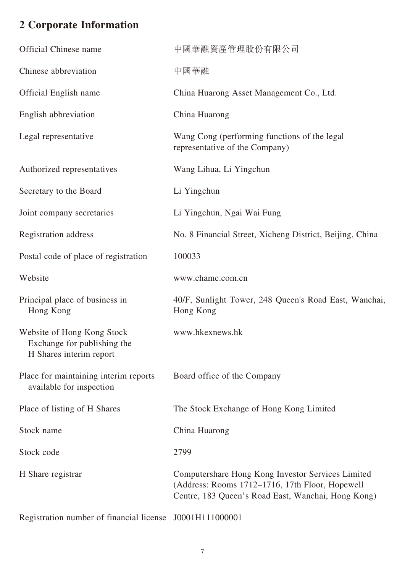# **2 Corporate Information**

| <b>Official Chinese name</b>                                                         | 中國華融資產管理股份有限公司                                                                                                                                             |
|--------------------------------------------------------------------------------------|------------------------------------------------------------------------------------------------------------------------------------------------------------|
| Chinese abbreviation                                                                 | 中國華融                                                                                                                                                       |
| <b>Official English name</b>                                                         | China Huarong Asset Management Co., Ltd.                                                                                                                   |
| English abbreviation                                                                 | China Huarong                                                                                                                                              |
| Legal representative                                                                 | Wang Cong (performing functions of the legal)<br>representative of the Company)                                                                            |
| Authorized representatives                                                           | Wang Lihua, Li Yingchun                                                                                                                                    |
| Secretary to the Board                                                               | Li Yingchun                                                                                                                                                |
| Joint company secretaries                                                            | Li Yingchun, Ngai Wai Fung                                                                                                                                 |
| Registration address                                                                 | No. 8 Financial Street, Xicheng District, Beijing, China                                                                                                   |
| Postal code of place of registration                                                 | 100033                                                                                                                                                     |
| Website                                                                              | www.chamc.com.cn                                                                                                                                           |
| Principal place of business in<br>Hong Kong                                          | 40/F, Sunlight Tower, 248 Queen's Road East, Wanchai,<br>Hong Kong                                                                                         |
| Website of Hong Kong Stock<br>Exchange for publishing the<br>H Shares interim report | www.hkexnews.hk                                                                                                                                            |
| Place for maintaining interim reports<br>available for inspection                    | Board office of the Company                                                                                                                                |
| Place of listing of H Shares                                                         | The Stock Exchange of Hong Kong Limited                                                                                                                    |
| Stock name                                                                           | China Huarong                                                                                                                                              |
| Stock code                                                                           | 2799                                                                                                                                                       |
| H Share registrar                                                                    | Computershare Hong Kong Investor Services Limited<br>(Address: Rooms 1712-1716, 17th Floor, Hopewell<br>Centre, 183 Queen's Road East, Wanchai, Hong Kong) |

Registration number of financial license J0001H111000001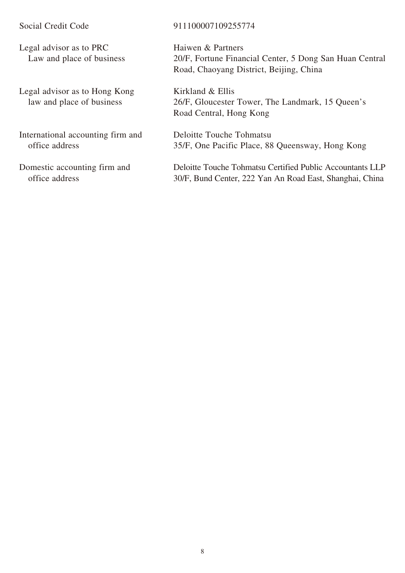Legal advisor as to PRC Law and place of business

Legal advisor as to Hong Kong law and place of business

International accounting firm and office address

Domestic accounting firm and office address

#### Social Credit Code 911100007109255774

Haiwen & Partners 20/F, Fortune Financial Center, 5 Dong San Huan Central Road, Chaoyang District, Beijing, China

Kirkland & Ellis 26/F, Gloucester Tower, The Landmark, 15 Queen's Road Central, Hong Kong

Deloitte Touche Tohmatsu 35/F, One Pacific Place, 88 Queensway, Hong Kong

Deloitte Touche Tohmatsu Certified Public Accountants LLP 30/F, Bund Center, 222 Yan An Road East, Shanghai, China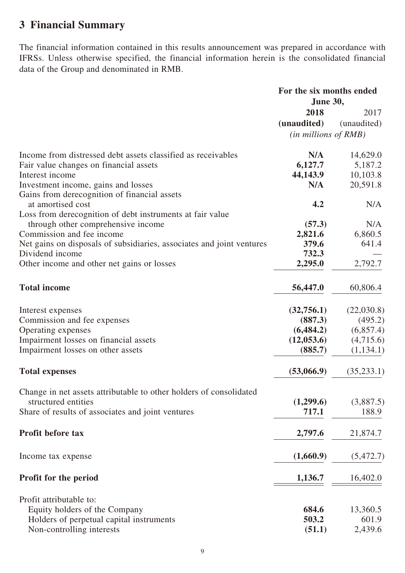## **3 Financial Summary**

The financial information contained in this results announcement was prepared in accordance with IFRSs. Unless otherwise specified, the financial information herein is the consolidated financial data of the Group and denominated in RMB.

|                                                                       | For the six months ended<br>June 30, |             |
|-----------------------------------------------------------------------|--------------------------------------|-------------|
|                                                                       |                                      |             |
|                                                                       | 2018                                 | 2017        |
|                                                                       | (unaudited)                          | (unaudited) |
|                                                                       | $(in$ millions of $RMB)$             |             |
|                                                                       |                                      |             |
| Income from distressed debt assets classified as receivables          | N/A                                  | 14,629.0    |
| Fair value changes on financial assets                                | 6,127.7                              | 5,187.2     |
| Interest income                                                       | 44,143.9                             | 10,103.8    |
| Investment income, gains and losses                                   | N/A                                  | 20,591.8    |
| Gains from derecognition of financial assets                          |                                      |             |
| at amortised cost                                                     | 4.2                                  | N/A         |
| Loss from derecognition of debt instruments at fair value             |                                      |             |
| through other comprehensive income                                    | (57.3)                               | N/A         |
| Commission and fee income                                             | 2,821.6                              | 6,860.5     |
| Net gains on disposals of subsidiaries, associates and joint ventures | 379.6                                | 641.4       |
| Dividend income                                                       | 732.3                                |             |
| Other income and other net gains or losses                            | 2,295.0                              | 2,792.7     |
| <b>Total income</b>                                                   | 56,447.0                             | 60,806.4    |
| Interest expenses                                                     | (32,756.1)                           | (22,030.8)  |
|                                                                       | (887.3)                              | (495.2)     |
| Commission and fee expenses                                           | (6, 484.2)                           |             |
| Operating expenses                                                    |                                      | (6,857.4)   |
| Impairment losses on financial assets                                 | (12, 053.6)                          | (4,715.6)   |
| Impairment losses on other assets                                     | (885.7)                              | (1,134.1)   |
| <b>Total expenses</b>                                                 | (53,066.9)                           | (35, 233.1) |
| Change in net assets attributable to other holders of consolidated    |                                      |             |
| structured entities                                                   | (1,299.6)                            | (3,887.5)   |
| Share of results of associates and joint ventures                     | 717.1                                | 188.9       |
| <b>Profit before tax</b>                                              | 2,797.6                              | 21,874.7    |
| Income tax expense                                                    | (1,660.9)                            | (5,472.7)   |
| <b>Profit for the period</b>                                          | 1,136.7                              | 16,402.0    |
| Profit attributable to:                                               |                                      |             |
| Equity holders of the Company                                         | 684.6                                | 13,360.5    |
| Holders of perpetual capital instruments                              | 503.2                                | 601.9       |
| Non-controlling interests                                             | (51.1)                               | 2,439.6     |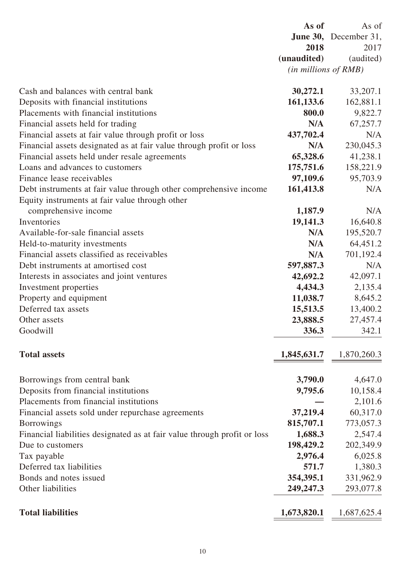|                                                                                  | As of                        | As of                        |
|----------------------------------------------------------------------------------|------------------------------|------------------------------|
|                                                                                  |                              | <b>June 30,</b> December 31, |
|                                                                                  | 2018                         | 2017                         |
|                                                                                  | (unaudited)                  | (audited)                    |
|                                                                                  | $(in\, millions\, of\, RMB)$ |                              |
|                                                                                  |                              |                              |
| Cash and balances with central bank                                              | 30,272.1                     | 33,207.1                     |
| Deposits with financial institutions<br>Placements with financial institutions   | 161,133.6<br>800.0           | 162,881.1                    |
|                                                                                  |                              | 9,822.7                      |
| Financial assets held for trading                                                | N/A                          | 67,257.7<br>N/A              |
| Financial assets at fair value through profit or loss                            | 437,702.4<br>N/A             |                              |
| Financial assets designated as at fair value through profit or loss              |                              | 230,045.3                    |
| Financial assets held under resale agreements<br>Loans and advances to customers | 65,328.6                     | 41,238.1                     |
| Finance lease receivables                                                        | 175,751.6<br>97,109.6        | 158,221.9<br>95,703.9        |
|                                                                                  |                              | N/A                          |
| Debt instruments at fair value through other comprehensive income                | 161,413.8                    |                              |
| Equity instruments at fair value through other<br>comprehensive income           | 1,187.9                      | N/A                          |
| Inventories                                                                      | 19,141.3                     | 16,640.8                     |
| Available-for-sale financial assets                                              | N/A                          | 195,520.7                    |
| Held-to-maturity investments                                                     | N/A                          | 64,451.2                     |
| Financial assets classified as receivables                                       | N/A                          | 701,192.4                    |
| Debt instruments at amortised cost                                               | 597,887.3                    | N/A                          |
| Interests in associates and joint ventures                                       | 42,692.2                     | 42,097.1                     |
| Investment properties                                                            | 4,434.3                      | 2,135.4                      |
| Property and equipment                                                           | 11,038.7                     | 8,645.2                      |
| Deferred tax assets                                                              | 15,513.5                     | 13,400.2                     |
| Other assets                                                                     | 23,888.5                     | 27,457.4                     |
| Goodwill                                                                         | 336.3                        | 342.1                        |
|                                                                                  |                              |                              |
| <b>Total assets</b>                                                              | 1,845,631.7                  | 1,870,260.3                  |
| Borrowings from central bank                                                     | 3,790.0                      | 4,647.0                      |
| Deposits from financial institutions                                             | 9,795.6                      | 10,158.4                     |
| Placements from financial institutions                                           |                              | 2,101.6                      |
| Financial assets sold under repurchase agreements                                | 37,219.4                     | 60,317.0                     |
| <b>Borrowings</b>                                                                | 815,707.1                    | 773,057.3                    |
| Financial liabilities designated as at fair value through profit or loss         | 1,688.3                      | 2,547.4                      |
| Due to customers                                                                 | 198,429.2                    | 202,349.9                    |
| Tax payable                                                                      | 2,976.4                      | 6,025.8                      |
| Deferred tax liabilities                                                         | 571.7                        | 1,380.3                      |
| Bonds and notes issued                                                           | 354,395.1                    | 331,962.9                    |
| Other liabilities                                                                | 249,247.3                    | 293,077.8                    |
| <b>Total liabilities</b>                                                         | 1,673,820.1                  | 1,687,625.4                  |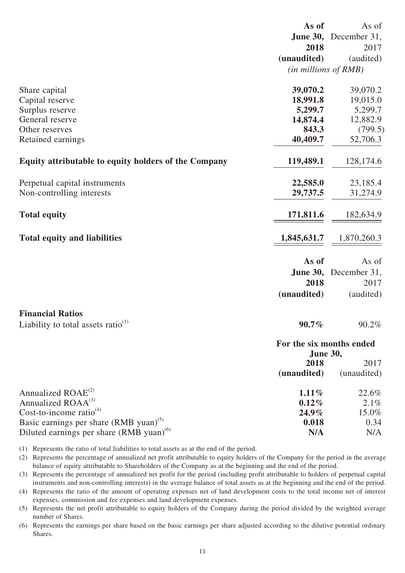|                                                      | As of                                | As of                 |
|------------------------------------------------------|--------------------------------------|-----------------------|
|                                                      |                                      | June 30, December 31, |
|                                                      | 2018                                 | 2017                  |
|                                                      | (unaudited)                          | (audited)             |
|                                                      | (in millions of RMB)                 |                       |
|                                                      |                                      |                       |
| Share capital                                        | 39,070.2                             | 39,070.2              |
| Capital reserve                                      | 18,991.8                             | 19,015.0              |
| Surplus reserve                                      | 5,299.7                              | 5,299.7               |
| General reserve                                      | 14,874.4                             | 12,882.9              |
| Other reserves                                       | 843.3                                | (799.5)               |
| Retained earnings                                    | 40,409.7                             | 52,706.3              |
| Equity attributable to equity holders of the Company | 119,489.1                            | 128,174.6             |
|                                                      |                                      |                       |
| Perpetual capital instruments                        | 22,585.0                             | 23,185.4              |
| Non-controlling interests                            | 29,737.5                             | 31,274.9              |
| <b>Total equity</b>                                  | 171,811.6                            | 182,634.9             |
| <b>Total equity and liabilities</b>                  | 1,845,631.7                          | 1,870,260.3           |
|                                                      | As of                                | As of                 |
|                                                      | <b>June 30,</b>                      | December 31,          |
|                                                      | 2018                                 | 2017                  |
|                                                      | (unaudited)                          | (audited)             |
| <b>Financial Ratios</b>                              |                                      |                       |
| Liability to total assets ratio $(1)$                | $90.7\%$                             | 90.2%                 |
|                                                      | For the six months ended<br>June 30, |                       |
|                                                      | 2018                                 | 2017                  |
|                                                      | (unaudited)                          | (unaudited)           |
| Annualized ROAE <sup>(2)</sup>                       | $1.11\%$                             | 22.6%                 |
| Annualized ROAA <sup>(3)</sup>                       | $0.12\%$                             | $2.1\%$               |
| Cost-to-income ratio $(4)$                           | $24.9\%$                             | 15.0%                 |
| Basic earnings per share $(RMB \text{ yuan})^{(5)}$  | 0.018                                | 0.34                  |
| Diluted earnings per share (RMB yuan) <sup>(6)</sup> | N/A                                  | N/A                   |
|                                                      |                                      |                       |

(1) Represents the ratio of total liabilities to total assets as at the end of the period.

(2) Represents the percentage of annualized net profit attributable to equity holders of the Company for the period in the average balance of equity attributable to Shareholders of the Company as at the beginning and the end of the period.

(3) Represents the percentage of annualized net profit for the period (including profit attributable to holders of perpetual capital instruments and non-controlling interests) in the average balance of total assets as at the beginning and the end of the period.

(4) Represents the ratio of the amount of operating expenses net of land development costs to the total income net of interest expenses, commission and fee expenses and land development expenses.

(5) Represents the net profit attributable to equity holders of the Company during the period divided by the weighted average number of Shares.

(6) Represents the earnings per share based on the basic earnings per share adjusted according to the dilutive potential ordinary Shares.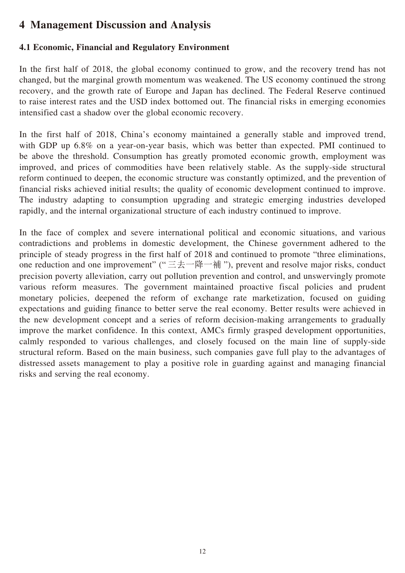## **4 Management Discussion and Analysis**

## **4.1 Economic, Financial and Regulatory Environment**

In the first half of 2018, the global economy continued to grow, and the recovery trend has not changed, but the marginal growth momentum was weakened. The US economy continued the strong recovery, and the growth rate of Europe and Japan has declined. The Federal Reserve continued to raise interest rates and the USD index bottomed out. The financial risks in emerging economies intensified cast a shadow over the global economic recovery.

In the first half of 2018, China's economy maintained a generally stable and improved trend, with GDP up 6.8% on a year-on-year basis, which was better than expected. PMI continued to be above the threshold. Consumption has greatly promoted economic growth, employment was improved, and prices of commodities have been relatively stable. As the supply-side structural reform continued to deepen, the economic structure was constantly optimized, and the prevention of financial risks achieved initial results; the quality of economic development continued to improve. The industry adapting to consumption upgrading and strategic emerging industries developed rapidly, and the internal organizational structure of each industry continued to improve.

In the face of complex and severe international political and economic situations, and various contradictions and problems in domestic development, the Chinese government adhered to the principle of steady progress in the first half of 2018 and continued to promote "three eliminations, one reduction and one improvement" ("三去一降一補 "), prevent and resolve major risks, conduct precision poverty alleviation, carry out pollution prevention and control, and unswervingly promote various reform measures. The government maintained proactive fiscal policies and prudent monetary policies, deepened the reform of exchange rate marketization, focused on guiding expectations and guiding finance to better serve the real economy. Better results were achieved in the new development concept and a series of reform decision-making arrangements to gradually improve the market confidence. In this context, AMCs firmly grasped development opportunities, calmly responded to various challenges, and closely focused on the main line of supply-side structural reform. Based on the main business, such companies gave full play to the advantages of distressed assets management to play a positive role in guarding against and managing financial risks and serving the real economy.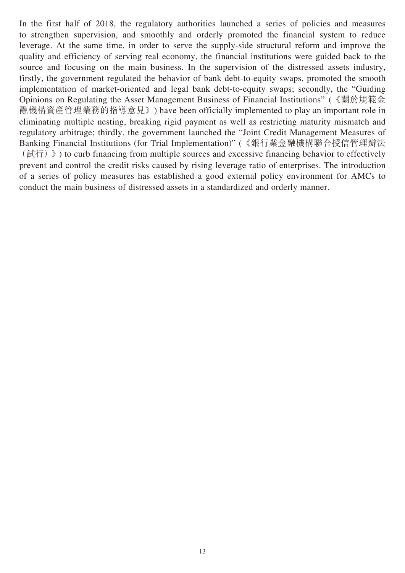In the first half of 2018, the regulatory authorities launched a series of policies and measures to strengthen supervision, and smoothly and orderly promoted the financial system to reduce leverage. At the same time, in order to serve the supply-side structural reform and improve the quality and efficiency of serving real economy, the financial institutions were guided back to the source and focusing on the main business. In the supervision of the distressed assets industry, firstly, the government regulated the behavior of bank debt-to-equity swaps, promoted the smooth implementation of market-oriented and legal bank debt-to-equity swaps; secondly, the "Guiding Opinions on Regulating the Asset Management Business of Financial Institutions" (《關於規範金 融機構資產管理業務的指導意見》) have been officially implemented to play an important role in eliminating multiple nesting, breaking rigid payment as well as restricting maturity mismatch and regulatory arbitrage; thirdly, the government launched the "Joint Credit Management Measures of Banking Financial Institutions (for Trial Implementation)" (《銀行業金融機構聯合授信管理辦法  $(\exists \hat{i} \hat{\pi})$  ) to curb financing from multiple sources and excessive financing behavior to effectively prevent and control the credit risks caused by rising leverage ratio of enterprises. The introduction of a series of policy measures has established a good external policy environment for AMCs to conduct the main business of distressed assets in a standardized and orderly manner.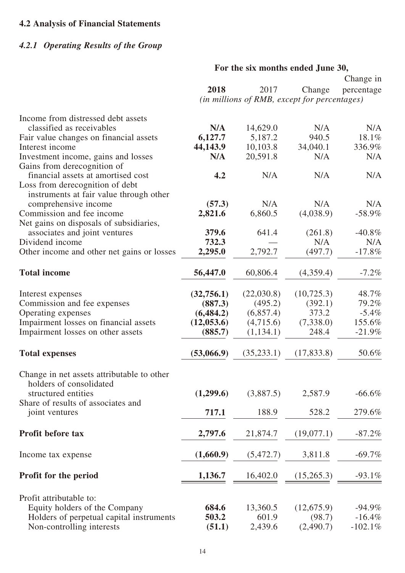## **4.2 Analysis of Financial Statements**

## *4.2.1 Operating Results of the Group*

## **For the six months ended June 30,**

|                                            |             |                                              |             | Change in  |
|--------------------------------------------|-------------|----------------------------------------------|-------------|------------|
|                                            | 2018        | 2017                                         | Change      | percentage |
|                                            |             | (in millions of RMB, except for percentages) |             |            |
| Income from distressed debt assets         |             |                                              |             |            |
| classified as receivables                  | N/A         | 14,629.0                                     | N/A         | N/A        |
| Fair value changes on financial assets     | 6,127.7     | 5,187.2                                      | 940.5       | 18.1%      |
| Interest income                            | 44,143.9    | 10,103.8                                     | 34,040.1    | 336.9%     |
| Investment income, gains and losses        | N/A         | 20,591.8                                     | N/A         | N/A        |
| Gains from derecognition of                |             |                                              |             |            |
| financial assets at amortised cost         | 4.2         | N/A                                          | N/A         | N/A        |
| Loss from derecognition of debt            |             |                                              |             |            |
| instruments at fair value through other    |             |                                              |             |            |
| comprehensive income                       | (57.3)      | N/A                                          | N/A         | N/A        |
| Commission and fee income                  | 2,821.6     | 6,860.5                                      | (4,038.9)   | $-58.9%$   |
| Net gains on disposals of subsidiaries,    |             |                                              |             |            |
| associates and joint ventures              | 379.6       | 641.4                                        | (261.8)     | $-40.8\%$  |
| Dividend income                            | 732.3       |                                              | N/A         | N/A        |
| Other income and other net gains or losses | 2,295.0     | 2,792.7                                      | (497.7)     | $-17.8%$   |
|                                            |             |                                              |             |            |
| <b>Total income</b>                        | 56,447.0    | 60,806.4                                     | (4,359.4)   | $-7.2\%$   |
|                                            |             |                                              |             |            |
|                                            |             |                                              |             |            |
| Interest expenses                          | (32,756.1)  | (22,030.8)                                   | (10,725.3)  | 48.7%      |
| Commission and fee expenses                | (887.3)     | (495.2)                                      | (392.1)     | 79.2%      |
| Operating expenses                         | (6, 484.2)  | (6,857.4)                                    | 373.2       | $-5.4\%$   |
| Impairment losses on financial assets      | (12, 053.6) | (4,715.6)                                    | (7,338.0)   | 155.6%     |
| Impairment losses on other assets          | (885.7)     | (1,134.1)                                    | 248.4       | $-21.9%$   |
| <b>Total expenses</b>                      | (53,066.9)  | (35, 233.1)                                  | (17, 833.8) | 50.6%      |
|                                            |             |                                              |             |            |
| Change in net assets attributable to other |             |                                              |             |            |
| holders of consolidated                    |             |                                              |             |            |
| structured entities                        | (1,299.6)   | (3,887.5)                                    | 2,587.9     | $-66.6%$   |
| Share of results of associates and         |             |                                              |             |            |
| joint ventures                             | 717.1       | 188.9                                        | 528.2       | 279.6%     |
|                                            |             |                                              |             |            |
| <b>Profit before tax</b>                   | 2,797.6     | 21,874.7                                     | (19,077.1)  | $-87.2%$   |
|                                            |             |                                              |             |            |
|                                            |             |                                              |             |            |
| Income tax expense                         | (1,660.9)   | (5,472.7)                                    | 3,811.8     | $-69.7%$   |
|                                            |             |                                              |             |            |
| Profit for the period                      | 1,136.7     | 16,402.0                                     | (15,265.3)  | $-93.1\%$  |
|                                            |             |                                              |             |            |
| Profit attributable to:                    |             |                                              |             |            |
| Equity holders of the Company              | 684.6       | 13,360.5                                     | (12,675.9)  | $-94.9\%$  |
| Holders of perpetual capital instruments   | 503.2       | 601.9                                        | (98.7)      | $-16.4%$   |
| Non-controlling interests                  | (51.1)      | 2,439.6                                      | (2,490.7)   | $-102.1%$  |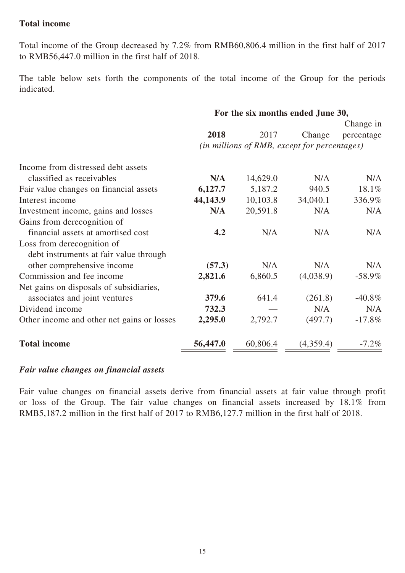## **Total income**

Total income of the Group decreased by 7.2% from RMB60,806.4 million in the first half of 2017 to RMB56,447.0 million in the first half of 2018.

The table below sets forth the components of the total income of the Group for the periods indicated.

|                                            | For the six months ended June 30, |                                              |           |            |  |
|--------------------------------------------|-----------------------------------|----------------------------------------------|-----------|------------|--|
|                                            |                                   |                                              |           | Change in  |  |
|                                            | 2018                              | 2017                                         | Change    | percentage |  |
|                                            |                                   | (in millions of RMB, except for percentages) |           |            |  |
| Income from distressed debt assets         |                                   |                                              |           |            |  |
| classified as receivables                  | N/A                               | 14,629.0                                     | N/A       | N/A        |  |
| Fair value changes on financial assets     | 6,127.7                           | 5,187.2                                      | 940.5     | 18.1%      |  |
| Interest income                            | 44,143.9                          | 10,103.8                                     | 34,040.1  | 336.9%     |  |
| Investment income, gains and losses        | N/A                               | 20,591.8                                     | N/A       | N/A        |  |
| Gains from derecognition of                |                                   |                                              |           |            |  |
| financial assets at amortised cost         | 4.2                               | N/A                                          | N/A       | N/A        |  |
| Loss from derecognition of                 |                                   |                                              |           |            |  |
| debt instruments at fair value through     |                                   |                                              |           |            |  |
| other comprehensive income                 | (57.3)                            | N/A                                          | N/A       | N/A        |  |
| Commission and fee income                  | 2,821.6                           | 6,860.5                                      | (4,038.9) | $-58.9\%$  |  |
| Net gains on disposals of subsidiaries,    |                                   |                                              |           |            |  |
| associates and joint ventures              | 379.6                             | 641.4                                        | (261.8)   | $-40.8\%$  |  |
| Dividend income                            | 732.3                             |                                              | N/A       | N/A        |  |
| Other income and other net gains or losses | 2,295.0                           | 2,792.7                                      | (497.7)   | $-17.8%$   |  |
| <b>Total income</b>                        | 56,447.0                          | 60,806.4                                     | (4,359.4) | $-7.2\%$   |  |

#### *Fair value changes on financial assets*

Fair value changes on financial assets derive from financial assets at fair value through profit or loss of the Group. The fair value changes on financial assets increased by 18.1% from RMB5,187.2 million in the first half of 2017 to RMB6,127.7 million in the first half of 2018.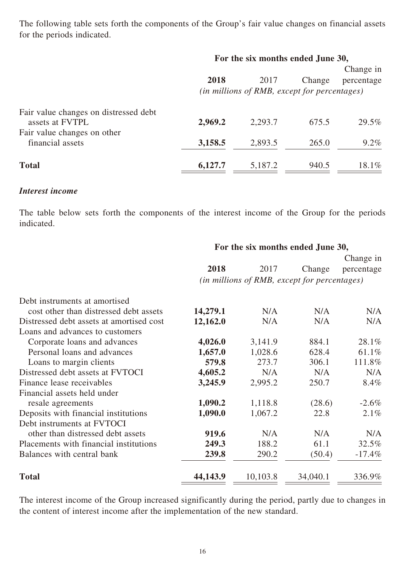The following table sets forth the components of the Group's fair value changes on financial assets for the periods indicated.

|                                                                                         | For the six months ended June 30, |                                                      |        |                         |
|-----------------------------------------------------------------------------------------|-----------------------------------|------------------------------------------------------|--------|-------------------------|
|                                                                                         | 2018                              | 2017<br>(in millions of RMB, except for percentages) | Change | Change in<br>percentage |
| Fair value changes on distressed debt<br>assets at FVTPL<br>Fair value changes on other | 2,969.2                           | 2,293.7                                              | 675.5  | 29.5%                   |
| financial assets                                                                        | 3,158.5                           | 2,893.5                                              | 265.0  | $9.2\%$                 |
| <b>Total</b>                                                                            | 6,127.7                           | 5,187.2                                              | 940.5  | 18.1%                   |

## *Interest income*

The table below sets forth the components of the interest income of the Group for the periods indicated.

|                                          | For the six months ended June 30, |                                              |          |            |
|------------------------------------------|-----------------------------------|----------------------------------------------|----------|------------|
|                                          |                                   |                                              |          | Change in  |
|                                          | 2018                              | 2017                                         | Change   | percentage |
|                                          |                                   | (in millions of RMB, except for percentages) |          |            |
| Debt instruments at amortised            |                                   |                                              |          |            |
| cost other than distressed debt assets   | 14,279.1                          | N/A                                          | N/A      | N/A        |
| Distressed debt assets at amortised cost | 12,162.0                          | N/A                                          | N/A      | N/A        |
| Loans and advances to customers          |                                   |                                              |          |            |
| Corporate loans and advances             | 4,026.0                           | 3,141.9                                      | 884.1    | 28.1%      |
| Personal loans and advances              | 1,657.0                           | 1,028.6                                      | 628.4    | 61.1%      |
| Loans to margin clients                  | 579.8                             | 273.7                                        | 306.1    | 111.8%     |
| Distressed debt assets at FVTOCI         | 4,605.2                           | N/A                                          | N/A      | N/A        |
| Finance lease receivables                | 3,245.9                           | 2,995.2                                      | 250.7    | 8.4%       |
| Financial assets held under              |                                   |                                              |          |            |
| resale agreements                        | 1,090.2                           | 1,118.8                                      | (28.6)   | $-2.6\%$   |
| Deposits with financial institutions     | 1,090.0                           | 1,067.2                                      | 22.8     | $2.1\%$    |
| Debt instruments at FVTOCI               |                                   |                                              |          |            |
| other than distressed debt assets        | 919.6                             | N/A                                          | N/A      | N/A        |
| Placements with financial institutions   | 249.3                             | 188.2                                        | 61.1     | 32.5%      |
| Balances with central bank               | 239.8                             | 290.2                                        | (50.4)   | $-17.4\%$  |
| <b>Total</b>                             | 44,143.9                          | 10,103.8                                     | 34,040.1 | 336.9%     |

The interest income of the Group increased significantly during the period, partly due to changes in the content of interest income after the implementation of the new standard.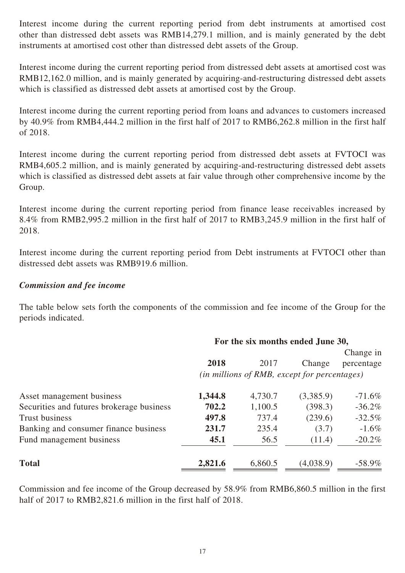Interest income during the current reporting period from debt instruments at amortised cost other than distressed debt assets was RMB14,279.1 million, and is mainly generated by the debt instruments at amortised cost other than distressed debt assets of the Group.

Interest income during the current reporting period from distressed debt assets at amortised cost was RMB12,162.0 million, and is mainly generated by acquiring-and-restructuring distressed debt assets which is classified as distressed debt assets at amortised cost by the Group.

Interest income during the current reporting period from loans and advances to customers increased by 40.9% from RMB4,444.2 million in the first half of 2017 to RMB6,262.8 million in the first half of 2018.

Interest income during the current reporting period from distressed debt assets at FVTOCI was RMB4,605.2 million, and is mainly generated by acquiring-and-restructuring distressed debt assets which is classified as distressed debt assets at fair value through other comprehensive income by the Group.

Interest income during the current reporting period from finance lease receivables increased by 8.4% from RMB2,995.2 million in the first half of 2017 to RMB3,245.9 million in the first half of 2018.

Interest income during the current reporting period from Debt instruments at FVTOCI other than distressed debt assets was RMB919.6 million.

## *Commission and fee income*

The table below sets forth the components of the commission and fee income of the Group for the periods indicated.

|                                           | For the six months ended June 30,            |         |           |            |  |
|-------------------------------------------|----------------------------------------------|---------|-----------|------------|--|
|                                           |                                              |         |           | Change in  |  |
|                                           | 2018                                         | 2017    | Change    | percentage |  |
|                                           | (in millions of RMB, except for percentages) |         |           |            |  |
| Asset management business                 | 1,344.8                                      | 4,730.7 | (3,385.9) | $-71.6\%$  |  |
| Securities and futures brokerage business | 702.2                                        | 1,100.5 | (398.3)   | $-36.2\%$  |  |
| <b>Trust business</b>                     | 497.8                                        | 737.4   | (239.6)   | $-32.5%$   |  |
| Banking and consumer finance business     | 231.7                                        | 235.4   | (3.7)     | $-1.6\%$   |  |
| Fund management business                  | 45.1                                         | 56.5    | (11.4)    | $-20.2\%$  |  |
| <b>Total</b>                              | 2,821.6                                      | 6,860.5 | (4,038.9) | $-58.9\%$  |  |

Commission and fee income of the Group decreased by 58.9% from RMB6,860.5 million in the first half of 2017 to RMB2,821.6 million in the first half of 2018.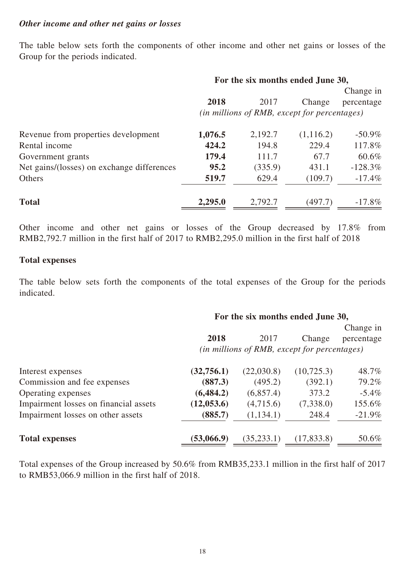#### *Other income and other net gains or losses*

The table below sets forth the components of other income and other net gains or losses of the Group for the periods indicated.

|                                            | For the six months ended June 30,            |         |           |            |  |
|--------------------------------------------|----------------------------------------------|---------|-----------|------------|--|
|                                            |                                              |         |           | Change in  |  |
|                                            | 2018                                         | 2017    | Change    | percentage |  |
|                                            | (in millions of RMB, except for percentages) |         |           |            |  |
| Revenue from properties development        | 1,076.5                                      | 2,192.7 | (1,116.2) | $-50.9\%$  |  |
| Rental income                              | 424.2                                        | 194.8   | 229.4     | 117.8%     |  |
| Government grants                          | 179.4                                        | 111.7   | 67.7      | 60.6%      |  |
| Net gains/(losses) on exchange differences | 95.2                                         | (335.9) | 431.1     | $-128.3\%$ |  |
| Others                                     | 519.7                                        | 629.4   | (109.7)   | $-17.4\%$  |  |
| <b>Total</b>                               | 2,295.0                                      | 2,792.7 | (497.7)   | $-17.8\%$  |  |

Other income and other net gains or losses of the Group decreased by 17.8% from RMB2,792.7 million in the first half of 2017 to RMB2,295.0 million in the first half of 2018

## **Total expenses**

The table below sets forth the components of the total expenses of the Group for the periods indicated.

## **For the six months ended June 30,**

|                                       | 2018        |                                                      |             | Change in  |
|---------------------------------------|-------------|------------------------------------------------------|-------------|------------|
|                                       |             | 2017<br>(in millions of RMB, except for percentages) | Change      | percentage |
| Interest expenses                     | (32,756.1)  | (22,030.8)                                           | (10, 725.3) | 48.7%      |
| Commission and fee expenses           | (887.3)     | (495.2)                                              | (392.1)     | 79.2%      |
| Operating expenses                    | (6, 484.2)  | (6,857.4)                                            | 373.2       | $-5.4\%$   |
| Impairment losses on financial assets | (12, 053.6) | (4,715.6)                                            | (7,338.0)   | 155.6%     |
| Impairment losses on other assets     | (885.7)     | (1,134.1)                                            | 248.4       | $-21.9\%$  |
| <b>Total expenses</b>                 | (53,066.9)  | (35, 233.1)                                          | (17, 833.8) | 50.6%      |

Total expenses of the Group increased by 50.6% from RMB35,233.1 million in the first half of 2017 to RMB53,066.9 million in the first half of 2018.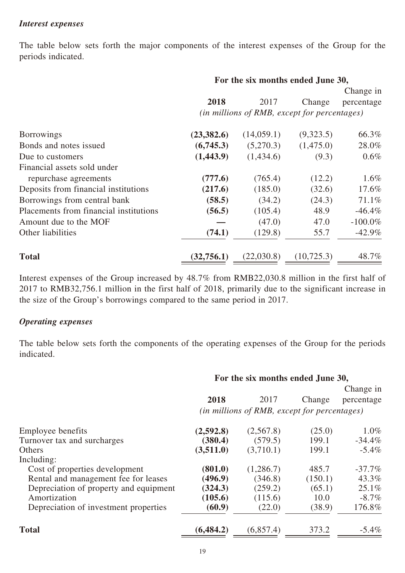#### *Interest expenses*

The table below sets forth the major components of the interest expenses of the Group for the periods indicated.

|                                        | For the six months ended June 30, |                                              |             |            |
|----------------------------------------|-----------------------------------|----------------------------------------------|-------------|------------|
|                                        |                                   |                                              |             | Change in  |
|                                        | 2018                              | 2017                                         | Change      | percentage |
|                                        |                                   | (in millions of RMB, except for percentages) |             |            |
| <b>Borrowings</b>                      | (23, 382.6)                       | (14,059.1)                                   | (9,323.5)   | 66.3%      |
| Bonds and notes issued                 | (6,745.3)                         | (5,270.3)                                    | (1,475.0)   | 28.0%      |
| Due to customers                       | (1,443.9)                         | (1,434.6)                                    | (9.3)       | $0.6\%$    |
| Financial assets sold under            |                                   |                                              |             |            |
| repurchase agreements                  | (777.6)                           | (765.4)                                      | (12.2)      | $1.6\%$    |
| Deposits from financial institutions   | (217.6)                           | (185.0)                                      | (32.6)      | 17.6%      |
| Borrowings from central bank           | (58.5)                            | (34.2)                                       | (24.3)      | 71.1%      |
| Placements from financial institutions | (56.5)                            | (105.4)                                      | 48.9        | $-46.4\%$  |
| Amount due to the MOF                  |                                   | (47.0)                                       | 47.0        | $-100.0\%$ |
| Other liabilities                      | (74.1)                            | (129.8)                                      | 55.7        | $-42.9\%$  |
| <b>Total</b>                           | (32, 756.1)                       | (22,030.8)                                   | (10, 725.3) | 48.7%      |

Interest expenses of the Group increased by 48.7% from RMB22,030.8 million in the first half of 2017 to RMB32,756.1 million in the first half of 2018, primarily due to the significant increase in the size of the Group's borrowings compared to the same period in 2017.

## *Operating expenses*

The table below sets forth the components of the operating expenses of the Group for the periods indicated.

| For the six months ended June 30, |           |         |                                              |
|-----------------------------------|-----------|---------|----------------------------------------------|
|                                   |           |         | Change in                                    |
| 2018                              | 2017      | Change  | percentage                                   |
|                                   |           |         |                                              |
| (2,592.8)                         | (2,567.8) | (25.0)  | $1.0\%$                                      |
| (380.4)                           | (579.5)   | 199.1   | $-34.4\%$                                    |
| (3,511.0)                         | (3,710.1) | 199.1   | $-5.4\%$                                     |
|                                   |           |         |                                              |
| (801.0)                           | (1,286.7) | 485.7   | $-37.7\%$                                    |
| (496.9)                           | (346.8)   | (150.1) | 43.3%                                        |
| (324.3)                           | (259.2)   | (65.1)  | $25.1\%$                                     |
| (105.6)                           | (115.6)   | 10.0    | $-8.7\%$                                     |
| (60.9)                            | (22.0)    | (38.9)  | 176.8%                                       |
| (6, 484.2)                        | (6,857.4) | 373.2   | $-5.4\%$                                     |
|                                   |           |         | (in millions of RMB, except for percentages) |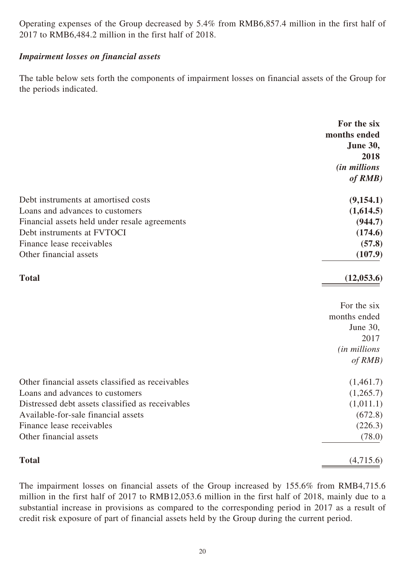Operating expenses of the Group decreased by 5.4% from RMB6,857.4 million in the first half of 2017 to RMB6,484.2 million in the first half of 2018.

## *Impairment losses on financial assets*

The table below sets forth the components of impairment losses on financial assets of the Group for the periods indicated.

|                                                  | For the six         |
|--------------------------------------------------|---------------------|
|                                                  | months ended        |
|                                                  | June 30,<br>2018    |
|                                                  | <i>(in millions</i> |
|                                                  | of RMB)             |
|                                                  |                     |
| Debt instruments at amortised costs              | (9, 154.1)          |
| Loans and advances to customers                  | (1,614.5)           |
| Financial assets held under resale agreements    | (944.7)             |
| Debt instruments at FVTOCI                       | (174.6)             |
| Finance lease receivables                        | (57.8)              |
| Other financial assets                           | (107.9)             |
| <b>Total</b>                                     | (12,053.6)          |
|                                                  | For the six         |
|                                                  | months ended        |
|                                                  | June 30,            |
|                                                  | 2017                |
|                                                  | (in millions        |
|                                                  | of RMB)             |
| Other financial assets classified as receivables | (1,461.7)           |
| Loans and advances to customers                  | (1,265.7)           |
| Distressed debt assets classified as receivables | (1,011.1)           |
| Available-for-sale financial assets              | (672.8)             |
| Finance lease receivables                        | (226.3)             |
| Other financial assets                           | (78.0)              |
| <b>Total</b>                                     | (4,715.6)           |

The impairment losses on financial assets of the Group increased by 155.6% from RMB4,715.6 million in the first half of 2017 to RMB12,053.6 million in the first half of 2018, mainly due to a substantial increase in provisions as compared to the corresponding period in 2017 as a result of credit risk exposure of part of financial assets held by the Group during the current period.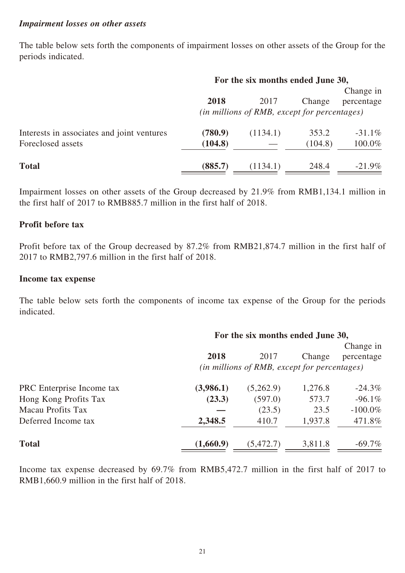#### *Impairment losses on other assets*

The table below sets forth the components of impairment losses on other assets of the Group for the periods indicated.

|                                            | For the six months ended June 30,                     |          |         |            |  |
|--------------------------------------------|-------------------------------------------------------|----------|---------|------------|--|
|                                            |                                                       |          |         | Change in  |  |
|                                            | 2018                                                  | 2017     | Change  | percentage |  |
|                                            | ( <i>in millions of RMB, except for percentages</i> ) |          |         |            |  |
| Interests in associates and joint ventures | (780.9)                                               | (1134.1) | 353.2   | $-31.1\%$  |  |
| Foreclosed assets                          | (104.8)                                               |          | (104.8) | 100.0%     |  |
| <b>Total</b>                               | (885.7)                                               | (1134.1) | 248.4   | $-21.9\%$  |  |

Impairment losses on other assets of the Group decreased by 21.9% from RMB1,134.1 million in the first half of 2017 to RMB885.7 million in the first half of 2018.

#### **Profit before tax**

Profit before tax of the Group decreased by 87.2% from RMB21,874.7 million in the first half of 2017 to RMB2,797.6 million in the first half of 2018.

#### **Income tax expense**

The table below sets forth the components of income tax expense of the Group for the periods indicated.

|                           |                                              | For the six months ended June 30, |         |            |  |
|---------------------------|----------------------------------------------|-----------------------------------|---------|------------|--|
|                           |                                              |                                   |         | Change in  |  |
|                           | 2018                                         | 2017                              | Change  | percentage |  |
|                           | (in millions of RMB, except for percentages) |                                   |         |            |  |
| PRC Enterprise Income tax | (3,986.1)                                    | (5,262.9)                         | 1,276.8 | $-24.3\%$  |  |
| Hong Kong Profits Tax     | (23.3)                                       | (597.0)                           | 573.7   | $-96.1\%$  |  |
| Macau Profits Tax         |                                              | (23.5)                            | 23.5    | $-100.0\%$ |  |
| Deferred Income tax       | 2,348.5                                      | 410.7                             | 1,937.8 | 471.8%     |  |
| <b>Total</b>              | (1,660.9)                                    | (5, 472.7)                        | 3,811.8 | $-69.7\%$  |  |

Income tax expense decreased by 69.7% from RMB5,472.7 million in the first half of 2017 to RMB1,660.9 million in the first half of 2018.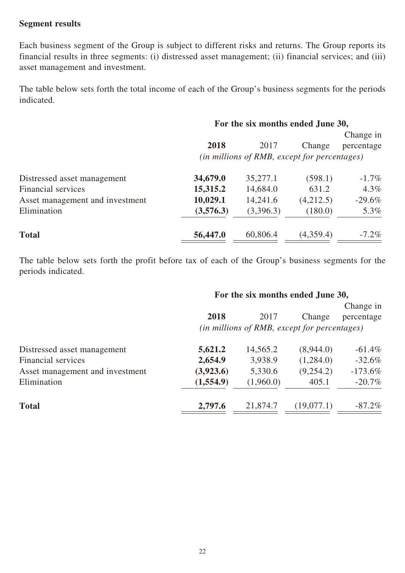## **Segment results**

Each business segment of the Group is subject to different risks and returns. The Group reports its financial results in three segments: (i) distressed asset management; (ii) financial services; and (iii) asset management and investment.

The table below sets forth the total income of each of the Group's business segments for the periods indicated.

## **For the six months ended June 30,**

|                                 |           |                                              |           | Change in  |
|---------------------------------|-----------|----------------------------------------------|-----------|------------|
|                                 | 2018      | 2017                                         | Change    | percentage |
|                                 |           | (in millions of RMB, except for percentages) |           |            |
| Distressed asset management     | 34,679.0  | 35,277.1                                     | (598.1)   | $-1.7\%$   |
| Financial services              | 15,315.2  | 14,684.0                                     | 631.2     | $4.3\%$    |
| Asset management and investment | 10,029.1  | 14,241.6                                     | (4,212.5) | $-29.6\%$  |
| Elimination                     | (3,576.3) | (3,396.3)                                    | (180.0)   | 5.3%       |
| <b>Total</b>                    | 56,447.0  | 60,806.4                                     | (4,359.4) | $-7.2\%$   |

The table below sets forth the profit before tax of each of the Group's business segments for the periods indicated.

## **For the six months ended June 30,**

|                                 | 2018      | 2017      | Change                                       | Change in  |
|---------------------------------|-----------|-----------|----------------------------------------------|------------|
|                                 |           |           | (in millions of RMB, except for percentages) | percentage |
| Distressed asset management     | 5,621.2   | 14,565.2  | (8,944.0)                                    | $-61.4\%$  |
| Financial services              | 2,654.9   | 3,938.9   | (1,284.0)                                    | $-32.6\%$  |
| Asset management and investment | (3,923.6) | 5,330.6   | (9,254.2)                                    | $-173.6\%$ |
| Elimination                     | (1,554.9) | (1,960.0) | 405.1                                        | $-20.7\%$  |
| <b>Total</b>                    | 2,797.6   | 21,874.7  | (19,077.1)                                   | $-87.2\%$  |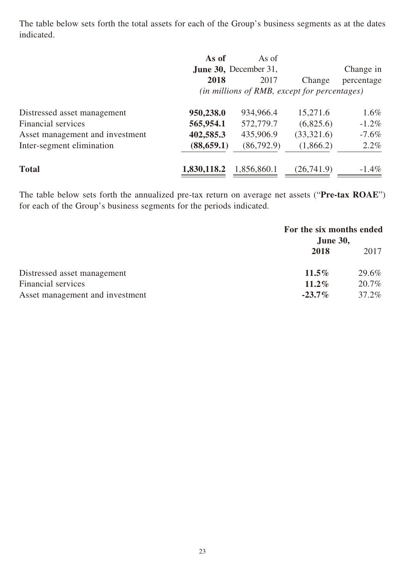The table below sets forth the total assets for each of the Group's business segments as at the dates indicated.

|                                 | As of       | As of                                        |            |            |
|---------------------------------|-------------|----------------------------------------------|------------|------------|
|                                 |             | <b>June 30, December 31,</b>                 |            | Change in  |
|                                 | 2018        | 2017                                         | Change     | percentage |
|                                 |             | (in millions of RMB, except for percentages) |            |            |
| Distressed asset management     | 950,238.0   | 934,966.4                                    | 15,271.6   | $1.6\%$    |
| Financial services              | 565,954.1   | 572,779.7                                    | (6,825.6)  | $-1.2\%$   |
| Asset management and investment | 402,585.3   | 435,906.9                                    | (33,321.6) | $-7.6\%$   |
| Inter-segment elimination       | (88, 659.1) | (86,792.9)                                   | (1,866.2)  | $2.2\%$    |
| <b>Total</b>                    | 1,830,118.2 | 1,856,860.1                                  | (26,741.9) | $-1.4\%$   |

The table below sets forth the annualized pre-tax return on average net assets ("**Pre-tax ROAE**") for each of the Group's business segments for the periods indicated.

|                                 | For the six months ended<br><b>June 30,</b> |       |
|---------------------------------|---------------------------------------------|-------|
|                                 | 2018                                        | 2017  |
| Distressed asset management     | $11.5\%$                                    | 29.6% |
| Financial services              | $11.2\%$                                    | 20.7% |
| Asset management and investment | $-23.7\%$                                   | 37.2% |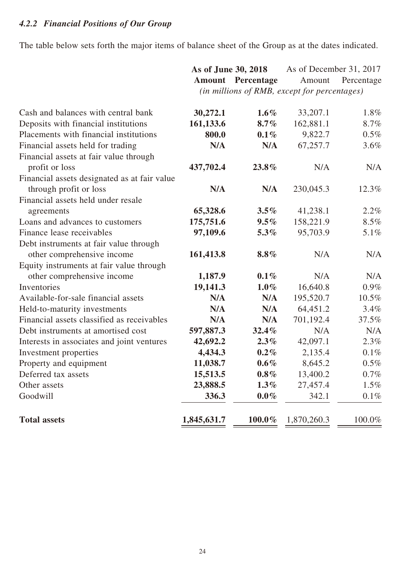## *4.2.2 Financial Positions of Our Group*

The table below sets forth the major items of balance sheet of the Group as at the dates indicated.

|                                              | As of June 30, 2018 |                          |                                              | As of December 31, 2017 |
|----------------------------------------------|---------------------|--------------------------|----------------------------------------------|-------------------------|
|                                              |                     | <b>Amount</b> Percentage | Amount                                       | Percentage              |
|                                              |                     |                          | (in millions of RMB, except for percentages) |                         |
|                                              |                     |                          |                                              |                         |
| Cash and balances with central bank          | 30,272.1            | $1.6\%$                  | 33,207.1                                     | 1.8%                    |
| Deposits with financial institutions         | 161,133.6           | $8.7\%$                  | 162,881.1                                    | 8.7%                    |
| Placements with financial institutions       | 800.0               | $0.1\%$                  | 9,822.7                                      | 0.5%                    |
| Financial assets held for trading            | N/A                 | N/A                      | 67,257.7                                     | 3.6%                    |
| Financial assets at fair value through       |                     |                          |                                              |                         |
| profit or loss                               | 437,702.4           | 23.8%                    | N/A                                          | N/A                     |
| Financial assets designated as at fair value |                     |                          |                                              |                         |
| through profit or loss                       | N/A                 | N/A                      | 230,045.3                                    | 12.3%                   |
| Financial assets held under resale           |                     |                          |                                              |                         |
| agreements                                   | 65,328.6            | $3.5\%$                  | 41,238.1                                     | 2.2%                    |
| Loans and advances to customers              | 175,751.6           | $9.5\%$                  | 158,221.9                                    | 8.5%                    |
| Finance lease receivables                    | 97,109.6            | 5.3%                     | 95,703.9                                     | 5.1%                    |
| Debt instruments at fair value through       |                     |                          |                                              |                         |
| other comprehensive income                   | 161,413.8           | $8.8\%$                  | N/A                                          | N/A                     |
| Equity instruments at fair value through     |                     |                          |                                              |                         |
| other comprehensive income                   | 1,187.9             | $0.1\%$                  | N/A                                          | N/A                     |
| Inventories                                  | 19,141.3            | $1.0\%$                  | 16,640.8                                     | $0.9\%$                 |
| Available-for-sale financial assets          | N/A                 | N/A                      | 195,520.7                                    | $10.5\%$                |
| Held-to-maturity investments                 | N/A                 | N/A                      | 64,451.2                                     | 3.4%                    |
| Financial assets classified as receivables   | N/A                 | N/A                      | 701,192.4                                    | 37.5%                   |
| Debt instruments at amortised cost           | 597,887.3           | 32.4%                    | N/A                                          | N/A                     |
| Interests in associates and joint ventures   | 42,692.2            | $2.3\%$                  | 42,097.1                                     | 2.3%                    |
| Investment properties                        | 4,434.3             | $0.2\%$                  | 2,135.4                                      | 0.1%                    |
| Property and equipment                       | 11,038.7            | $0.6\%$                  | 8,645.2                                      | $0.5\%$                 |
| Deferred tax assets                          | 15,513.5            | $0.8\%$                  | 13,400.2                                     | $0.7\%$                 |
| Other assets                                 | 23,888.5            | $1.3\%$                  | 27,457.4                                     | $1.5\%$                 |
| Goodwill                                     | 336.3               | $0.0\%$                  | 342.1                                        | 0.1%                    |
| <b>Total assets</b>                          | 1,845,631.7         | $100.0\%$                | 1,870,260.3                                  | 100.0%                  |
|                                              |                     |                          |                                              |                         |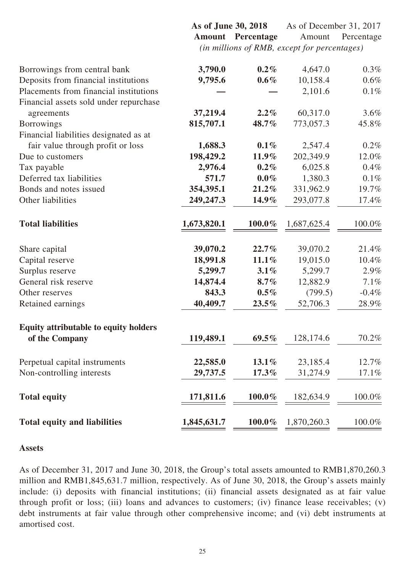**As of June 30, 2018** As of December 31, 2017 **Amount Percentage** Amount Percentage *(in millions of RMB, except for percentages)*

| 3,790.0     | $0.2\%$                             | 4,647.0                           | 0.3%                                |
|-------------|-------------------------------------|-----------------------------------|-------------------------------------|
| 9,795.6     | $0.6\%$                             | 10,158.4                          | 0.6%                                |
|             |                                     | 2,101.6                           | 0.1%                                |
|             |                                     |                                   |                                     |
| 37,219.4    | $2.2\%$                             | 60,317.0                          | 3.6%                                |
| 815,707.1   | 48.7%                               | 773,057.3                         | 45.8%                               |
|             |                                     |                                   |                                     |
| 1,688.3     | $0.1\%$                             | 2,547.4                           | 0.2%                                |
| 198,429.2   | $11.9\%$                            | 202,349.9                         | 12.0%                               |
| 2,976.4     | $0.2\%$                             | 6,025.8                           | 0.4%                                |
| 571.7       | $0.0\%$                             | 1,380.3                           | 0.1%                                |
| 354,395.1   | $21.2\%$                            | 331,962.9                         | 19.7%                               |
| 249,247.3   | $14.9\%$                            | 293,077.8                         | 17.4%                               |
|             |                                     |                                   |                                     |
| 1,673,820.1 | $100.0\%$                           | 1,687,625.4                       | 100.0%                              |
|             |                                     |                                   |                                     |
| 39,070.2    | $22.7\%$                            | 39,070.2                          | 21.4%                               |
| 18,991.8    | 11.1%                               | 19,015.0                          | 10.4%                               |
| 5,299.7     | 3.1%                                | 5,299.7                           | 2.9%                                |
| 14,874.4    | $8.7\%$                             | 12,882.9                          | 7.1%                                |
| 843.3       | $0.5\%$                             | (799.5)                           | $-0.4%$                             |
| 40,409.7    | $23.5\%$                            | 52,706.3                          | 28.9%                               |
|             |                                     |                                   |                                     |
| 119,489.1   | $69.5\%$                            | 128,174.6                         | 70.2%                               |
|             |                                     |                                   | 12.7%                               |
|             |                                     |                                   | 17.1%                               |
|             |                                     |                                   |                                     |
| 171,811.6   | 100.0%                              | 182,634.9                         | 100.0%                              |
|             |                                     |                                   | 100.0%                              |
|             | 22,585.0<br>29,737.5<br>1,845,631.7 | $13.1\%$<br>$17.3\%$<br>$100.0\%$ | 23,185.4<br>31,274.9<br>1,870,260.3 |

#### **Assets**

As of December 31, 2017 and June 30, 2018, the Group's total assets amounted to RMB1,870,260.3 million and RMB1,845,631.7 million, respectively. As of June 30, 2018, the Group's assets mainly include: (i) deposits with financial institutions; (ii) financial assets designated as at fair value through profit or loss; (iii) loans and advances to customers; (iv) finance lease receivables; (v) debt instruments at fair value through other comprehensive income; and (vi) debt instruments at amortised cost.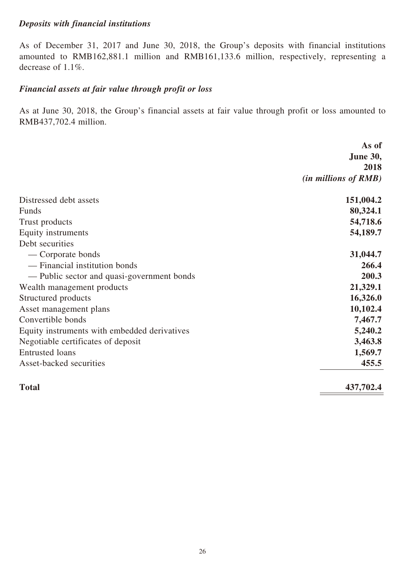## *Deposits with financial institutions*

As of December 31, 2017 and June 30, 2018, the Group's deposits with financial institutions amounted to RMB162,881.1 million and RMB161,133.6 million, respectively, representing a decrease of 1.1%.

## *Financial assets at fair value through profit or loss*

As at June 30, 2018, the Group's financial assets at fair value through profit or loss amounted to RMB437,702.4 million.

|                                              | As of                         |
|----------------------------------------------|-------------------------------|
|                                              | <b>June 30,</b>               |
|                                              | 2018                          |
|                                              | ( <i>in millions of RMB</i> ) |
| Distressed debt assets                       | 151,004.2                     |
| Funds                                        | 80,324.1                      |
| Trust products                               | 54,718.6                      |
| Equity instruments                           | 54,189.7                      |
| Debt securities                              |                               |
| — Corporate bonds                            | 31,044.7                      |
| — Financial institution bonds                | 266.4                         |
| — Public sector and quasi-government bonds   | 200.3                         |
| Wealth management products                   | 21,329.1                      |
| Structured products                          | 16,326.0                      |
| Asset management plans                       | 10,102.4                      |
| Convertible bonds                            | 7,467.7                       |
| Equity instruments with embedded derivatives | 5,240.2                       |
| Negotiable certificates of deposit           | 3,463.8                       |
| <b>Entrusted</b> loans                       | 1,569.7                       |
| Asset-backed securities                      | 455.5                         |
| <b>Total</b>                                 | 437,702.4                     |
|                                              |                               |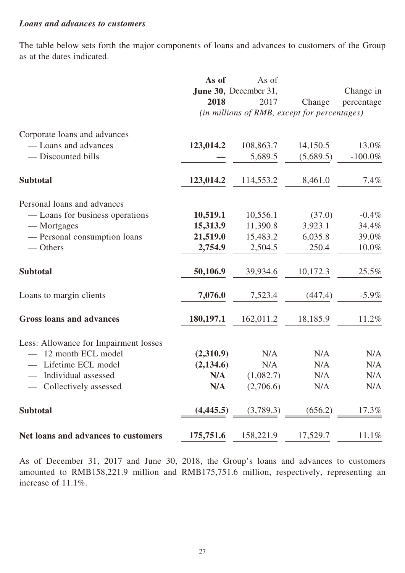#### *Loans and advances to customers*

The table below sets forth the major components of loans and advances to customers of the Group as at the dates indicated.

|                                       | As of      | As of                                        |           |            |
|---------------------------------------|------------|----------------------------------------------|-----------|------------|
|                                       |            | June 30, December 31,                        |           | Change in  |
|                                       | 2018       | 2017                                         | Change    | percentage |
|                                       |            | (in millions of RMB, except for percentages) |           |            |
| Corporate loans and advances          |            |                                              |           |            |
| - Loans and advances                  | 123,014.2  | 108,863.7                                    | 14,150.5  | 13.0%      |
| — Discounted bills                    |            | 5,689.5                                      | (5,689.5) | $-100.0\%$ |
| <b>Subtotal</b>                       | 123,014.2  | 114,553.2                                    | 8,461.0   | $7.4\%$    |
| Personal loans and advances           |            |                                              |           |            |
| — Loans for business operations       | 10,519.1   | 10,556.1                                     | (37.0)    | $-0.4\%$   |
| — Mortgages                           | 15,313.9   | 11,390.8                                     | 3,923.1   | 34.4%      |
| - Personal consumption loans          | 21,519.0   | 15,483.2                                     | 6,035.8   | 39.0%      |
| — Others                              | 2,754.9    | 2,504.5                                      | 250.4     | 10.0%      |
| <b>Subtotal</b>                       | 50,106.9   | 39,934.6                                     | 10,172.3  | 25.5%      |
| Loans to margin clients               | 7,076.0    | 7,523.4                                      | (447.4)   | $-5.9\%$   |
| <b>Gross loans and advances</b>       | 180,197.1  | 162,011.2                                    | 18,185.9  | 11.2%      |
| Less: Allowance for Impairment losses |            |                                              |           |            |
| 12 month ECL model                    | (2,310.9)  | N/A                                          | N/A       | N/A        |
| Lifetime ECL model                    | (2, 134.6) | N/A                                          | N/A       | N/A        |
| Individual assessed                   | N/A        | (1,082.7)                                    | N/A       | N/A        |
| Collectively assessed                 | N/A        | (2,706.6)                                    | N/A       | N/A        |
| <b>Subtotal</b>                       | (4, 445.5) | (3,789.3)                                    | (656.2)   | 17.3%      |
| Net loans and advances to customers   | 175,751.6  | 158,221.9                                    | 17,529.7  | 11.1%      |

As of December 31, 2017 and June 30, 2018, the Group's loans and advances to customers amounted to RMB158,221.9 million and RMB175,751.6 million, respectively, representing an increase of 11.1%.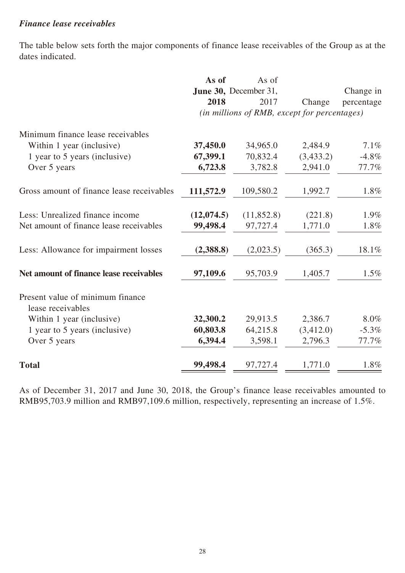## *Finance lease receivables*

The table below sets forth the major components of finance lease receivables of the Group as at the dates indicated.

|                                                       | As of      | As of                                        |           |            |
|-------------------------------------------------------|------------|----------------------------------------------|-----------|------------|
|                                                       |            | June 30, December 31,                        |           | Change in  |
|                                                       | 2018       | 2017                                         | Change    | percentage |
|                                                       |            | (in millions of RMB, except for percentages) |           |            |
| Minimum finance lease receivables                     |            |                                              |           |            |
| Within 1 year (inclusive)                             | 37,450.0   | 34,965.0                                     | 2,484.9   | 7.1%       |
| 1 year to 5 years (inclusive)                         | 67,399.1   | 70,832.4                                     | (3,433.2) | $-4.8\%$   |
| Over 5 years                                          | 6,723.8    | 3,782.8                                      | 2,941.0   | 77.7%      |
| Gross amount of finance lease receivables             | 111,572.9  | 109,580.2                                    | 1,992.7   | 1.8%       |
| Less: Unrealized finance income                       | (12,074.5) | (11, 852.8)                                  | (221.8)   | 1.9%       |
| Net amount of finance lease receivables               | 99,498.4   | 97,727.4                                     | 1,771.0   | 1.8%       |
| Less: Allowance for impairment losses                 | (2,388.8)  | (2,023.5)                                    | (365.3)   | 18.1%      |
| Net amount of finance lease receivables               | 97,109.6   | 95,703.9                                     | 1,405.7   | 1.5%       |
| Present value of minimum finance<br>lease receivables |            |                                              |           |            |
| Within 1 year (inclusive)                             | 32,300.2   | 29,913.5                                     | 2,386.7   | 8.0%       |
| 1 year to 5 years (inclusive)                         | 60,803.8   | 64,215.8                                     | (3,412.0) | $-5.3\%$   |
| Over 5 years                                          | 6,394.4    | 3,598.1                                      | 2,796.3   | 77.7%      |
| <b>Total</b>                                          | 99,498.4   | 97,727.4                                     | 1,771.0   | 1.8%       |

As of December 31, 2017 and June 30, 2018, the Group's finance lease receivables amounted to RMB95,703.9 million and RMB97,109.6 million, respectively, representing an increase of 1.5%.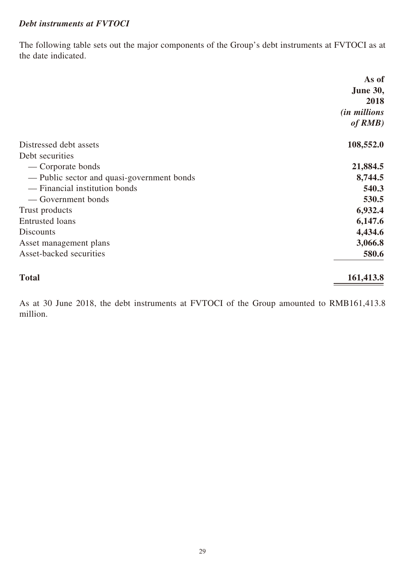## *Debt instruments at FVTOCI*

The following table sets out the major components of the Group's debt instruments at FVTOCI as at the date indicated.

|                                            | As of               |
|--------------------------------------------|---------------------|
|                                            | <b>June 30,</b>     |
|                                            | 2018                |
|                                            | <i>(in millions</i> |
|                                            | of RMB)             |
| Distressed debt assets                     | 108,552.0           |
| Debt securities                            |                     |
| — Corporate bonds                          | 21,884.5            |
| — Public sector and quasi-government bonds | 8,744.5             |
| - Financial institution bonds              | 540.3               |
| — Government bonds                         | 530.5               |
| Trust products                             | 6,932.4             |
| <b>Entrusted</b> loans                     | 6,147.6             |
| <b>Discounts</b>                           | 4,434.6             |
| Asset management plans                     | 3,066.8             |
| Asset-backed securities                    | 580.6               |
| <b>Total</b>                               | 161,413.8           |

As at 30 June 2018, the debt instruments at FVTOCI of the Group amounted to RMB161,413.8 million.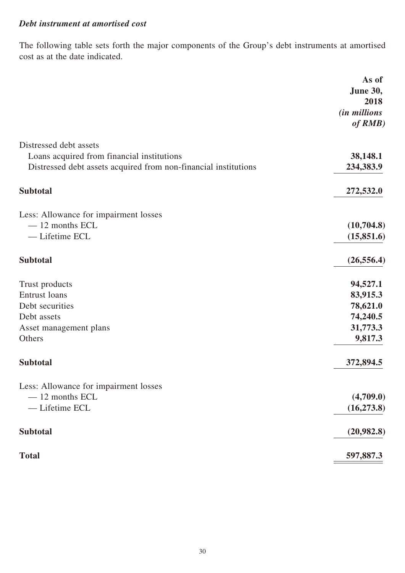## *Debt instrument at amortised cost*

The following table sets forth the major components of the Group's debt instruments at amortised cost as at the date indicated.

|                                                                 | As of                   |
|-----------------------------------------------------------------|-------------------------|
|                                                                 | <b>June 30,</b><br>2018 |
|                                                                 | <i>(in millions</i>     |
|                                                                 | of RMB)                 |
| Distressed debt assets                                          |                         |
| Loans acquired from financial institutions                      | 38,148.1                |
| Distressed debt assets acquired from non-financial institutions | 234,383.9               |
| <b>Subtotal</b>                                                 | 272,532.0               |
| Less: Allowance for impairment losses                           |                         |
| $-12$ months ECL                                                | (10,704.8)              |
| - Lifetime ECL                                                  | (15,851.6)              |
| <b>Subtotal</b>                                                 | (26, 556.4)             |
| Trust products                                                  | 94,527.1                |
| <b>Entrust</b> loans                                            | 83,915.3                |
| Debt securities                                                 | 78,621.0                |
| Debt assets                                                     | 74,240.5                |
| Asset management plans                                          | 31,773.3                |
| Others                                                          | 9,817.3                 |
| <b>Subtotal</b>                                                 | 372,894.5               |
| Less: Allowance for impairment losses                           |                         |
| $-12$ months ECL                                                | (4,709.0)               |
| - Lifetime ECL                                                  | (16, 273.8)             |
| <b>Subtotal</b>                                                 | (20,982.8)              |
| <b>Total</b>                                                    | 597,887.3               |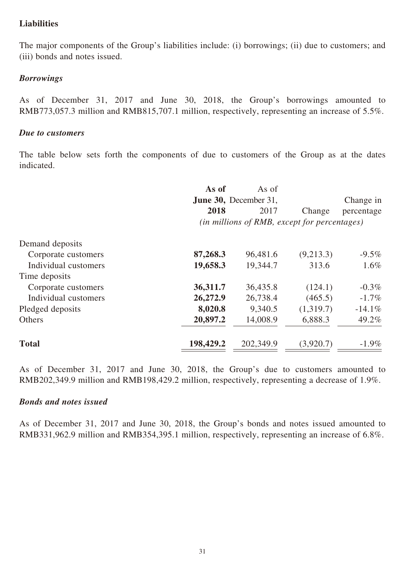## **Liabilities**

The major components of the Group's liabilities include: (i) borrowings; (ii) due to customers; and (iii) bonds and notes issued.

#### *Borrowings*

As of December 31, 2017 and June 30, 2018, the Group's borrowings amounted to RMB773,057.3 million and RMB815,707.1 million, respectively, representing an increase of 5.5%.

#### *Due to customers*

The table below sets forth the components of due to customers of the Group as at the dates indicated.

|                      | As of     | As of                                        |           |            |
|----------------------|-----------|----------------------------------------------|-----------|------------|
|                      |           | <b>June 30, December 31,</b>                 |           | Change in  |
|                      | 2018      | 2017                                         | Change    | percentage |
|                      |           | (in millions of RMB, except for percentages) |           |            |
| Demand deposits      |           |                                              |           |            |
| Corporate customers  | 87,268.3  | 96,481.6                                     | (9,213.3) | $-9.5\%$   |
| Individual customers | 19,658.3  | 19,344.7                                     | 313.6     | $1.6\%$    |
| Time deposits        |           |                                              |           |            |
| Corporate customers  | 36,311.7  | 36,435.8                                     | (124.1)   | $-0.3\%$   |
| Individual customers | 26,272.9  | 26,738.4                                     | (465.5)   | $-1.7\%$   |
| Pledged deposits     | 8,020.8   | 9,340.5                                      | (1,319.7) | $-14.1\%$  |
| Others               | 20,897.2  | 14,008.9                                     | 6,888.3   | 49.2%      |
| <b>Total</b>         | 198,429.2 | 202,349.9                                    | (3,920.7) | $-1.9\%$   |

As of December 31, 2017 and June 30, 2018, the Group's due to customers amounted to RMB202,349.9 million and RMB198,429.2 million, respectively, representing a decrease of 1.9%.

#### *Bonds and notes issued*

As of December 31, 2017 and June 30, 2018, the Group's bonds and notes issued amounted to RMB331,962.9 million and RMB354,395.1 million, respectively, representing an increase of 6.8%.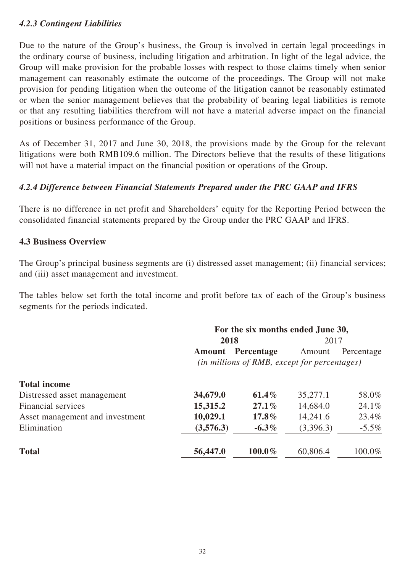## *4.2.3 Contingent Liabilities*

Due to the nature of the Group's business, the Group is involved in certain legal proceedings in the ordinary course of business, including litigation and arbitration. In light of the legal advice, the Group will make provision for the probable losses with respect to those claims timely when senior management can reasonably estimate the outcome of the proceedings. The Group will not make provision for pending litigation when the outcome of the litigation cannot be reasonably estimated or when the senior management believes that the probability of bearing legal liabilities is remote or that any resulting liabilities therefrom will not have a material adverse impact on the financial positions or business performance of the Group.

As of December 31, 2017 and June 30, 2018, the provisions made by the Group for the relevant litigations were both RMB109.6 million. The Directors believe that the results of these litigations will not have a material impact on the financial position or operations of the Group.

## *4.2.4 Difference between Financial Statements Prepared under the PRC GAAP and IFRS*

There is no difference in net profit and Shareholders' equity for the Reporting Period between the consolidated financial statements prepared by the Group under the PRC GAAP and IFRS.

#### **4.3 Business Overview**

The Group's principal business segments are (i) distressed asset management; (ii) financial services; and (iii) asset management and investment.

The tables below set forth the total income and profit before tax of each of the Group's business segments for the periods indicated.

|                                 | For the six months ended June 30, |            |                                                        |            |
|---------------------------------|-----------------------------------|------------|--------------------------------------------------------|------------|
|                                 | 2018                              |            | 2017                                                   |            |
|                                 | <b>Amount</b>                     | Percentage | Amount<br>(in millions of RMB, except for percentages) | Percentage |
| <b>Total income</b>             |                                   |            |                                                        |            |
| Distressed asset management     | 34,679.0                          | $61.4\%$   | 35,277.1                                               | 58.0%      |
| <b>Financial services</b>       | 15,315.2                          | $27.1\%$   | 14,684.0                                               | 24.1%      |
| Asset management and investment | 10,029.1                          | $17.8\%$   | 14,241.6                                               | 23.4%      |
| Elimination                     | (3,576.3)                         | $-6.3\%$   | (3,396.3)                                              | $-5.5\%$   |
| <b>Total</b>                    | 56,447.0                          | 100.0%     | 60,806.4                                               | 100.0%     |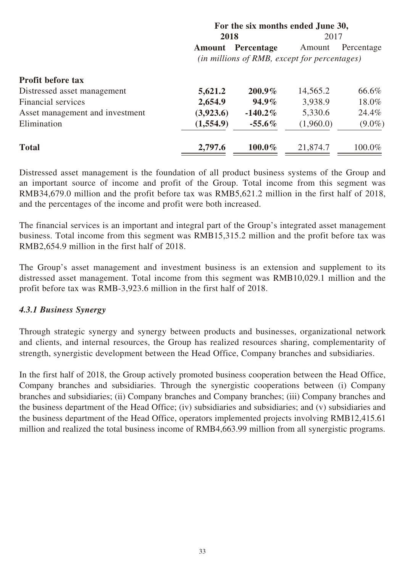|                                 |               |                                              | 1 of the six months chucu gune co, |            |
|---------------------------------|---------------|----------------------------------------------|------------------------------------|------------|
|                                 | 2018          |                                              | 2017                               |            |
|                                 | <b>Amount</b> | Percentage                                   | Amount                             | Percentage |
|                                 |               | (in millions of RMB, except for percentages) |                                    |            |
| <b>Profit before tax</b>        |               |                                              |                                    |            |
| Distressed asset management     | 5,621.2       | $200.9\%$                                    | 14,565.2                           | 66.6%      |
| Financial services              | 2,654.9       | $94.9\%$                                     | 3,938.9                            | 18.0%      |
| Asset management and investment | (3,923.6)     | $-140.2\%$                                   | 5,330.6                            | 24.4%      |
| Elimination                     | (1,554.9)     | $-55.6\%$                                    | (1,960.0)                          | $(9.0\%)$  |
| <b>Total</b>                    | 2,797.6       | $100.0\%$                                    | 21,874.7                           | 100.0%     |
|                                 |               |                                              |                                    |            |

**For the six months ended June 30,** 

Distressed asset management is the foundation of all product business systems of the Group and an important source of income and profit of the Group. Total income from this segment was RMB34,679.0 million and the profit before tax was RMB5,621.2 million in the first half of 2018, and the percentages of the income and profit were both increased.

The financial services is an important and integral part of the Group's integrated asset management business. Total income from this segment was RMB15,315.2 million and the profit before tax was RMB2,654.9 million in the first half of 2018.

The Group's asset management and investment business is an extension and supplement to its distressed asset management. Total income from this segment was RMB10,029.1 million and the profit before tax was RMB-3,923.6 million in the first half of 2018.

### *4.3.1 Business Synergy*

Through strategic synergy and synergy between products and businesses, organizational network and clients, and internal resources, the Group has realized resources sharing, complementarity of strength, synergistic development between the Head Office, Company branches and subsidiaries.

In the first half of 2018, the Group actively promoted business cooperation between the Head Office, Company branches and subsidiaries. Through the synergistic cooperations between (i) Company branches and subsidiaries; (ii) Company branches and Company branches; (iii) Company branches and the business department of the Head Office; (iv) subsidiaries and subsidiaries; and (v) subsidiaries and the business department of the Head Office, operators implemented projects involving RMB12,415.61 million and realized the total business income of RMB4,663.99 million from all synergistic programs.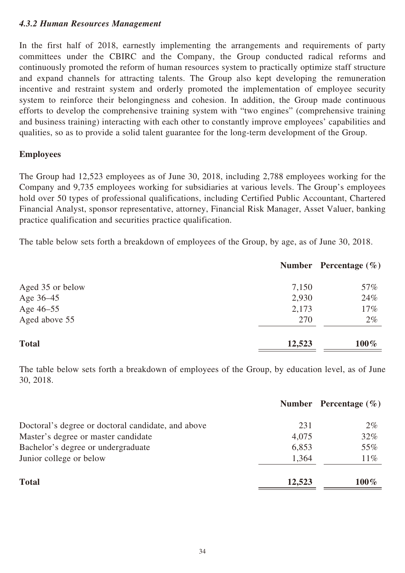## *4.3.2 Human Resources Management*

In the first half of 2018, earnestly implementing the arrangements and requirements of party committees under the CBIRC and the Company, the Group conducted radical reforms and continuously promoted the reform of human resources system to practically optimize staff structure and expand channels for attracting talents. The Group also kept developing the remuneration incentive and restraint system and orderly promoted the implementation of employee security system to reinforce their belongingness and cohesion. In addition, the Group made continuous efforts to develop the comprehensive training system with "two engines" (comprehensive training and business training) interacting with each other to constantly improve employees' capabilities and qualities, so as to provide a solid talent guarantee for the long-term development of the Group.

### **Employees**

The Group had 12,523 employees as of June 30, 2018, including 2,788 employees working for the Company and 9,735 employees working for subsidiaries at various levels. The Group's employees hold over 50 types of professional qualifications, including Certified Public Accountant, Chartered Financial Analyst, sponsor representative, attorney, Financial Risk Manager, Asset Valuer, banking practice qualification and securities practice qualification.

The table below sets forth a breakdown of employees of the Group, by age, as of June 30, 2018.

|                  |        | Number Percentage $(\% )$ |
|------------------|--------|---------------------------|
| Aged 35 or below | 7,150  | 57%                       |
| Age 36–45        | 2,930  | 24%                       |
| Age 46-55        | 2,173  | 17%                       |
| Aged above 55    | 270    | $2\%$                     |
| <b>Total</b>     | 12,523 | $100\%$                   |

The table below sets forth a breakdown of employees of the Group, by education level, as of June 30, 2018.

|                                                    |        | Number Percentage $(\% )$ |
|----------------------------------------------------|--------|---------------------------|
| Doctoral's degree or doctoral candidate, and above | 231    | $2\%$                     |
| Master's degree or master candidate                | 4,075  | 32%                       |
| Bachelor's degree or undergraduate                 | 6,853  | 55%                       |
| Junior college or below                            | 1,364  | $11\%$                    |
| <b>Total</b>                                       | 12,523 | $100\%$                   |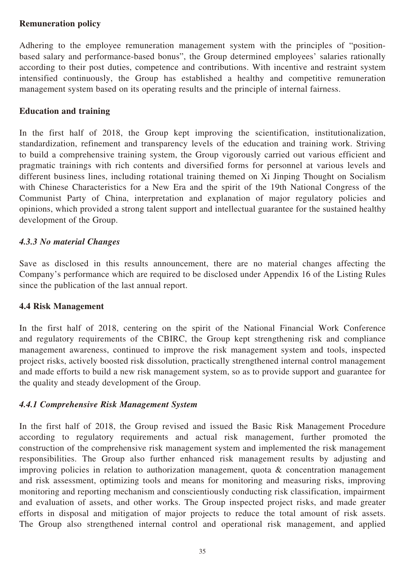## **Remuneration policy**

Adhering to the employee remuneration management system with the principles of "positionbased salary and performance-based bonus", the Group determined employees' salaries rationally according to their post duties, competence and contributions. With incentive and restraint system intensified continuously, the Group has established a healthy and competitive remuneration management system based on its operating results and the principle of internal fairness.

#### **Education and training**

In the first half of 2018, the Group kept improving the scientification, institutionalization, standardization, refinement and transparency levels of the education and training work. Striving to build a comprehensive training system, the Group vigorously carried out various efficient and pragmatic trainings with rich contents and diversified forms for personnel at various levels and different business lines, including rotational training themed on Xi Jinping Thought on Socialism with Chinese Characteristics for a New Era and the spirit of the 19th National Congress of the Communist Party of China, interpretation and explanation of major regulatory policies and opinions, which provided a strong talent support and intellectual guarantee for the sustained healthy development of the Group.

### *4.3.3 No material Changes*

Save as disclosed in this results announcement, there are no material changes affecting the Company's performance which are required to be disclosed under Appendix 16 of the Listing Rules since the publication of the last annual report.

### **4.4 Risk Management**

In the first half of 2018, centering on the spirit of the National Financial Work Conference and regulatory requirements of the CBIRC, the Group kept strengthening risk and compliance management awareness, continued to improve the risk management system and tools, inspected project risks, actively boosted risk dissolution, practically strengthened internal control management and made efforts to build a new risk management system, so as to provide support and guarantee for the quality and steady development of the Group.

### *4.4.1 Comprehensive Risk Management System*

In the first half of 2018, the Group revised and issued the Basic Risk Management Procedure according to regulatory requirements and actual risk management, further promoted the construction of the comprehensive risk management system and implemented the risk management responsibilities. The Group also further enhanced risk management results by adjusting and improving policies in relation to authorization management, quota  $\&$  concentration management and risk assessment, optimizing tools and means for monitoring and measuring risks, improving monitoring and reporting mechanism and conscientiously conducting risk classification, impairment and evaluation of assets, and other works. The Group inspected project risks, and made greater efforts in disposal and mitigation of major projects to reduce the total amount of risk assets. The Group also strengthened internal control and operational risk management, and applied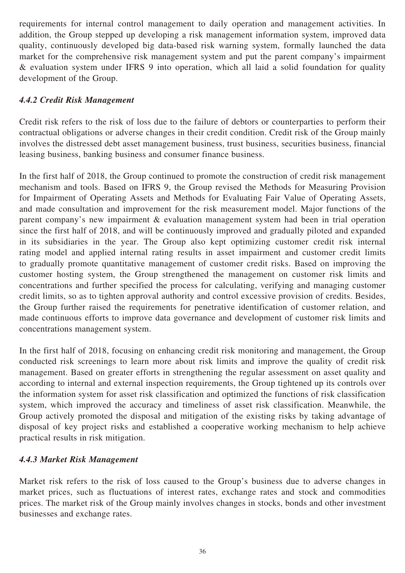requirements for internal control management to daily operation and management activities. In addition, the Group stepped up developing a risk management information system, improved data quality, continuously developed big data-based risk warning system, formally launched the data market for the comprehensive risk management system and put the parent company's impairment & evaluation system under IFRS 9 into operation, which all laid a solid foundation for quality development of the Group.

## *4.4.2 Credit Risk Management*

Credit risk refers to the risk of loss due to the failure of debtors or counterparties to perform their contractual obligations or adverse changes in their credit condition. Credit risk of the Group mainly involves the distressed debt asset management business, trust business, securities business, financial leasing business, banking business and consumer finance business.

In the first half of 2018, the Group continued to promote the construction of credit risk management mechanism and tools. Based on IFRS 9, the Group revised the Methods for Measuring Provision for Impairment of Operating Assets and Methods for Evaluating Fair Value of Operating Assets, and made consultation and improvement for the risk measurement model. Major functions of the parent company's new impairment & evaluation management system had been in trial operation since the first half of 2018, and will be continuously improved and gradually piloted and expanded in its subsidiaries in the year. The Group also kept optimizing customer credit risk internal rating model and applied internal rating results in asset impairment and customer credit limits to gradually promote quantitative management of customer credit risks. Based on improving the customer hosting system, the Group strengthened the management on customer risk limits and concentrations and further specified the process for calculating, verifying and managing customer credit limits, so as to tighten approval authority and control excessive provision of credits. Besides, the Group further raised the requirements for penetrative identification of customer relation, and made continuous efforts to improve data governance and development of customer risk limits and concentrations management system.

In the first half of 2018, focusing on enhancing credit risk monitoring and management, the Group conducted risk screenings to learn more about risk limits and improve the quality of credit risk management. Based on greater efforts in strengthening the regular assessment on asset quality and according to internal and external inspection requirements, the Group tightened up its controls over the information system for asset risk classification and optimized the functions of risk classification system, which improved the accuracy and timeliness of asset risk classification. Meanwhile, the Group actively promoted the disposal and mitigation of the existing risks by taking advantage of disposal of key project risks and established a cooperative working mechanism to help achieve practical results in risk mitigation.

## *4.4.3 Market Risk Management*

Market risk refers to the risk of loss caused to the Group's business due to adverse changes in market prices, such as fluctuations of interest rates, exchange rates and stock and commodities prices. The market risk of the Group mainly involves changes in stocks, bonds and other investment businesses and exchange rates.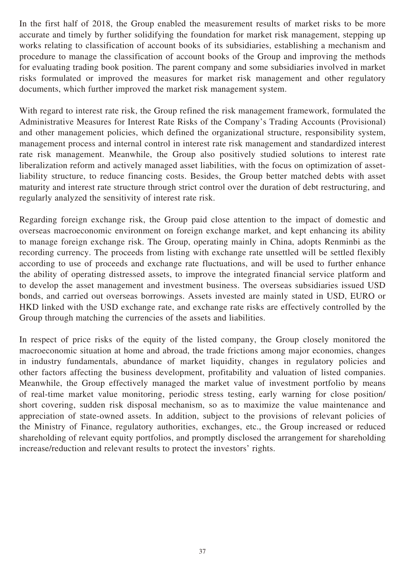In the first half of 2018, the Group enabled the measurement results of market risks to be more accurate and timely by further solidifying the foundation for market risk management, stepping up works relating to classification of account books of its subsidiaries, establishing a mechanism and procedure to manage the classification of account books of the Group and improving the methods for evaluating trading book position. The parent company and some subsidiaries involved in market risks formulated or improved the measures for market risk management and other regulatory documents, which further improved the market risk management system.

With regard to interest rate risk, the Group refined the risk management framework, formulated the Administrative Measures for Interest Rate Risks of the Company's Trading Accounts (Provisional) and other management policies, which defined the organizational structure, responsibility system, management process and internal control in interest rate risk management and standardized interest rate risk management. Meanwhile, the Group also positively studied solutions to interest rate liberalization reform and actively managed asset liabilities, with the focus on optimization of assetliability structure, to reduce financing costs. Besides, the Group better matched debts with asset maturity and interest rate structure through strict control over the duration of debt restructuring, and regularly analyzed the sensitivity of interest rate risk.

Regarding foreign exchange risk, the Group paid close attention to the impact of domestic and overseas macroeconomic environment on foreign exchange market, and kept enhancing its ability to manage foreign exchange risk. The Group, operating mainly in China, adopts Renminbi as the recording currency. The proceeds from listing with exchange rate unsettled will be settled flexibly according to use of proceeds and exchange rate fluctuations, and will be used to further enhance the ability of operating distressed assets, to improve the integrated financial service platform and to develop the asset management and investment business. The overseas subsidiaries issued USD bonds, and carried out overseas borrowings. Assets invested are mainly stated in USD, EURO or HKD linked with the USD exchange rate, and exchange rate risks are effectively controlled by the Group through matching the currencies of the assets and liabilities.

In respect of price risks of the equity of the listed company, the Group closely monitored the macroeconomic situation at home and abroad, the trade frictions among major economies, changes in industry fundamentals, abundance of market liquidity, changes in regulatory policies and other factors affecting the business development, profitability and valuation of listed companies. Meanwhile, the Group effectively managed the market value of investment portfolio by means of real-time market value monitoring, periodic stress testing, early warning for close position/ short covering, sudden risk disposal mechanism, so as to maximize the value maintenance and appreciation of state-owned assets. In addition, subject to the provisions of relevant policies of the Ministry of Finance, regulatory authorities, exchanges, etc., the Group increased or reduced shareholding of relevant equity portfolios, and promptly disclosed the arrangement for shareholding increase/reduction and relevant results to protect the investors' rights.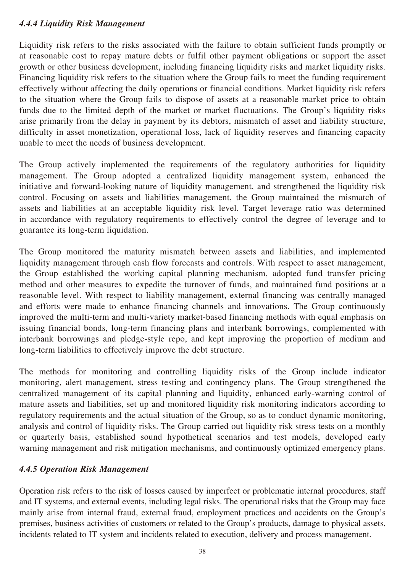## *4.4.4 Liquidity Risk Management*

Liquidity risk refers to the risks associated with the failure to obtain sufficient funds promptly or at reasonable cost to repay mature debts or fulfil other payment obligations or support the asset growth or other business development, including financing liquidity risks and market liquidity risks. Financing liquidity risk refers to the situation where the Group fails to meet the funding requirement effectively without affecting the daily operations or financial conditions. Market liquidity risk refers to the situation where the Group fails to dispose of assets at a reasonable market price to obtain funds due to the limited depth of the market or market fluctuations. The Group's liquidity risks arise primarily from the delay in payment by its debtors, mismatch of asset and liability structure, difficulty in asset monetization, operational loss, lack of liquidity reserves and financing capacity unable to meet the needs of business development.

The Group actively implemented the requirements of the regulatory authorities for liquidity management. The Group adopted a centralized liquidity management system, enhanced the initiative and forward-looking nature of liquidity management, and strengthened the liquidity risk control. Focusing on assets and liabilities management, the Group maintained the mismatch of assets and liabilities at an acceptable liquidity risk level. Target leverage ratio was determined in accordance with regulatory requirements to effectively control the degree of leverage and to guarantee its long-term liquidation.

The Group monitored the maturity mismatch between assets and liabilities, and implemented liquidity management through cash flow forecasts and controls. With respect to asset management, the Group established the working capital planning mechanism, adopted fund transfer pricing method and other measures to expedite the turnover of funds, and maintained fund positions at a reasonable level. With respect to liability management, external financing was centrally managed and efforts were made to enhance financing channels and innovations. The Group continuously improved the multi-term and multi-variety market-based financing methods with equal emphasis on issuing financial bonds, long-term financing plans and interbank borrowings, complemented with interbank borrowings and pledge-style repo, and kept improving the proportion of medium and long-term liabilities to effectively improve the debt structure.

The methods for monitoring and controlling liquidity risks of the Group include indicator monitoring, alert management, stress testing and contingency plans. The Group strengthened the centralized management of its capital planning and liquidity, enhanced early-warning control of mature assets and liabilities, set up and monitored liquidity risk monitoring indicators according to regulatory requirements and the actual situation of the Group, so as to conduct dynamic monitoring, analysis and control of liquidity risks. The Group carried out liquidity risk stress tests on a monthly or quarterly basis, established sound hypothetical scenarios and test models, developed early warning management and risk mitigation mechanisms, and continuously optimized emergency plans.

## *4.4.5 Operation Risk Management*

Operation risk refers to the risk of losses caused by imperfect or problematic internal procedures, staff and IT systems, and external events, including legal risks. The operational risks that the Group may face mainly arise from internal fraud, external fraud, employment practices and accidents on the Group's premises, business activities of customers or related to the Group's products, damage to physical assets, incidents related to IT system and incidents related to execution, delivery and process management.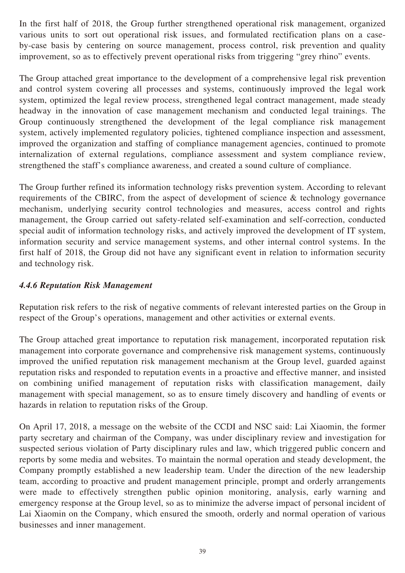In the first half of 2018, the Group further strengthened operational risk management, organized various units to sort out operational risk issues, and formulated rectification plans on a caseby-case basis by centering on source management, process control, risk prevention and quality improvement, so as to effectively prevent operational risks from triggering "grey rhino" events.

The Group attached great importance to the development of a comprehensive legal risk prevention and control system covering all processes and systems, continuously improved the legal work system, optimized the legal review process, strengthened legal contract management, made steady headway in the innovation of case management mechanism and conducted legal trainings. The Group continuously strengthened the development of the legal compliance risk management system, actively implemented regulatory policies, tightened compliance inspection and assessment, improved the organization and staffing of compliance management agencies, continued to promote internalization of external regulations, compliance assessment and system compliance review, strengthened the staff's compliance awareness, and created a sound culture of compliance.

The Group further refined its information technology risks prevention system. According to relevant requirements of the CBIRC, from the aspect of development of science & technology governance mechanism, underlying security control technologies and measures, access control and rights management, the Group carried out safety-related self-examination and self-correction, conducted special audit of information technology risks, and actively improved the development of IT system, information security and service management systems, and other internal control systems. In the first half of 2018, the Group did not have any significant event in relation to information security and technology risk.

## *4.4.6 Reputation Risk Management*

Reputation risk refers to the risk of negative comments of relevant interested parties on the Group in respect of the Group's operations, management and other activities or external events.

The Group attached great importance to reputation risk management, incorporated reputation risk management into corporate governance and comprehensive risk management systems, continuously improved the unified reputation risk management mechanism at the Group level, guarded against reputation risks and responded to reputation events in a proactive and effective manner, and insisted on combining unified management of reputation risks with classification management, daily management with special management, so as to ensure timely discovery and handling of events or hazards in relation to reputation risks of the Group.

On April 17, 2018, a message on the website of the CCDI and NSC said: Lai Xiaomin, the former party secretary and chairman of the Company, was under disciplinary review and investigation for suspected serious violation of Party disciplinary rules and law, which triggered public concern and reports by some media and websites. To maintain the normal operation and steady development, the Company promptly established a new leadership team. Under the direction of the new leadership team, according to proactive and prudent management principle, prompt and orderly arrangements were made to effectively strengthen public opinion monitoring, analysis, early warning and emergency response at the Group level, so as to minimize the adverse impact of personal incident of Lai Xiaomin on the Company, which ensured the smooth, orderly and normal operation of various businesses and inner management.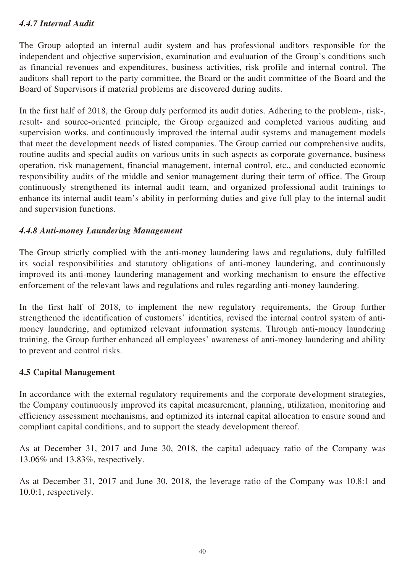## *4.4.7 Internal Audit*

The Group adopted an internal audit system and has professional auditors responsible for the independent and objective supervision, examination and evaluation of the Group's conditions such as financial revenues and expenditures, business activities, risk profile and internal control. The auditors shall report to the party committee, the Board or the audit committee of the Board and the Board of Supervisors if material problems are discovered during audits.

In the first half of 2018, the Group duly performed its audit duties. Adhering to the problem-, risk-, result- and source-oriented principle, the Group organized and completed various auditing and supervision works, and continuously improved the internal audit systems and management models that meet the development needs of listed companies. The Group carried out comprehensive audits, routine audits and special audits on various units in such aspects as corporate governance, business operation, risk management, financial management, internal control, etc., and conducted economic responsibility audits of the middle and senior management during their term of office. The Group continuously strengthened its internal audit team, and organized professional audit trainings to enhance its internal audit team's ability in performing duties and give full play to the internal audit and supervision functions.

### *4.4.8 Anti-money Laundering Management*

The Group strictly complied with the anti-money laundering laws and regulations, duly fulfilled its social responsibilities and statutory obligations of anti-money laundering, and continuously improved its anti-money laundering management and working mechanism to ensure the effective enforcement of the relevant laws and regulations and rules regarding anti-money laundering.

In the first half of 2018, to implement the new regulatory requirements, the Group further strengthened the identification of customers' identities, revised the internal control system of antimoney laundering, and optimized relevant information systems. Through anti-money laundering training, the Group further enhanced all employees' awareness of anti-money laundering and ability to prevent and control risks.

### **4.5 Capital Management**

In accordance with the external regulatory requirements and the corporate development strategies, the Company continuously improved its capital measurement, planning, utilization, monitoring and efficiency assessment mechanisms, and optimized its internal capital allocation to ensure sound and compliant capital conditions, and to support the steady development thereof.

As at December 31, 2017 and June 30, 2018, the capital adequacy ratio of the Company was 13.06% and 13.83%, respectively.

As at December 31, 2017 and June 30, 2018, the leverage ratio of the Company was 10.8:1 and 10.0:1, respectively.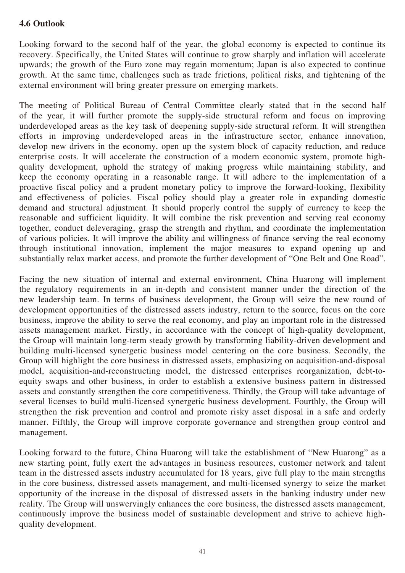## **4.6 Outlook**

Looking forward to the second half of the year, the global economy is expected to continue its recovery. Specifically, the United States will continue to grow sharply and inflation will accelerate upwards; the growth of the Euro zone may regain momentum; Japan is also expected to continue growth. At the same time, challenges such as trade frictions, political risks, and tightening of the external environment will bring greater pressure on emerging markets.

The meeting of Political Bureau of Central Committee clearly stated that in the second half of the year, it will further promote the supply-side structural reform and focus on improving underdeveloped areas as the key task of deepening supply-side structural reform. It will strengthen efforts in improving underdeveloped areas in the infrastructure sector, enhance innovation, develop new drivers in the economy, open up the system block of capacity reduction, and reduce enterprise costs. It will accelerate the construction of a modern economic system, promote highquality development, uphold the strategy of making progress while maintaining stability, and keep the economy operating in a reasonable range. It will adhere to the implementation of a proactive fiscal policy and a prudent monetary policy to improve the forward-looking, flexibility and effectiveness of policies. Fiscal policy should play a greater role in expanding domestic demand and structural adjustment. It should properly control the supply of currency to keep the reasonable and sufficient liquidity. It will combine the risk prevention and serving real economy together, conduct deleveraging, grasp the strength and rhythm, and coordinate the implementation of various policies. It will improve the ability and willingness of finance serving the real economy through institutional innovation, implement the major measures to expand opening up and substantially relax market access, and promote the further development of "One Belt and One Road".

Facing the new situation of internal and external environment, China Huarong will implement the regulatory requirements in an in-depth and consistent manner under the direction of the new leadership team. In terms of business development, the Group will seize the new round of development opportunities of the distressed assets industry, return to the source, focus on the core business, improve the ability to serve the real economy, and play an important role in the distressed assets management market. Firstly, in accordance with the concept of high-quality development, the Group will maintain long-term steady growth by transforming liability-driven development and building multi-licensed synergetic business model centering on the core business. Secondly, the Group will highlight the core business in distressed assets, emphasizing on acquisition-and-disposal model, acquisition-and-reconstructing model, the distressed enterprises reorganization, debt-toequity swaps and other business, in order to establish a extensive business pattern in distressed assets and constantly strengthen the core competitiveness. Thirdly, the Group will take advantage of several licenses to build multi-licensed synergetic business development. Fourthly, the Group will strengthen the risk prevention and control and promote risky asset disposal in a safe and orderly manner. Fifthly, the Group will improve corporate governance and strengthen group control and management.

Looking forward to the future, China Huarong will take the establishment of "New Huarong" as a new starting point, fully exert the advantages in business resources, customer network and talent team in the distressed assets industry accumulated for 18 years, give full play to the main strengths in the core business, distressed assets management, and multi-licensed synergy to seize the market opportunity of the increase in the disposal of distressed assets in the banking industry under new reality. The Group will unswervingly enhances the core business, the distressed assets management, continuously improve the business model of sustainable development and strive to achieve highquality development.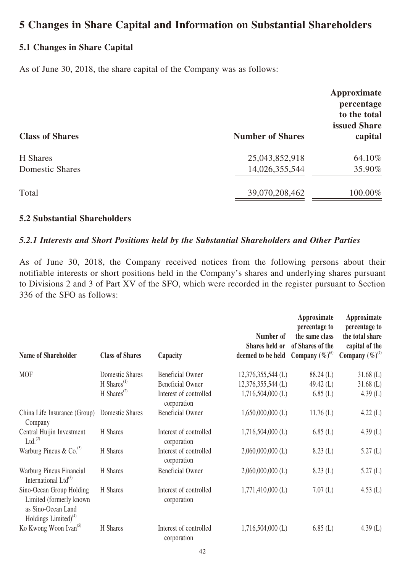## **5 Changes in Share Capital and Information on Substantial Shareholders**

## **5.1 Changes in Share Capital**

As of June 30, 2018, the share capital of the Company was as follows:

| <b>Class of Shares</b> | <b>Number of Shares</b> | Approximate<br>percentage<br>to the total<br><b>issued Share</b><br>capital |
|------------------------|-------------------------|-----------------------------------------------------------------------------|
| H Shares               | 25,043,852,918          | 64.10%                                                                      |
| <b>Domestic Shares</b> | 14,026,355,544          | 35.90%                                                                      |
| Total                  | 39,070,208,462          | 100.00%                                                                     |

#### **5.2 Substantial Shareholders**

### *5.2.1 Interests and Short Positions held by the Substantial Shareholders and Other Parties*

As of June 30, 2018, the Company received notices from the following persons about their notifiable interests or short positions held in the Company's shares and underlying shares pursuant to Divisions 2 and 3 of Part XV of the SFO, which were recorded in the register pursuant to Section 336 of the SFO as follows:

| <b>Name of Shareholder</b>                                                                           | <b>Class of Shares</b>               | Capacity                              | Number of<br>Shares held or<br>deemed to be held | Approximate<br>percentage to<br>the same class<br>of Shares of the<br>Company $(\%)^{(6)}$ | Approximate<br>percentage to<br>the total share<br>capital of the<br>Company $(\%)^{(7)}$ |
|------------------------------------------------------------------------------------------------------|--------------------------------------|---------------------------------------|--------------------------------------------------|--------------------------------------------------------------------------------------------|-------------------------------------------------------------------------------------------|
| <b>MOF</b>                                                                                           | Domestic Shares                      | <b>Beneficial Owner</b>               | 12,376,355,544 (L)                               | 88.24 (L)                                                                                  | $31.68$ (L)                                                                               |
|                                                                                                      | $H$ Shares <sup>(1)</sup>            | <b>Beneficial Owner</b>               | 12,376,355,544 (L)                               | 49.42 $(L)$                                                                                | $31.68$ (L)                                                                               |
|                                                                                                      | H Shares <sup><math>(2)</math></sup> | Interest of controlled<br>corporation | $1,716,504,000$ (L)                              | 6.85(L)                                                                                    | 4.39(L)                                                                                   |
| China Life Insurance (Group)<br>Company                                                              | Domestic Shares                      | <b>Beneficial Owner</b>               | $1,650,000,000$ (L)                              | $11.76$ (L)                                                                                | $4.22$ (L)                                                                                |
| Central Huijin Investment<br>$Ltd.$ <sup>(2)</sup>                                                   | H Shares                             | Interest of controlled<br>corporation | $1,716,504,000$ (L)                              | 6.85(L)                                                                                    | 4.39 $(L)$                                                                                |
| Warburg Pincus & Co. $^{(3)}$                                                                        | H Shares                             | Interest of controlled<br>corporation | $2,060,000,000$ (L)                              | 8.23(L)                                                                                    | 5.27(L)                                                                                   |
| Warburg Pincus Financial<br>International Ltd $^{(3)}$                                               | H Shares                             | <b>Beneficial Owner</b>               | $2,060,000,000$ (L)                              | 8.23(L)                                                                                    | 5.27(L)                                                                                   |
| Sino-Ocean Group Holding<br>Limited (formerly known<br>as Sino-Ocean Land<br>Holdings Limited) $(4)$ | H Shares                             | Interest of controlled<br>corporation | $1,771,410,000$ (L)                              | 7.07(L)                                                                                    | $4.53$ (L)                                                                                |
| Ko Kwong Woon Ivan <sup>(5)</sup>                                                                    | H Shares                             | Interest of controlled<br>corporation | $1,716,504,000$ (L)                              | 6.85(L)                                                                                    | 4.39 $(L)$                                                                                |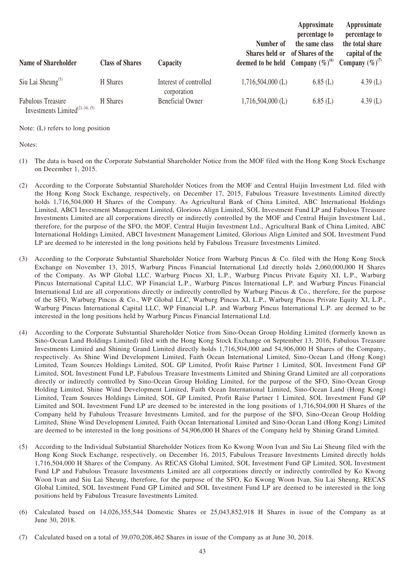| Name of Shareholder                                                      | <b>Class of Shares</b> | Capacity                              | Number of<br>Shares held or<br>deemed to be held Company $(\%)^{(0)}$ | Approximate<br>percentage to<br>the same class<br>of Shares of the | Approximate<br>percentage to<br>the total share<br>capital of the<br>Company $(\%)^{(7)}$ |
|--------------------------------------------------------------------------|------------------------|---------------------------------------|-----------------------------------------------------------------------|--------------------------------------------------------------------|-------------------------------------------------------------------------------------------|
| Siu Lai Sheung <sup>(5)</sup>                                            | H Shares               | Interest of controlled<br>corporation | $1,716,504,000$ (L)                                                   | 6.85(L)                                                            | 4.39 $(L)$                                                                                |
| <b>Fabulous Treasure</b><br>Investments Limited <sup>(2), (4), (5)</sup> | H Shares               | <b>Beneficial Owner</b>               | $1,716,504,000$ (L)                                                   | 6.85(L)                                                            | 4.39 $(L)$                                                                                |

Note: (L) refers to long position

Notes:

- (1) The data is based on the Corporate Substantial Shareholder Notice from the MOF filed with the Hong Kong Stock Exchange on December 1, 2015.
- (2) According to the Corporate Substantial Shareholder Notices from the MOF and Central Huijin Investment Ltd. filed with the Hong Kong Stock Exchange, respectively, on December 17, 2015, Fabulous Treasure Investments Limited directly holds 1,716,504,000 H Shares of the Company. As Agricultural Bank of China Limited, ABC International Holdings Limited, ABCI Investment Management Limited, Glorious Align Limited, SOL Investment Fund LP and Fabulous Treasure Investments Limited are all corporations directly or indirectly controlled by the MOF and Central Huijin Investment Ltd., therefore, for the purpose of the SFO, the MOF, Central Huijin Investment Ltd., Agricultural Bank of China Limited, ABC International Holdings Limited, ABCI Investment Management Limited, Glorious Align Limited and SOL Investment Fund LP are deemed to be interested in the long positions held by Fabulous Treasure Investments Limited.
- (3) According to the Corporate Substantial Shareholder Notice from Warburg Pincus & Co. filed with the Hong Kong Stock Exchange on November 13, 2015, Warburg Pincus Financial International Ltd directly holds 2,060,000,000 H Shares of the Company. As WP Global LLC, Warburg Pincus XI, L.P., Warburg Pincus Private Equity XI, L.P., Warburg Pincus International Capital LLC, WP Financial L.P., Warburg Pincus International L.P. and Warburg Pincus Financial International Ltd are all corporations directly or indirectly controlled by Warburg Pincus & Co., therefore, for the purpose of the SFO, Warburg Pincus & Co., WP Global LLC, Warburg Pincus XI, L.P., Warburg Pincus Private Equity XI, L.P., Warburg Pincus International Capital LLC, WP Financial L.P. and Warburg Pincus International L.P. are deemed to be interested in the long positions held by Warburg Pincus Financial International Ltd.
- (4) According to the Corporate Substantial Shareholder Notice from Sino-Ocean Group Holding Limited (formerly known as Sino-Ocean Land Holdings Limited) filed with the Hong Kong Stock Exchange on September 13, 2016, Fabulous Treasure Investments Limited and Shining Grand Limited directly holds 1,716,504,000 and 54,906,000 H Shares of the Company, respectively. As Shine Wind Development Limited, Faith Ocean International Limited, Sino-Ocean Land (Hong Kong) Limited, Team Sources Holdings Limited, SOL GP Limited, Profit Raise Partner 1 Limited, SOL Investment Fund GP Limited, SOL Investment Fund LP, Fabulous Treasure Investments Limited and Shining Grand Limited are all corporations directly or indirectly controlled by Sino-Ocean Group Holding Limited, for the purpose of the SFO, Sino-Ocean Group Holding Limited, Shine Wind Development Limited, Faith Ocean International Limited, Sino-Ocean Land (Hong Kong) Limited, Team Sources Holdings Limited, SOL GP Limited, Profit Raise Partner 1 Limited, SOL Investment Fund GP Limited and SOL Investment Fund LP are deemed to be interested in the long positions of 1,716,504,000 H Shares of the Company held by Fabulous Treasure Investments Limited, and for the purpose of the SFO, Sino-Ocean Group Holding Limited, Shine Wind Development Limited, Faith Ocean International Limited and Sino-Ocean Land (Hong Kong) Limited are deemed to be interested in the long positions of 54,906,000 H Shares of the Company held by Shining Grand Limited.
- (5) According to the Individual Substantial Shareholder Notices from Ko Kwong Woon Ivan and Siu Lai Sheung filed with the Hong Kong Stock Exchange, respectively, on December 16, 2015, Fabulous Treasure Investments Limited directly holds 1,716,504,000 H Shares of the Company. As RECAS Global Limited, SOL Investment Fund GP Limited, SOL Investment Fund LP and Fabulous Treasure Investments Limited are all corporations directly or indirectly controlled by Ko Kwong Woon Ivan and Siu Lai Sheung, therefore, for the purpose of the SFO, Ko Kwong Woon Ivan, Siu Lai Sheung, RECAS Global Limited, SOL Investment Fund GP Limited and SOL Investment Fund LP are deemed to be interested in the long positions held by Fabulous Treasure Investments Limited.
- (6) Calculated based on 14,026,355,544 Domestic Shares or 25,043,852,918 H Shares in issue of the Company as at June 30, 2018.

<sup>(7)</sup> Calculated based on a total of 39,070,208,462 Shares in issue of the Company as at June 30, 2018.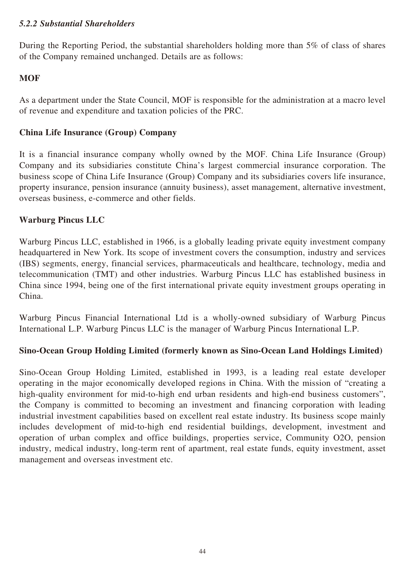### *5.2.2 Substantial Shareholders*

During the Reporting Period, the substantial shareholders holding more than 5% of class of shares of the Company remained unchanged. Details are as follows:

## **MOF**

As a department under the State Council, MOF is responsible for the administration at a macro level of revenue and expenditure and taxation policies of the PRC.

## **China Life Insurance (Group) Company**

It is a financial insurance company wholly owned by the MOF. China Life Insurance (Group) Company and its subsidiaries constitute China's largest commercial insurance corporation. The business scope of China Life Insurance (Group) Company and its subsidiaries covers life insurance, property insurance, pension insurance (annuity business), asset management, alternative investment, overseas business, e-commerce and other fields.

## **Warburg Pincus LLC**

Warburg Pincus LLC, established in 1966, is a globally leading private equity investment company headquartered in New York. Its scope of investment covers the consumption, industry and services (IBS) segments, energy, financial services, pharmaceuticals and healthcare, technology, media and telecommunication (TMT) and other industries. Warburg Pincus LLC has established business in China since 1994, being one of the first international private equity investment groups operating in China.

Warburg Pincus Financial International Ltd is a wholly-owned subsidiary of Warburg Pincus International L.P. Warburg Pincus LLC is the manager of Warburg Pincus International L.P.

## **Sino-Ocean Group Holding Limited (formerly known as Sino-Ocean Land Holdings Limited)**

Sino-Ocean Group Holding Limited, established in 1993, is a leading real estate developer operating in the major economically developed regions in China. With the mission of "creating a high-quality environment for mid-to-high end urban residents and high-end business customers", the Company is committed to becoming an investment and financing corporation with leading industrial investment capabilities based on excellent real estate industry. Its business scope mainly includes development of mid-to-high end residential buildings, development, investment and operation of urban complex and office buildings, properties service, Community O2O, pension industry, medical industry, long-term rent of apartment, real estate funds, equity investment, asset management and overseas investment etc.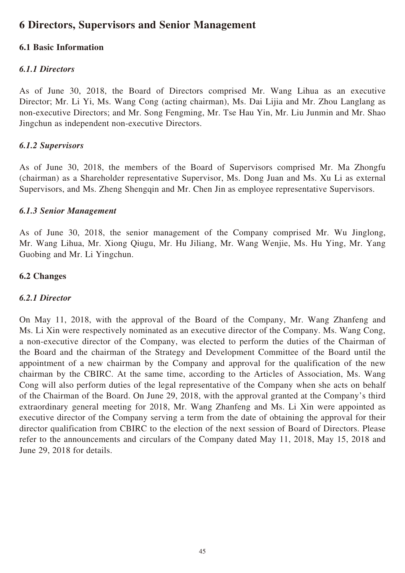## **6 Directors, Supervisors and Senior Management**

## **6.1 Basic Information**

### *6.1.1 Directors*

As of June 30, 2018, the Board of Directors comprised Mr. Wang Lihua as an executive Director; Mr. Li Yi, Ms. Wang Cong (acting chairman), Ms. Dai Lijia and Mr. Zhou Langlang as non-executive Directors; and Mr. Song Fengming, Mr. Tse Hau Yin, Mr. Liu Junmin and Mr. Shao Jingchun as independent non-executive Directors.

### *6.1.2 Supervisors*

As of June 30, 2018, the members of the Board of Supervisors comprised Mr. Ma Zhongfu (chairman) as a Shareholder representative Supervisor, Ms. Dong Juan and Ms. Xu Li as external Supervisors, and Ms. Zheng Shengqin and Mr. Chen Jin as employee representative Supervisors.

### *6.1.3 Senior Management*

As of June 30, 2018, the senior management of the Company comprised Mr. Wu Jinglong, Mr. Wang Lihua, Mr. Xiong Qiugu, Mr. Hu Jiliang, Mr. Wang Wenjie, Ms. Hu Ying, Mr. Yang Guobing and Mr. Li Yingchun.

### **6.2 Changes**

### *6.2.1 Director*

On May 11, 2018, with the approval of the Board of the Company, Mr. Wang Zhanfeng and Ms. Li Xin were respectively nominated as an executive director of the Company. Ms. Wang Cong, a non-executive director of the Company, was elected to perform the duties of the Chairman of the Board and the chairman of the Strategy and Development Committee of the Board until the appointment of a new chairman by the Company and approval for the qualification of the new chairman by the CBIRC. At the same time, according to the Articles of Association, Ms. Wang Cong will also perform duties of the legal representative of the Company when she acts on behalf of the Chairman of the Board. On June 29, 2018, with the approval granted at the Company's third extraordinary general meeting for 2018, Mr. Wang Zhanfeng and Ms. Li Xin were appointed as executive director of the Company serving a term from the date of obtaining the approval for their director qualification from CBIRC to the election of the next session of Board of Directors. Please refer to the announcements and circulars of the Company dated May 11, 2018, May 15, 2018 and June 29, 2018 for details.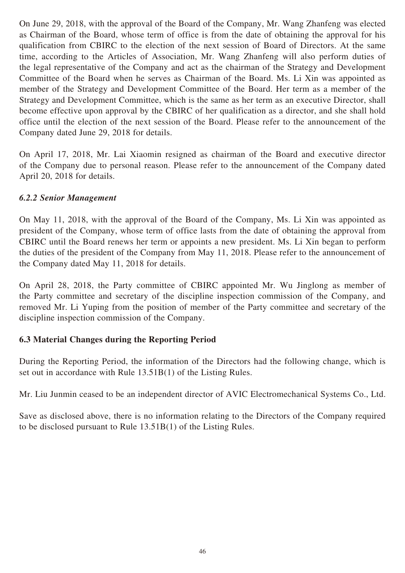On June 29, 2018, with the approval of the Board of the Company, Mr. Wang Zhanfeng was elected as Chairman of the Board, whose term of office is from the date of obtaining the approval for his qualification from CBIRC to the election of the next session of Board of Directors. At the same time, according to the Articles of Association, Mr. Wang Zhanfeng will also perform duties of the legal representative of the Company and act as the chairman of the Strategy and Development Committee of the Board when he serves as Chairman of the Board. Ms. Li Xin was appointed as member of the Strategy and Development Committee of the Board. Her term as a member of the Strategy and Development Committee, which is the same as her term as an executive Director, shall become effective upon approval by the CBIRC of her qualification as a director, and she shall hold office until the election of the next session of the Board. Please refer to the announcement of the Company dated June 29, 2018 for details.

On April 17, 2018, Mr. Lai Xiaomin resigned as chairman of the Board and executive director of the Company due to personal reason. Please refer to the announcement of the Company dated April 20, 2018 for details.

## *6.2.2 Senior Management*

On May 11, 2018, with the approval of the Board of the Company, Ms. Li Xin was appointed as president of the Company, whose term of office lasts from the date of obtaining the approval from CBIRC until the Board renews her term or appoints a new president. Ms. Li Xin began to perform the duties of the president of the Company from May 11, 2018. Please refer to the announcement of the Company dated May 11, 2018 for details.

On April 28, 2018, the Party committee of CBIRC appointed Mr. Wu Jinglong as member of the Party committee and secretary of the discipline inspection commission of the Company, and removed Mr. Li Yuping from the position of member of the Party committee and secretary of the discipline inspection commission of the Company.

## **6.3 Material Changes during the Reporting Period**

During the Reporting Period, the information of the Directors had the following change, which is set out in accordance with Rule 13.51B(1) of the Listing Rules.

Mr. Liu Junmin ceased to be an independent director of AVIC Electromechanical Systems Co., Ltd.

Save as disclosed above, there is no information relating to the Directors of the Company required to be disclosed pursuant to Rule 13.51B(1) of the Listing Rules.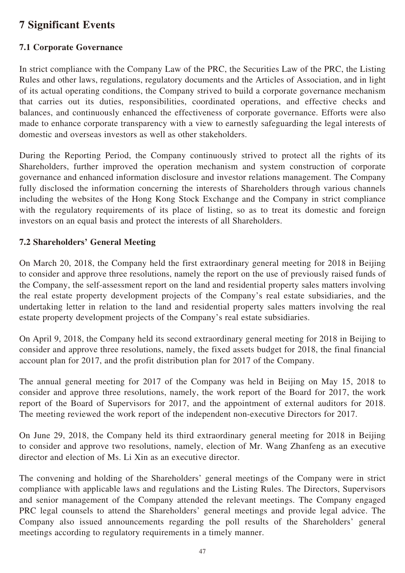## **7 Significant Events**

## **7.1 Corporate Governance**

In strict compliance with the Company Law of the PRC, the Securities Law of the PRC, the Listing Rules and other laws, regulations, regulatory documents and the Articles of Association, and in light of its actual operating conditions, the Company strived to build a corporate governance mechanism that carries out its duties, responsibilities, coordinated operations, and effective checks and balances, and continuously enhanced the effectiveness of corporate governance. Efforts were also made to enhance corporate transparency with a view to earnestly safeguarding the legal interests of domestic and overseas investors as well as other stakeholders.

During the Reporting Period, the Company continuously strived to protect all the rights of its Shareholders, further improved the operation mechanism and system construction of corporate governance and enhanced information disclosure and investor relations management. The Company fully disclosed the information concerning the interests of Shareholders through various channels including the websites of the Hong Kong Stock Exchange and the Company in strict compliance with the regulatory requirements of its place of listing, so as to treat its domestic and foreign investors on an equal basis and protect the interests of all Shareholders.

## **7.2 Shareholders' General Meeting**

On March 20, 2018, the Company held the first extraordinary general meeting for 2018 in Beijing to consider and approve three resolutions, namely the report on the use of previously raised funds of the Company, the self-assessment report on the land and residential property sales matters involving the real estate property development projects of the Company's real estate subsidiaries, and the undertaking letter in relation to the land and residential property sales matters involving the real estate property development projects of the Company's real estate subsidiaries.

On April 9, 2018, the Company held its second extraordinary general meeting for 2018 in Beijing to consider and approve three resolutions, namely, the fixed assets budget for 2018, the final financial account plan for 2017, and the profit distribution plan for 2017 of the Company.

The annual general meeting for 2017 of the Company was held in Beijing on May 15, 2018 to consider and approve three resolutions, namely, the work report of the Board for 2017, the work report of the Board of Supervisors for 2017, and the appointment of external auditors for 2018. The meeting reviewed the work report of the independent non-executive Directors for 2017.

On June 29, 2018, the Company held its third extraordinary general meeting for 2018 in Beijing to consider and approve two resolutions, namely, election of Mr. Wang Zhanfeng as an executive director and election of Ms. Li Xin as an executive director.

The convening and holding of the Shareholders' general meetings of the Company were in strict compliance with applicable laws and regulations and the Listing Rules. The Directors, Supervisors and senior management of the Company attended the relevant meetings. The Company engaged PRC legal counsels to attend the Shareholders' general meetings and provide legal advice. The Company also issued announcements regarding the poll results of the Shareholders' general meetings according to regulatory requirements in a timely manner.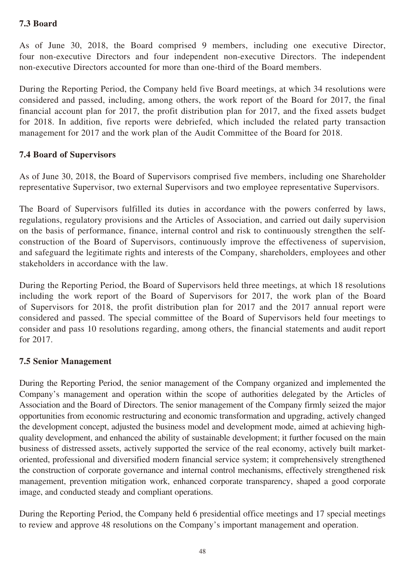## **7.3 Board**

As of June 30, 2018, the Board comprised 9 members, including one executive Director, four non-executive Directors and four independent non-executive Directors. The independent non-executive Directors accounted for more than one-third of the Board members.

During the Reporting Period, the Company held five Board meetings, at which 34 resolutions were considered and passed, including, among others, the work report of the Board for 2017, the final financial account plan for 2017, the profit distribution plan for 2017, and the fixed assets budget for 2018. In addition, five reports were debriefed, which included the related party transaction management for 2017 and the work plan of the Audit Committee of the Board for 2018.

## **7.4 Board of Supervisors**

As of June 30, 2018, the Board of Supervisors comprised five members, including one Shareholder representative Supervisor, two external Supervisors and two employee representative Supervisors.

The Board of Supervisors fulfilled its duties in accordance with the powers conferred by laws, regulations, regulatory provisions and the Articles of Association, and carried out daily supervision on the basis of performance, finance, internal control and risk to continuously strengthen the selfconstruction of the Board of Supervisors, continuously improve the effectiveness of supervision, and safeguard the legitimate rights and interests of the Company, shareholders, employees and other stakeholders in accordance with the law.

During the Reporting Period, the Board of Supervisors held three meetings, at which 18 resolutions including the work report of the Board of Supervisors for 2017, the work plan of the Board of Supervisors for 2018, the profit distribution plan for 2017 and the 2017 annual report were considered and passed. The special committee of the Board of Supervisors held four meetings to consider and pass 10 resolutions regarding, among others, the financial statements and audit report for 2017.

## **7.5 Senior Management**

During the Reporting Period, the senior management of the Company organized and implemented the Company's management and operation within the scope of authorities delegated by the Articles of Association and the Board of Directors. The senior management of the Company firmly seized the major opportunities from economic restructuring and economic transformation and upgrading, actively changed the development concept, adjusted the business model and development mode, aimed at achieving highquality development, and enhanced the ability of sustainable development; it further focused on the main business of distressed assets, actively supported the service of the real economy, actively built marketoriented, professional and diversified modern financial service system; it comprehensively strengthened the construction of corporate governance and internal control mechanisms, effectively strengthened risk management, prevention mitigation work, enhanced corporate transparency, shaped a good corporate image, and conducted steady and compliant operations.

During the Reporting Period, the Company held 6 presidential office meetings and 17 special meetings to review and approve 48 resolutions on the Company's important management and operation.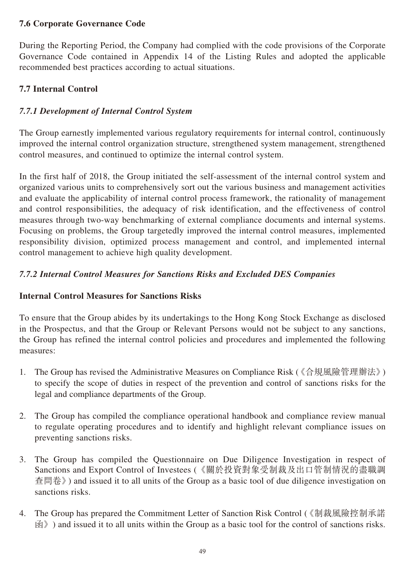## **7.6 Corporate Governance Code**

During the Reporting Period, the Company had complied with the code provisions of the Corporate Governance Code contained in Appendix 14 of the Listing Rules and adopted the applicable recommended best practices according to actual situations.

## **7.7 Internal Control**

## *7.7.1 Development of Internal Control System*

The Group earnestly implemented various regulatory requirements for internal control, continuously improved the internal control organization structure, strengthened system management, strengthened control measures, and continued to optimize the internal control system.

In the first half of 2018, the Group initiated the self-assessment of the internal control system and organized various units to comprehensively sort out the various business and management activities and evaluate the applicability of internal control process framework, the rationality of management and control responsibilities, the adequacy of risk identification, and the effectiveness of control measures through two-way benchmarking of external compliance documents and internal systems. Focusing on problems, the Group targetedly improved the internal control measures, implemented responsibility division, optimized process management and control, and implemented internal control management to achieve high quality development.

## *7.7.2 Internal Control Measures for Sanctions Risks and Excluded DES Companies*

## **Internal Control Measures for Sanctions Risks**

To ensure that the Group abides by its undertakings to the Hong Kong Stock Exchange as disclosed in the Prospectus, and that the Group or Relevant Persons would not be subject to any sanctions, the Group has refined the internal control policies and procedures and implemented the following measures:

- 1. The Group has revised the Administrative Measures on Compliance Risk (《合規風險管理辦法》) to specify the scope of duties in respect of the prevention and control of sanctions risks for the legal and compliance departments of the Group.
- 2. The Group has compiled the compliance operational handbook and compliance review manual to regulate operating procedures and to identify and highlight relevant compliance issues on preventing sanctions risks.
- 3. The Group has compiled the Questionnaire on Due Diligence Investigation in respect of Sanctions and Export Control of Investees (《關於投資對象受制裁及出口管制情況的盡職調 查問卷》) and issued it to all units of the Group as a basic tool of due diligence investigation on sanctions risks.
- 4. The Group has prepared the Commitment Letter of Sanction Risk Control (《制裁風險控制承諾  $\mathbb{R}$  ) and issued it to all units within the Group as a basic tool for the control of sanctions risks.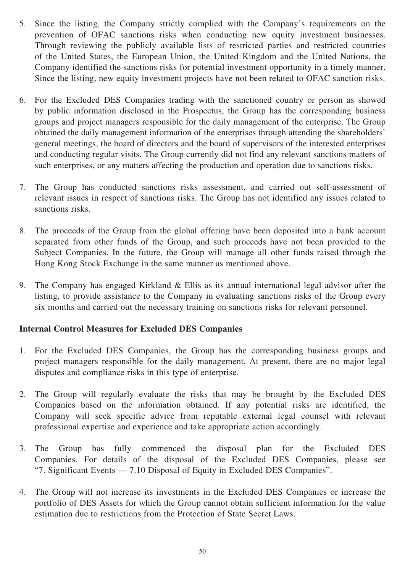- 5. Since the listing, the Company strictly complied with the Company's requirements on the prevention of OFAC sanctions risks when conducting new equity investment businesses. Through reviewing the publicly available lists of restricted parties and restricted countries of the United States, the European Union, the United Kingdom and the United Nations, the Company identified the sanctions risks for potential investment opportunity in a timely manner. Since the listing, new equity investment projects have not been related to OFAC sanction risks.
- 6. For the Excluded DES Companies trading with the sanctioned country or person as showed by public information disclosed in the Prospectus, the Group has the corresponding business groups and project managers responsible for the daily management of the enterprise. The Group obtained the daily management information of the enterprises through attending the shareholders' general meetings, the board of directors and the board of supervisors of the interested enterprises and conducting regular visits. The Group currently did not find any relevant sanctions matters of such enterprises, or any matters affecting the production and operation due to sanctions risks.
- 7. The Group has conducted sanctions risks assessment, and carried out self-assessment of relevant issues in respect of sanctions risks. The Group has not identified any issues related to sanctions risks.
- 8. The proceeds of the Group from the global offering have been deposited into a bank account separated from other funds of the Group, and such proceeds have not been provided to the Subject Companies. In the future, the Group will manage all other funds raised through the Hong Kong Stock Exchange in the same manner as mentioned above.
- 9. The Company has engaged Kirkland & Ellis as its annual international legal advisor after the listing, to provide assistance to the Company in evaluating sanctions risks of the Group every six months and carried out the necessary training on sanctions risks for relevant personnel.

## **Internal Control Measures for Excluded DES Companies**

- 1. For the Excluded DES Companies, the Group has the corresponding business groups and project managers responsible for the daily management. At present, there are no major legal disputes and compliance risks in this type of enterprise.
- 2. The Group will regularly evaluate the risks that may be brought by the Excluded DES Companies based on the information obtained. If any potential risks are identified, the Company will seek specific advice from reputable external legal counsel with relevant professional expertise and experience and take appropriate action accordingly.
- 3. The Group has fully commenced the disposal plan for the Excluded DES Companies. For details of the disposal of the Excluded DES Companies, please see "7. Significant Events — 7.10 Disposal of Equity in Excluded DES Companies".
- 4. The Group will not increase its investments in the Excluded DES Companies or increase the portfolio of DES Assets for which the Group cannot obtain sufficient information for the value estimation due to restrictions from the Protection of State Secret Laws.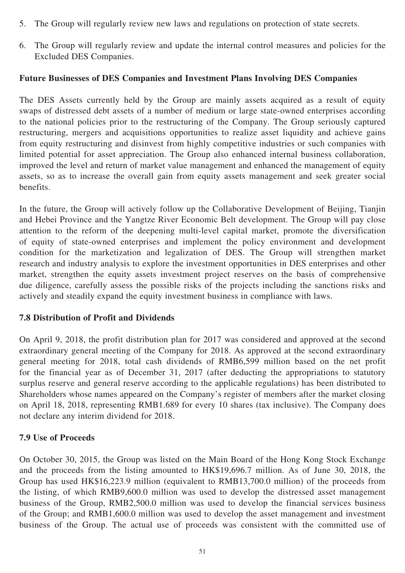- 5. The Group will regularly review new laws and regulations on protection of state secrets.
- 6. The Group will regularly review and update the internal control measures and policies for the Excluded DES Companies.

#### **Future Businesses of DES Companies and Investment Plans Involving DES Companies**

The DES Assets currently held by the Group are mainly assets acquired as a result of equity swaps of distressed debt assets of a number of medium or large state-owned enterprises according to the national policies prior to the restructuring of the Company. The Group seriously captured restructuring, mergers and acquisitions opportunities to realize asset liquidity and achieve gains from equity restructuring and disinvest from highly competitive industries or such companies with limited potential for asset appreciation. The Group also enhanced internal business collaboration, improved the level and return of market value management and enhanced the management of equity assets, so as to increase the overall gain from equity assets management and seek greater social benefits.

In the future, the Group will actively follow up the Collaborative Development of Beijing, Tianjin and Hebei Province and the Yangtze River Economic Belt development. The Group will pay close attention to the reform of the deepening multi-level capital market, promote the diversification of equity of state-owned enterprises and implement the policy environment and development condition for the marketization and legalization of DES. The Group will strengthen market research and industry analysis to explore the investment opportunities in DES enterprises and other market, strengthen the equity assets investment project reserves on the basis of comprehensive due diligence, carefully assess the possible risks of the projects including the sanctions risks and actively and steadily expand the equity investment business in compliance with laws.

### **7.8 Distribution of Profit and Dividends**

On April 9, 2018, the profit distribution plan for 2017 was considered and approved at the second extraordinary general meeting of the Company for 2018. As approved at the second extraordinary general meeting for 2018, total cash dividends of RMB6,599 million based on the net profit for the financial year as of December 31, 2017 (after deducting the appropriations to statutory surplus reserve and general reserve according to the applicable regulations) has been distributed to Shareholders whose names appeared on the Company's register of members after the market closing on April 18, 2018, representing RMB1.689 for every 10 shares (tax inclusive). The Company does not declare any interim dividend for 2018.

### **7.9 Use of Proceeds**

On October 30, 2015, the Group was listed on the Main Board of the Hong Kong Stock Exchange and the proceeds from the listing amounted to HK\$19,696.7 million. As of June 30, 2018, the Group has used HK\$16,223.9 million (equivalent to RMB13,700.0 million) of the proceeds from the listing, of which RMB9,600.0 million was used to develop the distressed asset management business of the Group, RMB2,500.0 million was used to develop the financial services business of the Group; and RMB1,600.0 million was used to develop the asset management and investment business of the Group. The actual use of proceeds was consistent with the committed use of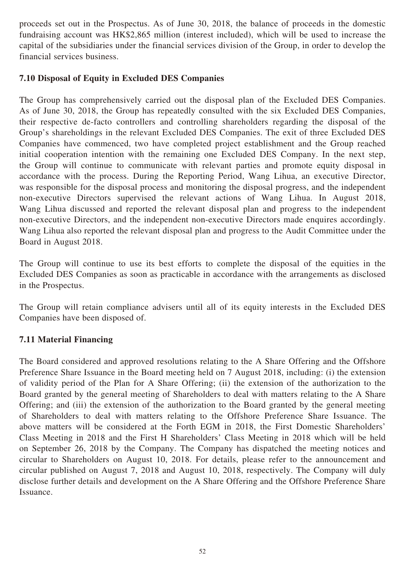proceeds set out in the Prospectus. As of June 30, 2018, the balance of proceeds in the domestic fundraising account was HK\$2,865 million (interest included), which will be used to increase the capital of the subsidiaries under the financial services division of the Group, in order to develop the financial services business.

## **7.10 Disposal of Equity in Excluded DES Companies**

The Group has comprehensively carried out the disposal plan of the Excluded DES Companies. As of June 30, 2018, the Group has repeatedly consulted with the six Excluded DES Companies, their respective de-facto controllers and controlling shareholders regarding the disposal of the Group's shareholdings in the relevant Excluded DES Companies. The exit of three Excluded DES Companies have commenced, two have completed project establishment and the Group reached initial cooperation intention with the remaining one Excluded DES Company. In the next step, the Group will continue to communicate with relevant parties and promote equity disposal in accordance with the process. During the Reporting Period, Wang Lihua, an executive Director, was responsible for the disposal process and monitoring the disposal progress, and the independent non-executive Directors supervised the relevant actions of Wang Lihua. In August 2018, Wang Lihua discussed and reported the relevant disposal plan and progress to the independent non-executive Directors, and the independent non-executive Directors made enquires accordingly. Wang Lihua also reported the relevant disposal plan and progress to the Audit Committee under the Board in August 2018.

The Group will continue to use its best efforts to complete the disposal of the equities in the Excluded DES Companies as soon as practicable in accordance with the arrangements as disclosed in the Prospectus.

The Group will retain compliance advisers until all of its equity interests in the Excluded DES Companies have been disposed of.

## **7.11 Material Financing**

The Board considered and approved resolutions relating to the A Share Offering and the Offshore Preference Share Issuance in the Board meeting held on 7 August 2018, including: (i) the extension of validity period of the Plan for A Share Offering; (ii) the extension of the authorization to the Board granted by the general meeting of Shareholders to deal with matters relating to the A Share Offering; and (iii) the extension of the authorization to the Board granted by the general meeting of Shareholders to deal with matters relating to the Offshore Preference Share Issuance. The above matters will be considered at the Forth EGM in 2018, the First Domestic Shareholders' Class Meeting in 2018 and the First H Shareholders' Class Meeting in 2018 which will be held on September 26, 2018 by the Company. The Company has dispatched the meeting notices and circular to Shareholders on August 10, 2018. For details, please refer to the announcement and circular published on August 7, 2018 and August 10, 2018, respectively. The Company will duly disclose further details and development on the A Share Offering and the Offshore Preference Share Issuance.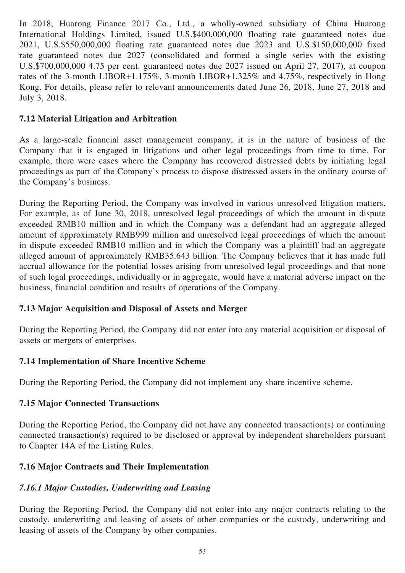In 2018, Huarong Finance 2017 Co., Ltd., a wholly-owned subsidiary of China Huarong International Holdings Limited, issued U.S.\$400,000,000 floating rate guaranteed notes due 2021, U.S.\$550,000,000 floating rate guaranteed notes due 2023 and U.S.\$150,000,000 fixed rate guaranteed notes due 2027 (consolidated and formed a single series with the existing U.S.\$700,000,000 4.75 per cent. guaranteed notes due 2027 issued on April 27, 2017), at coupon rates of the 3-month LIBOR+1.175%, 3-month LIBOR+1.325% and 4.75%, respectively in Hong Kong. For details, please refer to relevant announcements dated June 26, 2018, June 27, 2018 and July 3, 2018.

## **7.12 Material Litigation and Arbitration**

As a large-scale financial asset management company, it is in the nature of business of the Company that it is engaged in litigations and other legal proceedings from time to time. For example, there were cases where the Company has recovered distressed debts by initiating legal proceedings as part of the Company's process to dispose distressed assets in the ordinary course of the Company's business.

During the Reporting Period, the Company was involved in various unresolved litigation matters. For example, as of June 30, 2018, unresolved legal proceedings of which the amount in dispute exceeded RMB10 million and in which the Company was a defendant had an aggregate alleged amount of approximately RMB999 million and unresolved legal proceedings of which the amount in dispute exceeded RMB10 million and in which the Company was a plaintiff had an aggregate alleged amount of approximately RMB35.643 billion. The Company believes that it has made full accrual allowance for the potential losses arising from unresolved legal proceedings and that none of such legal proceedings, individually or in aggregate, would have a material adverse impact on the business, financial condition and results of operations of the Company.

## **7.13 Major Acquisition and Disposal of Assets and Merger**

During the Reporting Period, the Company did not enter into any material acquisition or disposal of assets or mergers of enterprises.

## **7.14 Implementation of Share Incentive Scheme**

During the Reporting Period, the Company did not implement any share incentive scheme.

## **7.15 Major Connected Transactions**

During the Reporting Period, the Company did not have any connected transaction(s) or continuing connected transaction(s) required to be disclosed or approval by independent shareholders pursuant to Chapter 14A of the Listing Rules.

## **7.16 Major Contracts and Their Implementation**

## *7.16.1 Major Custodies, Underwriting and Leasing*

During the Reporting Period, the Company did not enter into any major contracts relating to the custody, underwriting and leasing of assets of other companies or the custody, underwriting and leasing of assets of the Company by other companies.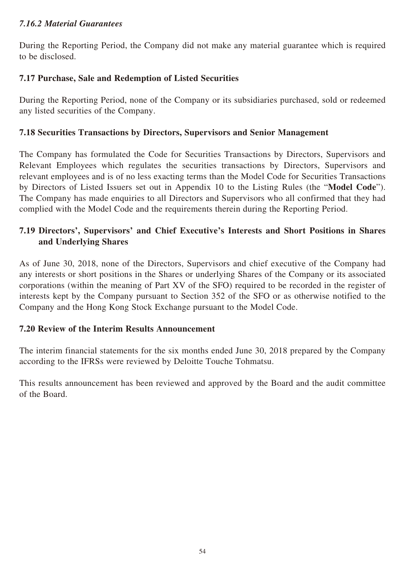## *7.16.2 Material Guarantees*

During the Reporting Period, the Company did not make any material guarantee which is required to be disclosed.

## **7.17 Purchase, Sale and Redemption of Listed Securities**

During the Reporting Period, none of the Company or its subsidiaries purchased, sold or redeemed any listed securities of the Company.

## **7.18 Securities Transactions by Directors, Supervisors and Senior Management**

The Company has formulated the Code for Securities Transactions by Directors, Supervisors and Relevant Employees which regulates the securities transactions by Directors, Supervisors and relevant employees and is of no less exacting terms than the Model Code for Securities Transactions by Directors of Listed Issuers set out in Appendix 10 to the Listing Rules (the "**Model Code**"). The Company has made enquiries to all Directors and Supervisors who all confirmed that they had complied with the Model Code and the requirements therein during the Reporting Period.

## **7.19 Directors', Supervisors' and Chief Executive's Interests and Short Positions in Shares and Underlying Shares**

As of June 30, 2018, none of the Directors, Supervisors and chief executive of the Company had any interests or short positions in the Shares or underlying Shares of the Company or its associated corporations (within the meaning of Part XV of the SFO) required to be recorded in the register of interests kept by the Company pursuant to Section 352 of the SFO or as otherwise notified to the Company and the Hong Kong Stock Exchange pursuant to the Model Code.

## **7.20 Review of the Interim Results Announcement**

The interim financial statements for the six months ended June 30, 2018 prepared by the Company according to the IFRSs were reviewed by Deloitte Touche Tohmatsu.

This results announcement has been reviewed and approved by the Board and the audit committee of the Board.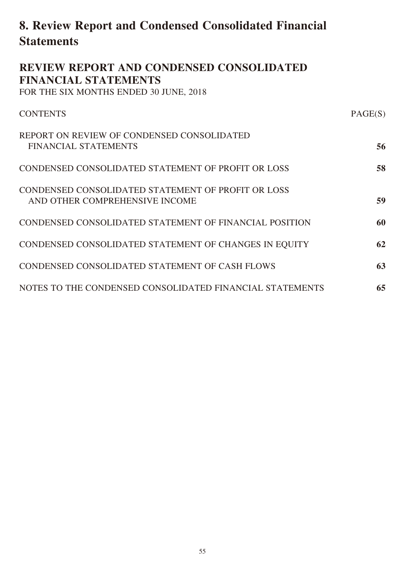# **8. Review Report and Condensed Consolidated Financial Statements**

**REVIEW REPORT AND CONDENSED CONSOLIDATED** 

| <b>FINANCIAL STATEMENTS</b><br>FOR THE SIX MONTHS ENDED 30 JUNE, 2018                |         |
|--------------------------------------------------------------------------------------|---------|
| <b>CONTENTS</b>                                                                      | PAGE(S) |
| REPORT ON REVIEW OF CONDENSED CONSOLIDATED<br><b>FINANCIAL STATEMENTS</b>            | 56      |
| CONDENSED CONSOLIDATED STATEMENT OF PROFIT OR LOSS                                   | 58      |
| CONDENSED CONSOLIDATED STATEMENT OF PROFIT OR LOSS<br>AND OTHER COMPREHENSIVE INCOME | 59      |
| CONDENSED CONSOLIDATED STATEMENT OF FINANCIAL POSITION                               | 60      |
| CONDENSED CONSOLIDATED STATEMENT OF CHANGES IN EQUITY                                | 62      |
| CONDENSED CONSOLIDATED STATEMENT OF CASH FLOWS                                       | 63      |
| NOTES TO THE CONDENSED CONSOLIDATED FINANCIAL STATEMENTS                             | 65      |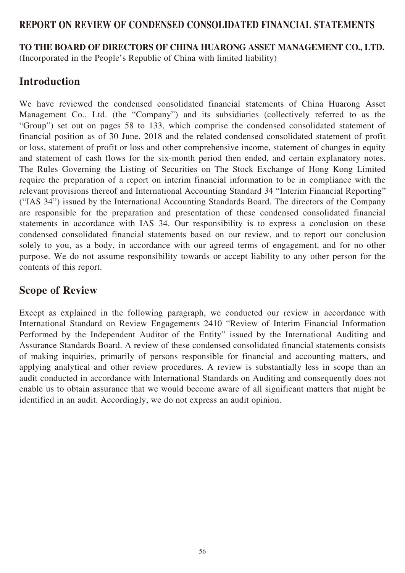## **REPORT ON REVIEW OF CONDENSED CONSOLIDATED FINANCIAL STATEMENTS**

**TO THE BOARD OF DIRECTORS OF CHINA HUARONG ASSET MANAGEMENT CO., LTD.**

(Incorporated in the People's Republic of China with limited liability)

# **Introduction**

We have reviewed the condensed consolidated financial statements of China Huarong Asset Management Co., Ltd. (the "Company") and its subsidiaries (collectively referred to as the "Group") set out on pages 58 to 133, which comprise the condensed consolidated statement of financial position as of 30 June, 2018 and the related condensed consolidated statement of profit or loss, statement of profit or loss and other comprehensive income, statement of changes in equity and statement of cash flows for the six-month period then ended, and certain explanatory notes. The Rules Governing the Listing of Securities on The Stock Exchange of Hong Kong Limited require the preparation of a report on interim financial information to be in compliance with the relevant provisions thereof and International Accounting Standard 34 "Interim Financial Reporting" ("IAS 34") issued by the International Accounting Standards Board. The directors of the Company are responsible for the preparation and presentation of these condensed consolidated financial statements in accordance with IAS 34. Our responsibility is to express a conclusion on these condensed consolidated financial statements based on our review, and to report our conclusion solely to you, as a body, in accordance with our agreed terms of engagement, and for no other purpose. We do not assume responsibility towards or accept liability to any other person for the contents of this report.

## **Scope of Review**

Except as explained in the following paragraph, we conducted our review in accordance with International Standard on Review Engagements 2410 "Review of Interim Financial Information Performed by the Independent Auditor of the Entity" issued by the International Auditing and Assurance Standards Board. A review of these condensed consolidated financial statements consists of making inquiries, primarily of persons responsible for financial and accounting matters, and applying analytical and other review procedures. A review is substantially less in scope than an audit conducted in accordance with International Standards on Auditing and consequently does not enable us to obtain assurance that we would become aware of all significant matters that might be identified in an audit. Accordingly, we do not express an audit opinion.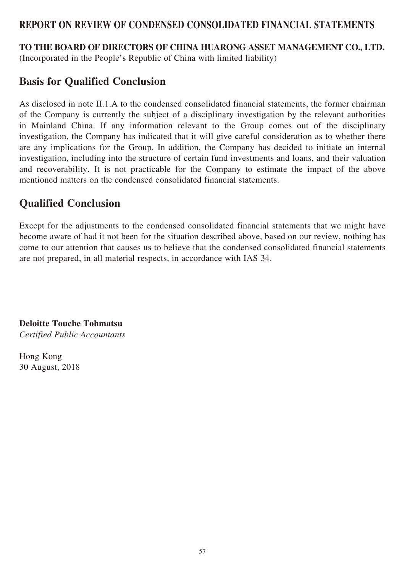## **REPORT ON REVIEW OF CONDENSED CONSOLIDATED FINANCIAL STATEMENTS**

**TO THE BOARD OF DIRECTORS OF CHINA HUARONG ASSET MANAGEMENT CO., LTD.** (Incorporated in the People's Republic of China with limited liability)

## **Basis for Qualified Conclusion**

As disclosed in note II.1.A to the condensed consolidated financial statements, the former chairman of the Company is currently the subject of a disciplinary investigation by the relevant authorities in Mainland China. If any information relevant to the Group comes out of the disciplinary investigation, the Company has indicated that it will give careful consideration as to whether there are any implications for the Group. In addition, the Company has decided to initiate an internal investigation, including into the structure of certain fund investments and loans, and their valuation and recoverability. It is not practicable for the Company to estimate the impact of the above mentioned matters on the condensed consolidated financial statements.

## **Qualified Conclusion**

Except for the adjustments to the condensed consolidated financial statements that we might have become aware of had it not been for the situation described above, based on our review, nothing has come to our attention that causes us to believe that the condensed consolidated financial statements are not prepared, in all material respects, in accordance with IAS 34.

**Deloitte Touche Tohmatsu** *Certified Public Accountants*

Hong Kong 30 August, 2018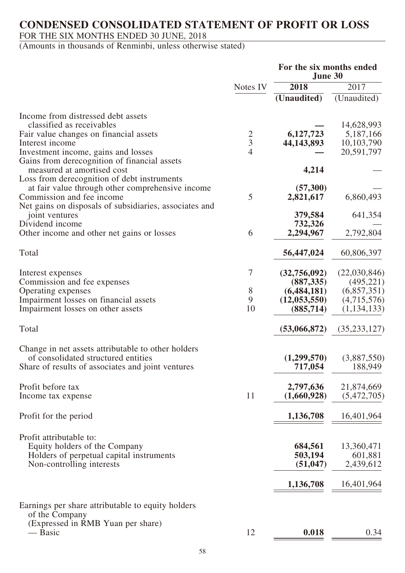## **CONDENSED CONSOLIDATED STATEMENT OF PROFIT OR LOSS**

## FOR THE SIX MONTHS ENDED 30 JUNE, 2018

|                                                                                     |               | For the six months ended<br>June 30 |                |  |  |
|-------------------------------------------------------------------------------------|---------------|-------------------------------------|----------------|--|--|
|                                                                                     | Notes IV      | 2018                                | 2017           |  |  |
|                                                                                     |               | (Unaudited)                         | (Unaudited)    |  |  |
| Income from distressed debt assets                                                  |               |                                     |                |  |  |
| classified as receivables                                                           |               |                                     | 14,628,993     |  |  |
| Fair value changes on financial assets                                              |               | 6,127,723                           | 5,187,166      |  |  |
| Interest income                                                                     | $\frac{2}{3}$ | 44, 143, 893                        | 10,103,790     |  |  |
|                                                                                     | 4             |                                     | 20,591,797     |  |  |
| Investment income, gains and losses<br>Gains from derecognition of financial assets |               |                                     |                |  |  |
| measured at amortised cost                                                          |               | 4,214                               |                |  |  |
| Loss from derecognition of debt instruments                                         |               |                                     |                |  |  |
|                                                                                     |               | (57,300)                            |                |  |  |
| at fair value through other comprehensive income<br>Commission and fee income       | 5             | 2,821,617                           | 6,860,493      |  |  |
|                                                                                     |               |                                     |                |  |  |
| Net gains on disposals of subsidiaries, associates and                              |               |                                     |                |  |  |
| joint ventures<br>Dividend income                                                   |               | 379,584                             | 641,354        |  |  |
|                                                                                     | 6             | 732,326<br>2,294,967                |                |  |  |
| Other income and other net gains or losses                                          |               |                                     | 2,792,804      |  |  |
| Total                                                                               |               | 56,447,024                          | 60,806,397     |  |  |
|                                                                                     |               |                                     |                |  |  |
| Interest expenses                                                                   | 7             | (32,756,092)                        | (22,030,846)   |  |  |
| Commission and fee expenses                                                         |               | (887, 335)                          | (495, 221)     |  |  |
| Operating expenses                                                                  | 8             | (6,484,181)                         | (6,857,351)    |  |  |
| Impairment losses on financial assets                                               | 9             | (12, 053, 550)                      | (4,715,576)    |  |  |
| Impairment losses on other assets                                                   | 10            | (885, 714)                          | (1, 134, 133)  |  |  |
|                                                                                     |               |                                     |                |  |  |
| Total                                                                               |               | (53,066,872)                        | (35, 233, 127) |  |  |
|                                                                                     |               |                                     |                |  |  |
| Change in net assets attributable to other holders                                  |               |                                     |                |  |  |
| of consolidated structured entities                                                 |               | (1,299,570)                         | (3,887,550)    |  |  |
| Share of results of associates and joint ventures                                   |               | 717,054                             | 188,949        |  |  |
| Profit before tax                                                                   |               | 2,797,636                           | 21,874,669     |  |  |
| Income tax expense                                                                  | 11            | (1,660,928)                         | (5,472,705)    |  |  |
|                                                                                     |               |                                     |                |  |  |
| Profit for the period                                                               |               | 1,136,708                           | 16,401,964     |  |  |
|                                                                                     |               |                                     |                |  |  |
| Profit attributable to:                                                             |               |                                     |                |  |  |
| Equity holders of the Company                                                       |               | 684,561                             | 13,360,471     |  |  |
| Holders of perpetual capital instruments                                            |               | 503,194                             | 601,881        |  |  |
|                                                                                     |               | (51, 047)                           | 2,439,612      |  |  |
| Non-controlling interests                                                           |               |                                     |                |  |  |
|                                                                                     |               | 1,136,708                           | 16,401,964     |  |  |
|                                                                                     |               |                                     |                |  |  |
| Earnings per share attributable to equity holders                                   |               |                                     |                |  |  |
| of the Company                                                                      |               |                                     |                |  |  |
| (Expressed in RMB Yuan per share)                                                   |               |                                     |                |  |  |
| — Basic                                                                             | 12            | 0.018                               | 0.34           |  |  |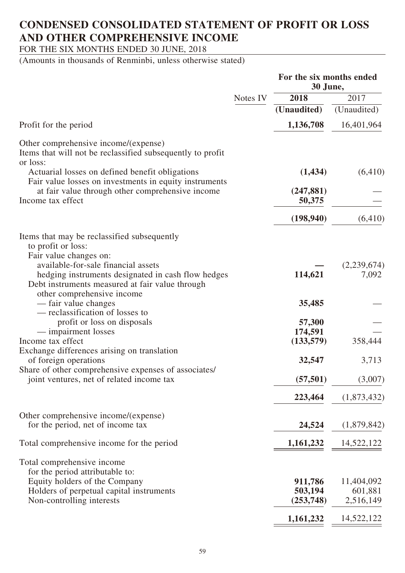# **CONDENSED CONSOLIDATED STATEMENT OF PROFIT OR LOSS AND OTHER COMPREHENSIVE INCOME**

FOR THE SIX MONTHS ENDED 30 JUNE, 2018

|                                                                                                                                                                                                                                             |          | For the six months ended<br>30 June, |                                    |
|---------------------------------------------------------------------------------------------------------------------------------------------------------------------------------------------------------------------------------------------|----------|--------------------------------------|------------------------------------|
|                                                                                                                                                                                                                                             | Notes IV | 2018                                 | 2017                               |
|                                                                                                                                                                                                                                             |          | (Unaudited)                          | (Unaudited)                        |
| Profit for the period                                                                                                                                                                                                                       |          | 1,136,708                            | 16,401,964                         |
| Other comprehensive income/(expense)<br>Items that will not be reclassified subsequently to profit<br>or loss:                                                                                                                              |          |                                      |                                    |
| Actuarial losses on defined benefit obligations<br>Fair value losses on investments in equity instruments                                                                                                                                   |          | (1, 434)                             | (6, 410)                           |
| at fair value through other comprehensive income<br>Income tax effect                                                                                                                                                                       |          | (247, 881)<br>50,375                 |                                    |
|                                                                                                                                                                                                                                             |          | (198, 940)                           | (6, 410)                           |
| Items that may be reclassified subsequently<br>to profit or loss:<br>Fair value changes on:<br>available-for-sale financial assets<br>hedging instruments designated in cash flow hedges<br>Debt instruments measured at fair value through |          | 114,621                              | (2,239,674)<br>7,092               |
| other comprehensive income<br>— fair value changes<br>- reclassification of losses to                                                                                                                                                       |          | 35,485                               |                                    |
| profit or loss on disposals<br>— impairment losses                                                                                                                                                                                          |          | 57,300<br>174,591                    |                                    |
| Income tax effect                                                                                                                                                                                                                           |          | (133, 579)                           | 358,444                            |
| Exchange differences arising on translation<br>of foreign operations<br>Share of other comprehensive expenses of associates/                                                                                                                |          | 32,547                               | 3,713                              |
| joint ventures, net of related income tax                                                                                                                                                                                                   |          | (57, 501)                            | (3,007)                            |
|                                                                                                                                                                                                                                             |          | 223,464                              | (1,873,432)                        |
| Other comprehensive income/(expense)<br>for the period, net of income tax                                                                                                                                                                   |          | 24,524                               | (1,879,842)                        |
| Total comprehensive income for the period                                                                                                                                                                                                   |          | 1,161,232                            | 14,522,122                         |
| Total comprehensive income<br>for the period attributable to:<br>Equity holders of the Company<br>Holders of perpetual capital instruments<br>Non-controlling interests                                                                     |          | 911,786<br>503,194<br>(253,748)      | 11,404,092<br>601,881<br>2,516,149 |
|                                                                                                                                                                                                                                             |          | 1,161,232                            | 14,522,122                         |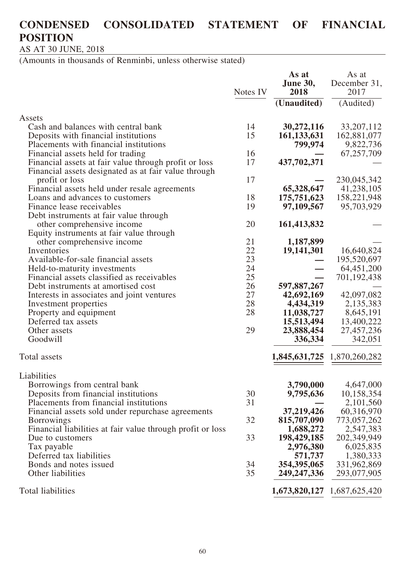# **CONDENSED CONSOLIDATED STATEMENT OF FINANCIAL POSITION**

AS AT 30 JUNE, 2018

|                                                                                                                                      | Notes IV       | As at<br><b>June 30,</b><br>2018<br>(Unaudited) | As at<br>December 31,<br>2017<br>(Audited) |
|--------------------------------------------------------------------------------------------------------------------------------------|----------------|-------------------------------------------------|--------------------------------------------|
| Assets<br>Cash and balances with central bank<br>Deposits with financial institutions                                                | 14<br>15       | 30,272,116<br>161, 133, 631                     | 33, 207, 112<br>162,881,077                |
| Placements with financial institutions<br>Financial assets held for trading                                                          | 16             | 799,974                                         | 9,822,736<br>67,257,709                    |
| Financial assets at fair value through profit or loss<br>Financial assets designated as at fair value through<br>profit or loss      | 17<br>17       | 437,702,371                                     | 230,045,342                                |
| Financial assets held under resale agreements<br>Loans and advances to customers                                                     | 18             | 65,328,647<br>175,751,623                       | 41,238,105<br>158,221,948                  |
| Finance lease receivables<br>Debt instruments at fair value through                                                                  | 19             | 97,109,567                                      | 95,703,929                                 |
| other comprehensive income<br>Equity instruments at fair value through<br>other comprehensive income                                 | 20<br>21       | 161,413,832<br>1,187,899                        |                                            |
| Inventories<br>Available-for-sale financial assets                                                                                   | 22<br>23       | 19, 141, 301                                    | 16,640,824<br>195,520,697                  |
| Held-to-maturity investments<br>Financial assets classified as receivables                                                           | 24<br>25       |                                                 | 64,451,200<br>701, 192, 438                |
| Debt instruments at amortised cost<br>Interests in associates and joint ventures<br>Investment properties                            | 26<br>27<br>28 | 597,887,267<br>42,692,169<br>4,434,319          | 42,097,082<br>2,135,383                    |
| Property and equipment<br>Deferred tax assets                                                                                        | 28             | 11,038,727<br>15,513,494                        | 8,645,191<br>13,400,222                    |
| Other assets<br>Goodwill                                                                                                             | 29             | 23,888,454<br>336,334                           | 27,457,236<br>342,051                      |
| Total assets                                                                                                                         |                | 1,845,631,725                                   | 1,870,260,282                              |
| Liabilities<br>Borrowings from central bank                                                                                          |                | 3,790,000                                       | 4,647,000                                  |
| Deposits from financial institutions<br>Placements from financial institutions                                                       | 30<br>31       | 9,795,636                                       | 10,158,354<br>2,101,560                    |
| Financial assets sold under repurchase agreements<br><b>Borrowings</b><br>Financial liabilities at fair value through profit or loss | 32             | 37,219,426<br>815,707,090<br>1,688,272          | 60,316,970<br>773,057,262<br>2,547,383     |
| Due to customers<br>Tax payable                                                                                                      | 33             | 198,429,185<br>2,976,380                        | 202,349,949<br>6,025,835                   |
| Deferred tax liabilities<br>Bonds and notes issued<br>Other liabilities                                                              | 34<br>35       | 571,737<br>354,395,065<br>249, 247, 336         | 1,380,333<br>331,962,869<br>293,077,905    |
| Total liabilities                                                                                                                    |                | 1,673,820,127                                   | 1,687,625,420                              |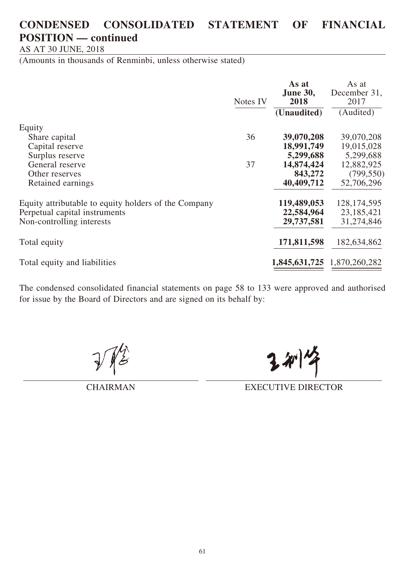## **CONDENSED CONSOLIDATED STATEMENT OF FINANCIAL POSITION — continued**

AS AT 30 JUNE, 2018

(Amounts in thousands of Renminbi, unless otherwise stated)

|                                                      | Notes IV | As at<br><b>June 30,</b><br>2018<br>(Unaudited) | As at<br>December 31,<br>2017<br>(Audited) |
|------------------------------------------------------|----------|-------------------------------------------------|--------------------------------------------|
| Equity                                               |          |                                                 |                                            |
| Share capital                                        | 36       | 39,070,208                                      | 39,070,208                                 |
| Capital reserve                                      |          | 18,991,749                                      | 19,015,028                                 |
| Surplus reserve                                      |          | 5,299,688                                       | 5,299,688                                  |
| General reserve                                      | 37       | 14,874,424                                      | 12,882,925                                 |
| Other reserves                                       |          | 843,272                                         | (799, 550)                                 |
| Retained earnings                                    |          | 40,409,712                                      | 52,706,296                                 |
| Equity attributable to equity holders of the Company |          | 119,489,053                                     | 128, 174, 595                              |
| Perpetual capital instruments                        |          | 22,584,964                                      | 23,185,421                                 |
| Non-controlling interests                            |          | 29,737,581                                      | 31,274,846                                 |
| Total equity                                         |          | 171,811,598                                     | 182,634,862                                |
| Total equity and liabilities                         |          | 1,845,631,725                                   | 1,870,260,282                              |

The condensed consolidated financial statements on page 58 to 133 were approved and authorised for issue by the Board of Directors and are signed on its behalf by:

CHAIRMAN EXECUTIVE DIRECTOR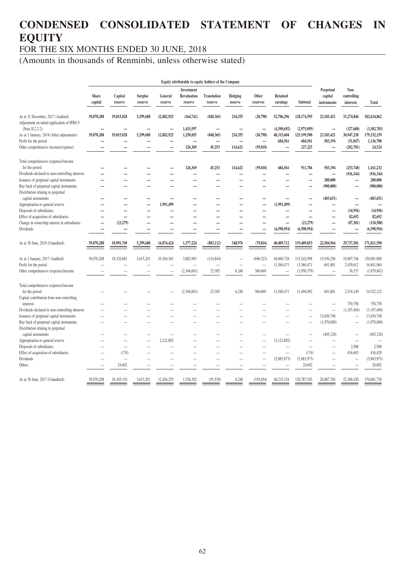# **CONDENSED CONSOLIDATED STATEMENT OF CHANGES IN EQUITY**

FOR THE SIX MONTHS ENDED 30 JUNE, 2018

|                                                                                  |                         |                          |                           |                          |                                             | Equity attributable to equity holders of the Company |                          |                                       |                           |                            |                                        |                                  |                            |
|----------------------------------------------------------------------------------|-------------------------|--------------------------|---------------------------|--------------------------|---------------------------------------------|------------------------------------------------------|--------------------------|---------------------------------------|---------------------------|----------------------------|----------------------------------------|----------------------------------|----------------------------|
|                                                                                  | <b>Share</b><br>capital | Capital<br>reserve       | <b>Surplus</b><br>reserve | General<br>reserve       | <b>Investment</b><br>Revaluation<br>reserve | <b>Translation</b><br>reserve                        | Hedging<br>reserve       | Other<br>reserves                     | Retained<br>earnings      | Subtotal                   | Perpetual<br>capital<br>instruments    | Non-<br>controlling<br>interests | Total                      |
| As at 31 December, 2017 (Audited)<br>Adjustment on initial application of IFRS 9 | 39,070,208              | 19,015,028               | 5,299,688                 | 12,882,925               | (164, 742)                                  | (848, 365)                                           | 234,355                  | (20,798)                              | 52,706,296                | 128,174,595                | 23,185,421                             | 31,274,846                       | 182,634,862                |
| (Note $II.2.2.2$ )<br>As at 1 January, 2018 (After adjustments)                  | 39,070,208              | 19,015,028               | 5,299,688                 | 12,882,925               | 1,415,597<br>1,250,855                      | (848, 365)                                           | 234,355                  | $\overline{\phantom{0}}$<br>(20,798)  | (4,390,692)<br>48,315,604 | (2,975,095)<br>125,199,500 | $\overline{\phantom{0}}$<br>23,185,421 | (327, 608)<br>30,947,238         | (3,302,703)<br>179,332,159 |
| Profit for the period<br>Other comprehensive income/(expense)                    |                         |                          |                           |                          | 126,369                                     | $\overline{\phantom{0}}$<br>45,253                   | 114,621                  | $\overline{\phantom{0}}$<br>(59, 018) | 684,561<br>-              | 684,561<br>227,225         | 503,194<br>$\qquad \qquad -$           | (51, 047)<br>(202,701)           | 1,136,708<br>24,524        |
| Total comprehensive (expense)/income                                             |                         |                          |                           |                          |                                             |                                                      |                          |                                       |                           |                            |                                        |                                  |                            |
| for the period                                                                   |                         |                          |                           |                          | 126,369                                     | 45,253                                               | 114,621                  | (59, 018)                             | 684,561                   | 911,786                    | 503,194                                | (253,748)                        | 1,161,232                  |
| Dividends declared to non-controlling interests                                  |                         |                          |                           |                          |                                             | —<br>—                                               |                          | $\overline{\phantom{0}}$              |                           | —                          | $\qquad \qquad -$                      | (936, 344)                       | (936, 344)                 |
| Issuance of perpetual capital instruments                                        |                         |                          |                           |                          |                                             | -                                                    | $\overline{\phantom{0}}$ |                                       |                           | $\overline{\phantom{0}}$   | 200,000                                | $\overline{\phantom{0}}$         | 200,000                    |
| Buy back of perpetual capital instruments<br>Distribution relating to perpetual  |                         |                          |                           |                          |                                             |                                                      |                          |                                       |                           | $\overline{\phantom{0}}$   | (900,000)                              | $\overline{\phantom{0}}$         | (900, 000)                 |
| capital instruments                                                              |                         |                          |                           |                          |                                             |                                                      |                          |                                       |                           | $\overline{\phantom{0}}$   | (403, 651)                             | $\overline{\phantom{0}}$         | (403, 651)                 |
| Appropriation to general reserve                                                 |                         |                          |                           | 1,991,499                |                                             |                                                      |                          |                                       | (1,991,499)               | -                          | $\overline{\phantom{0}}$               | $\overline{\phantom{0}}$         |                            |
| Disposals of subsidiaries                                                        |                         | $\overline{\phantom{0}}$ |                           |                          |                                             |                                                      |                          |                                       |                           | $\overline{\phantom{0}}$   | $\overline{\phantom{0}}$               | (14,956)                         | (14,956)                   |
| Effect of acquisition of subsidiaries                                            |                         | $\overline{\phantom{0}}$ |                           |                          |                                             |                                                      |                          |                                       |                           | $\overline{\phantom{0}}$   | -                                      | 82,692                           | 82,692                     |
| Change in ownership interest in subsidiaries                                     |                         | (23,279)                 |                           |                          |                                             | $\overline{\phantom{0}}$                             |                          |                                       | $\overline{\phantom{0}}$  | (23, 279)                  | -                                      | (87, 301)                        | (110, 580)                 |
| Dividends                                                                        |                         |                          |                           |                          |                                             |                                                      |                          |                                       | (6,598,954)               | (6,598,954)                |                                        |                                  | (6,598,954)                |
| As at 30 June, 2018 (Unaudited)                                                  | 39,070,208              | 18,991,749               | 5,299,688                 | 14,874,424               | 1,377,224                                   | (803, 112)                                           | 348,976                  | (79, 816)                             | 40,409,712                | 119,489,053                | 22,584,964                             | 29,737,581                       | 171,811,598                |
| As at 1 January, 2017 (Audited)                                                  | 39,070,208              | 18,320,682               | 3,615,201                 | 10,304,363               | 3,882,983                                   | (114, 844)                                           |                          | (696, 323)                            | 40,860,728                | 115,242,998                | 15,030,256                             | 19,807,746                       | 150,081,000                |
| Profit for the period                                                            |                         |                          |                           |                          |                                             | $\overline{\phantom{0}}$                             |                          |                                       | 13,360,471                | 13,360,471                 | 601,881                                | 2,439,612                        | 16,401,964                 |
| Other comprehensive (expense)/income                                             |                         |                          |                           |                          | (2,346,601)                                 | 23,305                                               | 6,248                    | 360,669                               | $\qquad \qquad$           | (1,956,379)                |                                        | 76,537                           | (1,879,842)                |
| Total comprehensive (expense)/income                                             |                         |                          |                           |                          |                                             |                                                      |                          |                                       |                           |                            |                                        |                                  |                            |
| for the period                                                                   |                         |                          |                           |                          | (2,346,601)                                 | 23,305                                               | 6,248                    | 360,669                               | 13,360,471                | 11,404,092                 | 601,881                                | 2,516,149                        | 14,522,122                 |
| Capital contribution from non-controlling                                        |                         |                          |                           |                          |                                             |                                                      |                          |                                       |                           |                            |                                        |                                  |                            |
| interests                                                                        |                         |                          |                           |                          |                                             |                                                      |                          |                                       |                           |                            | L,                                     | 750,758                          | 750,758                    |
| Dividends declared to non-controlling interests                                  |                         |                          |                           |                          |                                             |                                                      |                          |                                       |                           |                            | $\overline{\phantom{0}}$               | (1,107,404)                      | (1,107,404)                |
| Issuance of perpetual capital instruments                                        |                         | $\overline{\phantom{0}}$ |                           |                          |                                             | $\overline{\phantom{0}}$                             |                          |                                       |                           | $\overline{\phantom{0}}$   | 13,630,748                             | $\overline{\phantom{0}}$         | 13,630,748                 |
| Buy back of perpetual capital instruments<br>Distribution relating to perpetual  |                         |                          |                           |                          |                                             |                                                      |                          |                                       |                           |                            | (1,970,000)                            | $\overline{\phantom{0}}$         | (1,970,000)                |
| capital instruments                                                              |                         |                          |                           | $\overline{\phantom{0}}$ |                                             |                                                      |                          | $\overline{\phantom{0}}$              |                           | $\overline{\phantom{0}}$   | (405, 120)                             | $\overline{\phantom{0}}$         | (405, 120)                 |
| Appropriation to general reserve                                                 |                         | $\overline{\phantom{0}}$ |                           | 2,121,892                |                                             | $\overline{\phantom{0}}$                             |                          | $\overline{\phantom{0}}$              | (2,121,892)               | $\overline{\phantom{0}}$   | -                                      | $\overline{\phantom{0}}$         |                            |
| Disposals of subsidiaries                                                        |                         | $\overline{\phantom{0}}$ |                           |                          |                                             | $\overline{\phantom{0}}$                             |                          | -                                     | $\overline{\phantom{0}}$  | $\overline{\phantom{0}}$   | $\overline{\phantom{0}}$               | 2,568                            | 2,568                      |
| Effect of acquisition of subsidiaries                                            |                         | (174)                    |                           |                          |                                             |                                                      |                          | $\overline{\phantom{0}}$              | $\overline{\phantom{0}}$  | (174)                      | $\overline{\phantom{0}}$               | 416,603                          | 416,429                    |
| Dividends                                                                        |                         | $\equiv$                 |                           |                          |                                             |                                                      |                          | $\overline{\phantom{0}}$              | (5,883,973)               | (5,883,973)                |                                        | $\overline{\phantom{0}}$         | (5,883,973)                |
| Others                                                                           |                         | 24,602                   |                           |                          |                                             |                                                      |                          |                                       |                           | 24,602                     |                                        |                                  | 24,602                     |
| As at 30 June, 2017 (Unaudited)                                                  | 39,070,208              | 18,345,110               | 3,615,201                 | 12,426,255               | 1,536,382                                   | (91, 539)                                            | 6,248                    | (335, 654)                            | 46,215,334                | 120,787,545                | 26,887,765                             | 22,386,420                       | 170,061,730                |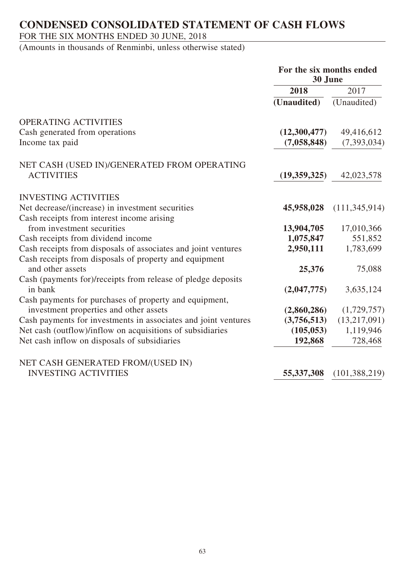## **CONDENSED CONSOLIDATED STATEMENT OF CASH FLOWS**

## FOR THE SIX MONTHS ENDED 30 JUNE, 2018

|                                                                | For the six months ended<br>30 June |                 |  |
|----------------------------------------------------------------|-------------------------------------|-----------------|--|
|                                                                | 2018                                | 2017            |  |
|                                                                | (Unaudited)                         | (Unaudited)     |  |
| <b>OPERATING ACTIVITIES</b>                                    |                                     |                 |  |
| Cash generated from operations                                 | (12,300,477)                        | 49,416,612      |  |
| Income tax paid                                                | (7,058,848)                         | (7,393,034)     |  |
| NET CASH (USED IN)/GENERATED FROM OPERATING                    |                                     |                 |  |
| <b>ACTIVITIES</b>                                              | (19,359,325)                        | 42,023,578      |  |
| <b>INVESTING ACTIVITIES</b>                                    |                                     |                 |  |
| Net decrease/(increase) in investment securities               | 45,958,028                          | (111, 345, 914) |  |
| Cash receipts from interest income arising                     |                                     |                 |  |
| from investment securities                                     | 13,904,705                          | 17,010,366      |  |
| Cash receipts from dividend income                             | 1,075,847                           | 551,852         |  |
| Cash receipts from disposals of associates and joint ventures  | 2,950,111                           | 1,783,699       |  |
| Cash receipts from disposals of property and equipment         |                                     |                 |  |
| and other assets                                               | 25,376                              | 75,088          |  |
| Cash (payments for)/receipts from release of pledge deposits   |                                     |                 |  |
| in bank                                                        | (2,047,775)                         | 3,635,124       |  |
| Cash payments for purchases of property and equipment,         |                                     |                 |  |
| investment properties and other assets                         | (2,860,286)                         | (1,729,757)     |  |
| Cash payments for investments in associates and joint ventures | (3,756,513)                         | (13,217,091)    |  |
| Net cash (outflow)/inflow on acquisitions of subsidiaries      | (105, 053)                          | 1,119,946       |  |
| Net cash inflow on disposals of subsidiaries                   | 192,868                             | 728,468         |  |
| NET CASH GENERATED FROM/(USED IN)                              |                                     |                 |  |
| <b>INVESTING ACTIVITIES</b>                                    | 55, 337, 308                        | (101, 388, 219) |  |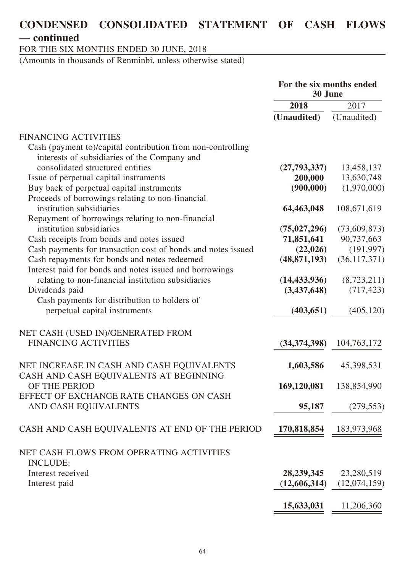## **CONDENSED CONSOLIDATED STATEMENT OF CASH FLOWS — continued**

FOR THE SIX MONTHS ENDED 30 JUNE, 2018

|                                                              | For the six months ended<br>30 June |                |  |
|--------------------------------------------------------------|-------------------------------------|----------------|--|
|                                                              | 2018                                | 2017           |  |
|                                                              | (Unaudited)                         | (Unaudited)    |  |
| <b>FINANCING ACTIVITIES</b>                                  |                                     |                |  |
| Cash (payment to)/capital contribution from non-controlling  |                                     |                |  |
| interests of subsidiaries of the Company and                 |                                     |                |  |
| consolidated structured entities                             | (27, 793, 337)                      | 13,458,137     |  |
| Issue of perpetual capital instruments                       | 200,000                             | 13,630,748     |  |
| Buy back of perpetual capital instruments                    | (900,000)                           | (1,970,000)    |  |
| Proceeds of borrowings relating to non-financial             |                                     |                |  |
| institution subsidiaries                                     | 64,463,048                          | 108,671,619    |  |
| Repayment of borrowings relating to non-financial            |                                     |                |  |
| institution subsidiaries                                     | (75, 027, 296)                      | (73,609,873)   |  |
| Cash receipts from bonds and notes issued                    | 71,851,641                          | 90,737,663     |  |
| Cash payments for transaction cost of bonds and notes issued | (22, 026)                           | (191, 997)     |  |
| Cash repayments for bonds and notes redeemed                 | (48, 871, 193)                      | (36, 117, 371) |  |
| Interest paid for bonds and notes issued and borrowings      |                                     |                |  |
| relating to non-financial institution subsidiaries           | (14, 433, 936)                      | (8,723,211)    |  |
| Dividends paid                                               | (3,437,648)                         | (717, 423)     |  |
| Cash payments for distribution to holders of                 |                                     |                |  |
| perpetual capital instruments                                | (403, 651)                          | (405, 120)     |  |
|                                                              |                                     |                |  |
| NET CASH (USED IN)/GENERATED FROM                            |                                     |                |  |
| <b>FINANCING ACTIVITIES</b>                                  | (34, 374, 398)                      | 104,763,172    |  |
| NET INCREASE IN CASH AND CASH EQUIVALENTS                    | 1,603,586                           | 45,398,531     |  |
| CASH AND CASH EQUIVALENTS AT BEGINNING                       |                                     |                |  |
| OF THE PERIOD                                                | 169,120,081                         | 138,854,990    |  |
| EFFECT OF EXCHANGE RATE CHANGES ON CASH                      |                                     |                |  |
| AND CASH EQUIVALENTS                                         | 95,187                              | (279, 553)     |  |
| CASH AND CASH EQUIVALENTS AT END OF THE PERIOD               | 170,818,854                         |                |  |
|                                                              |                                     | 183,973,968    |  |
| NET CASH FLOWS FROM OPERATING ACTIVITIES                     |                                     |                |  |
| <b>INCLUDE:</b>                                              |                                     |                |  |
| Interest received                                            | 28, 239, 345                        | 23,280,519     |  |
| Interest paid                                                | (12,606,314)                        | (12,074,159)   |  |
|                                                              |                                     |                |  |
|                                                              | 15,633,031                          | 11,206,360     |  |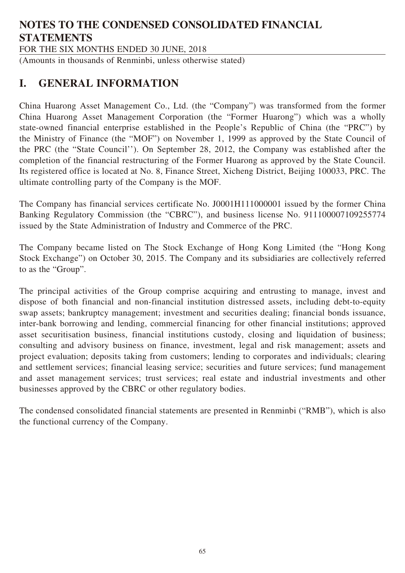# **NOTES TO THE CONDENSED CONSOLIDATED FINANCIAL STATEMENTS**

FOR THE SIX MONTHS ENDED 30 JUNE, 2018

(Amounts in thousands of Renminbi, unless otherwise stated)

## **I. GENERAL INFORMATION**

China Huarong Asset Management Co., Ltd. (the "Company") was transformed from the former China Huarong Asset Management Corporation (the "Former Huarong") which was a wholly state-owned financial enterprise established in the People's Republic of China (the "PRC") by the Ministry of Finance (the "MOF") on November 1, 1999 as approved by the State Council of the PRC (the "State Council''). On September 28, 2012, the Company was established after the completion of the financial restructuring of the Former Huarong as approved by the State Council. Its registered office is located at No. 8, Finance Street, Xicheng District, Beijing 100033, PRC. The ultimate controlling party of the Company is the MOF.

The Company has financial services certificate No. J0001H111000001 issued by the former China Banking Regulatory Commission (the "CBRC"), and business license No. 911100007109255774 issued by the State Administration of Industry and Commerce of the PRC.

The Company became listed on The Stock Exchange of Hong Kong Limited (the "Hong Kong Stock Exchange") on October 30, 2015. The Company and its subsidiaries are collectively referred to as the "Group".

The principal activities of the Group comprise acquiring and entrusting to manage, invest and dispose of both financial and non-financial institution distressed assets, including debt-to-equity swap assets; bankruptcy management; investment and securities dealing; financial bonds issuance, inter-bank borrowing and lending, commercial financing for other financial institutions; approved asset securitisation business, financial institutions custody, closing and liquidation of business; consulting and advisory business on finance, investment, legal and risk management; assets and project evaluation; deposits taking from customers; lending to corporates and individuals; clearing and settlement services; financial leasing service; securities and future services; fund management and asset management services; trust services; real estate and industrial investments and other businesses approved by the CBRC or other regulatory bodies.

The condensed consolidated financial statements are presented in Renminbi ("RMB"), which is also the functional currency of the Company.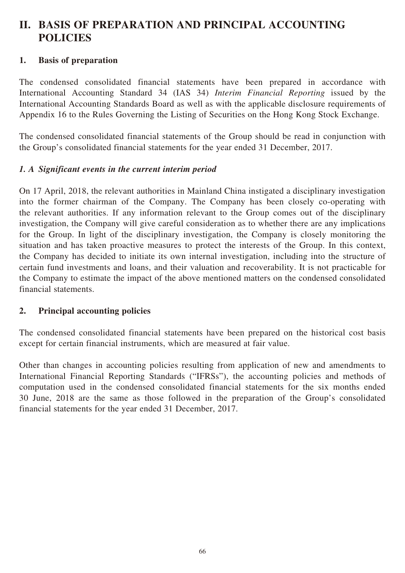## **1. Basis of preparation**

The condensed consolidated financial statements have been prepared in accordance with International Accounting Standard 34 (IAS 34) *Interim Financial Reporting* issued by the International Accounting Standards Board as well as with the applicable disclosure requirements of Appendix 16 to the Rules Governing the Listing of Securities on the Hong Kong Stock Exchange.

The condensed consolidated financial statements of the Group should be read in conjunction with the Group's consolidated financial statements for the year ended 31 December, 2017.

## *1. A Significant events in the current interim period*

On 17 April, 2018, the relevant authorities in Mainland China instigated a disciplinary investigation into the former chairman of the Company. The Company has been closely co-operating with the relevant authorities. If any information relevant to the Group comes out of the disciplinary investigation, the Company will give careful consideration as to whether there are any implications for the Group. In light of the disciplinary investigation, the Company is closely monitoring the situation and has taken proactive measures to protect the interests of the Group. In this context, the Company has decided to initiate its own internal investigation, including into the structure of certain fund investments and loans, and their valuation and recoverability. It is not practicable for the Company to estimate the impact of the above mentioned matters on the condensed consolidated financial statements.

### **2. Principal accounting policies**

The condensed consolidated financial statements have been prepared on the historical cost basis except for certain financial instruments, which are measured at fair value.

Other than changes in accounting policies resulting from application of new and amendments to International Financial Reporting Standards ("IFRSs"), the accounting policies and methods of computation used in the condensed consolidated financial statements for the six months ended 30 June, 2018 are the same as those followed in the preparation of the Group's consolidated financial statements for the year ended 31 December, 2017.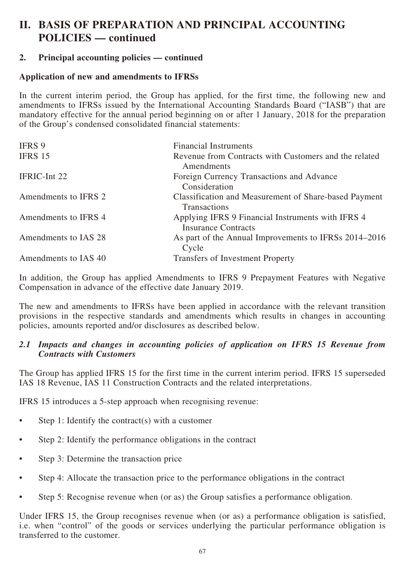## **2. Principal accounting policies — continued**

## **Application of new and amendments to IFRSs**

In the current interim period, the Group has applied, for the first time, the following new and amendments to IFRSs issued by the International Accounting Standards Board ("IASB") that are mandatory effective for the annual period beginning on or after 1 January, 2018 for the preparation of the Group's condensed consolidated financial statements:

| <b>IFRS 9</b>        | <b>Financial Instruments</b>                                                    |
|----------------------|---------------------------------------------------------------------------------|
| IFRS 15              | Revenue from Contracts with Customers and the related<br>Amendments             |
| IFRIC-Int 22         | Foreign Currency Transactions and Advance<br>Consideration                      |
| Amendments to IFRS 2 | Classification and Measurement of Share-based Payment<br>Transactions           |
| Amendments to IFRS 4 | Applying IFRS 9 Financial Instruments with IFRS 4<br><b>Insurance Contracts</b> |
| Amendments to IAS 28 | As part of the Annual Improvements to IFRSs 2014–2016<br>Cycle                  |
| Amendments to IAS 40 | <b>Transfers of Investment Property</b>                                         |

In addition, the Group has applied Amendments to IFRS 9 Prepayment Features with Negative Compensation in advance of the effective date January 2019.

The new and amendments to IFRSs have been applied in accordance with the relevant transition provisions in the respective standards and amendments which results in changes in accounting policies, amounts reported and/or disclosures as described below.

### *2.1 Impacts and changes in accounting policies of application on IFRS 15 Revenue from Contracts with Customers*

The Group has applied IFRS 15 for the first time in the current interim period. IFRS 15 superseded IAS 18 Revenue, IAS 11 Construction Contracts and the related interpretations.

IFRS 15 introduces a 5-step approach when recognising revenue:

- Step 1: Identify the contract(s) with a customer
- Step 2: Identify the performance obligations in the contract
- Step 3: Determine the transaction price
- Step 4: Allocate the transaction price to the performance obligations in the contract
- Step 5: Recognise revenue when (or as) the Group satisfies a performance obligation.

Under IFRS 15, the Group recognises revenue when (or as) a performance obligation is satisfied, i.e. when "control" of the goods or services underlying the particular performance obligation is transferred to the customer.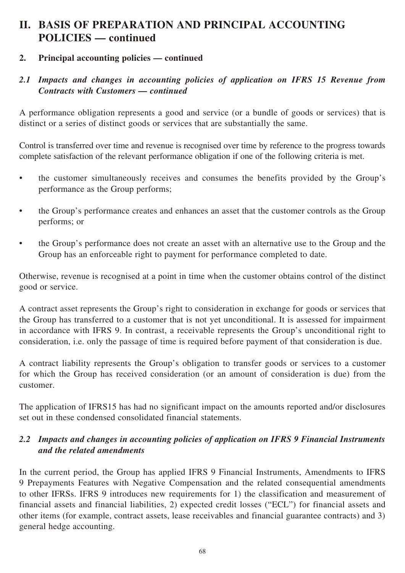## **2. Principal accounting policies — continued**

## *2.1 Impacts and changes in accounting policies of application on IFRS 15 Revenue from Contracts with Customers — continued*

A performance obligation represents a good and service (or a bundle of goods or services) that is distinct or a series of distinct goods or services that are substantially the same.

Control is transferred over time and revenue is recognised over time by reference to the progress towards complete satisfaction of the relevant performance obligation if one of the following criteria is met.

- the customer simultaneously receives and consumes the benefits provided by the Group's performance as the Group performs;
- the Group's performance creates and enhances an asset that the customer controls as the Group performs; or
- the Group's performance does not create an asset with an alternative use to the Group and the Group has an enforceable right to payment for performance completed to date.

Otherwise, revenue is recognised at a point in time when the customer obtains control of the distinct good or service.

A contract asset represents the Group's right to consideration in exchange for goods or services that the Group has transferred to a customer that is not yet unconditional. It is assessed for impairment in accordance with IFRS 9. In contrast, a receivable represents the Group's unconditional right to consideration, i.e. only the passage of time is required before payment of that consideration is due.

A contract liability represents the Group's obligation to transfer goods or services to a customer for which the Group has received consideration (or an amount of consideration is due) from the customer.

The application of IFRS15 has had no significant impact on the amounts reported and/or disclosures set out in these condensed consolidated financial statements.

## *2.2 Impacts and changes in accounting policies of application on IFRS 9 Financial Instruments and the related amendments*

In the current period, the Group has applied IFRS 9 Financial Instruments, Amendments to IFRS 9 Prepayments Features with Negative Compensation and the related consequential amendments to other IFRSs. IFRS 9 introduces new requirements for 1) the classification and measurement of financial assets and financial liabilities, 2) expected credit losses ("ECL") for financial assets and other items (for example, contract assets, lease receivables and financial guarantee contracts) and 3) general hedge accounting.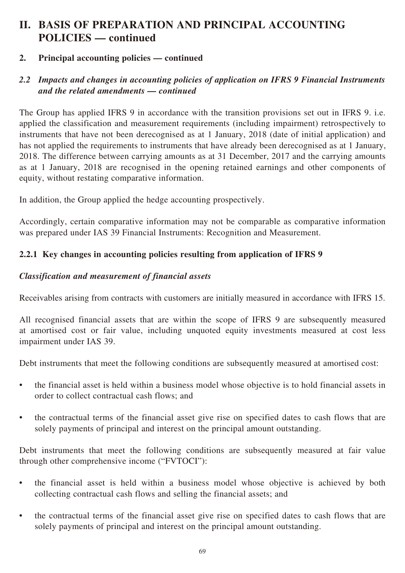## **2. Principal accounting policies — continued**

## *2.2 Impacts and changes in accounting policies of application on IFRS 9 Financial Instruments and the related amendments — continued*

The Group has applied IFRS 9 in accordance with the transition provisions set out in IFRS 9. i.e. applied the classification and measurement requirements (including impairment) retrospectively to instruments that have not been derecognised as at 1 January, 2018 (date of initial application) and has not applied the requirements to instruments that have already been derecognised as at 1 January, 2018. The difference between carrying amounts as at 31 December, 2017 and the carrying amounts as at 1 January, 2018 are recognised in the opening retained earnings and other components of equity, without restating comparative information.

In addition, the Group applied the hedge accounting prospectively.

Accordingly, certain comparative information may not be comparable as comparative information was prepared under IAS 39 Financial Instruments: Recognition and Measurement.

## **2.2.1 Key changes in accounting policies resulting from application of IFRS 9**

## *Classification and measurement of financial assets*

Receivables arising from contracts with customers are initially measured in accordance with IFRS 15.

All recognised financial assets that are within the scope of IFRS 9 are subsequently measured at amortised cost or fair value, including unquoted equity investments measured at cost less impairment under IAS 39.

Debt instruments that meet the following conditions are subsequently measured at amortised cost:

- the financial asset is held within a business model whose objective is to hold financial assets in order to collect contractual cash flows; and
- the contractual terms of the financial asset give rise on specified dates to cash flows that are solely payments of principal and interest on the principal amount outstanding.

Debt instruments that meet the following conditions are subsequently measured at fair value through other comprehensive income ("FVTOCI"):

- the financial asset is held within a business model whose objective is achieved by both collecting contractual cash flows and selling the financial assets; and
- the contractual terms of the financial asset give rise on specified dates to cash flows that are solely payments of principal and interest on the principal amount outstanding.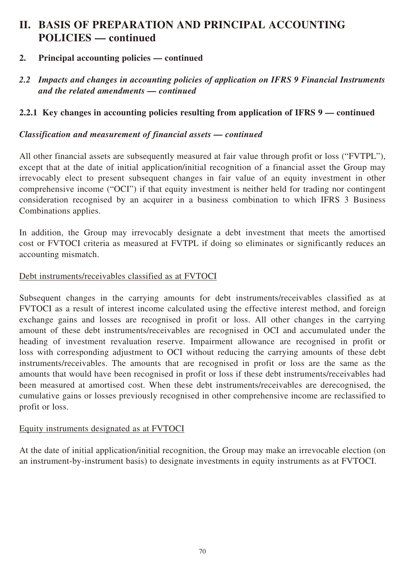## **2. Principal accounting policies — continued**

*2.2 Impacts and changes in accounting policies of application on IFRS 9 Financial Instruments and the related amendments — continued*

## **2.2.1 Key changes in accounting policies resulting from application of IFRS 9 — continued**

#### *Classification and measurement of financial assets — continued*

All other financial assets are subsequently measured at fair value through profit or loss ("FVTPL"), except that at the date of initial application/initial recognition of a financial asset the Group may irrevocably elect to present subsequent changes in fair value of an equity investment in other comprehensive income ("OCI") if that equity investment is neither held for trading nor contingent consideration recognised by an acquirer in a business combination to which IFRS 3 Business Combinations applies.

In addition, the Group may irrevocably designate a debt investment that meets the amortised cost or FVTOCI criteria as measured at FVTPL if doing so eliminates or significantly reduces an accounting mismatch.

#### Debt instruments/receivables classified as at FVTOCI

Subsequent changes in the carrying amounts for debt instruments/receivables classified as at FVTOCI as a result of interest income calculated using the effective interest method, and foreign exchange gains and losses are recognised in profit or loss. All other changes in the carrying amount of these debt instruments/receivables are recognised in OCI and accumulated under the heading of investment revaluation reserve. Impairment allowance are recognised in profit or loss with corresponding adjustment to OCI without reducing the carrying amounts of these debt instruments/receivables. The amounts that are recognised in profit or loss are the same as the amounts that would have been recognised in profit or loss if these debt instruments/receivables had been measured at amortised cost. When these debt instruments/receivables are derecognised, the cumulative gains or losses previously recognised in other comprehensive income are reclassified to profit or loss.

### Equity instruments designated as at FVTOCI

At the date of initial application/initial recognition, the Group may make an irrevocable election (on an instrument-by-instrument basis) to designate investments in equity instruments as at FVTOCI.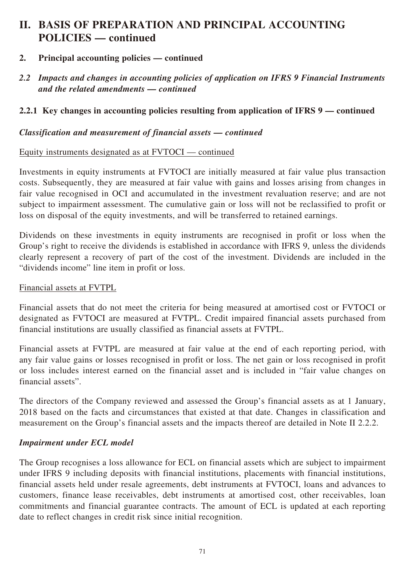- **2. Principal accounting policies continued**
- *2.2 Impacts and changes in accounting policies of application on IFRS 9 Financial Instruments and the related amendments — continued*

## **2.2.1 Key changes in accounting policies resulting from application of IFRS 9 — continued**

### *Classification and measurement of financial assets — continued*

### Equity instruments designated as at FVTOCI — continued

Investments in equity instruments at FVTOCI are initially measured at fair value plus transaction costs. Subsequently, they are measured at fair value with gains and losses arising from changes in fair value recognised in OCI and accumulated in the investment revaluation reserve; and are not subject to impairment assessment. The cumulative gain or loss will not be reclassified to profit or loss on disposal of the equity investments, and will be transferred to retained earnings.

Dividends on these investments in equity instruments are recognised in profit or loss when the Group's right to receive the dividends is established in accordance with IFRS 9, unless the dividends clearly represent a recovery of part of the cost of the investment. Dividends are included in the "dividends income" line item in profit or loss.

#### Financial assets at FVTPL

Financial assets that do not meet the criteria for being measured at amortised cost or FVTOCI or designated as FVTOCI are measured at FVTPL. Credit impaired financial assets purchased from financial institutions are usually classified as financial assets at FVTPL.

Financial assets at FVTPL are measured at fair value at the end of each reporting period, with any fair value gains or losses recognised in profit or loss. The net gain or loss recognised in profit or loss includes interest earned on the financial asset and is included in "fair value changes on financial assets".

The directors of the Company reviewed and assessed the Group's financial assets as at 1 January, 2018 based on the facts and circumstances that existed at that date. Changes in classification and measurement on the Group's financial assets and the impacts thereof are detailed in Note II 2.2.2.

### *Impairment under ECL model*

The Group recognises a loss allowance for ECL on financial assets which are subject to impairment under IFRS 9 including deposits with financial institutions, placements with financial institutions, financial assets held under resale agreements, debt instruments at FVTOCI, loans and advances to customers, finance lease receivables, debt instruments at amortised cost, other receivables, loan commitments and financial guarantee contracts. The amount of ECL is updated at each reporting date to reflect changes in credit risk since initial recognition.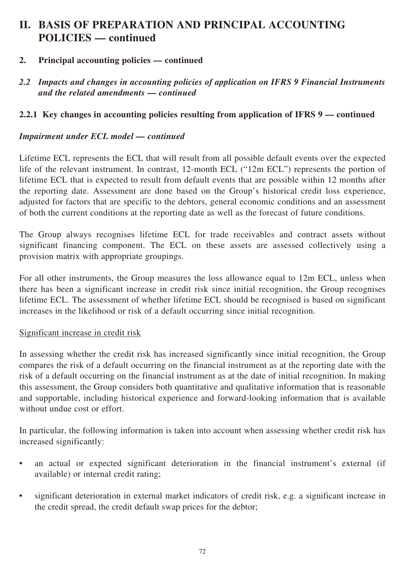- **2. Principal accounting policies continued**
- *2.2 Impacts and changes in accounting policies of application on IFRS 9 Financial Instruments and the related amendments — continued*

## **2.2.1 Key changes in accounting policies resulting from application of IFRS 9 — continued**

### *Impairment under ECL model — continued*

Lifetime ECL represents the ECL that will result from all possible default events over the expected life of the relevant instrument. In contrast, 12-month ECL ("12m ECL") represents the portion of lifetime ECL that is expected to result from default events that are possible within 12 months after the reporting date. Assessment are done based on the Group's historical credit loss experience, adjusted for factors that are specific to the debtors, general economic conditions and an assessment of both the current conditions at the reporting date as well as the forecast of future conditions.

The Group always recognises lifetime ECL for trade receivables and contract assets without significant financing component. The ECL on these assets are assessed collectively using a provision matrix with appropriate groupings.

For all other instruments, the Group measures the loss allowance equal to 12m ECL, unless when there has been a significant increase in credit risk since initial recognition, the Group recognises lifetime ECL. The assessment of whether lifetime ECL should be recognised is based on significant increases in the likelihood or risk of a default occurring since initial recognition.

### Significant increase in credit risk

In assessing whether the credit risk has increased significantly since initial recognition, the Group compares the risk of a default occurring on the financial instrument as at the reporting date with the risk of a default occurring on the financial instrument as at the date of initial recognition. In making this assessment, the Group considers both quantitative and qualitative information that is reasonable and supportable, including historical experience and forward-looking information that is available without undue cost or effort.

In particular, the following information is taken into account when assessing whether credit risk has increased significantly:

- an actual or expected significant deterioration in the financial instrument's external (if available) or internal credit rating;
- significant deterioration in external market indicators of credit risk, e.g. a significant increase in the credit spread, the credit default swap prices for the debtor;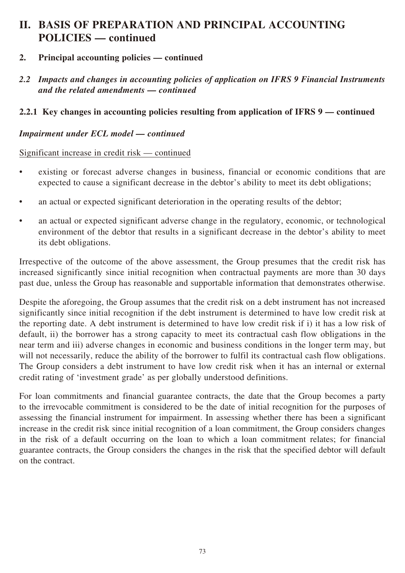### **2. Principal accounting policies — continued**

*2.2 Impacts and changes in accounting policies of application on IFRS 9 Financial Instruments and the related amendments — continued*

### **2.2.1 Key changes in accounting policies resulting from application of IFRS 9 — continued**

### *Impairment under ECL model — continued*

### Significant increase in credit risk — continued

- existing or forecast adverse changes in business, financial or economic conditions that are expected to cause a significant decrease in the debtor's ability to meet its debt obligations;
- an actual or expected significant deterioration in the operating results of the debtor;
- an actual or expected significant adverse change in the regulatory, economic, or technological environment of the debtor that results in a significant decrease in the debtor's ability to meet its debt obligations.

Irrespective of the outcome of the above assessment, the Group presumes that the credit risk has increased significantly since initial recognition when contractual payments are more than 30 days past due, unless the Group has reasonable and supportable information that demonstrates otherwise.

Despite the aforegoing, the Group assumes that the credit risk on a debt instrument has not increased significantly since initial recognition if the debt instrument is determined to have low credit risk at the reporting date. A debt instrument is determined to have low credit risk if i) it has a low risk of default, ii) the borrower has a strong capacity to meet its contractual cash flow obligations in the near term and iii) adverse changes in economic and business conditions in the longer term may, but will not necessarily, reduce the ability of the borrower to fulfil its contractual cash flow obligations. The Group considers a debt instrument to have low credit risk when it has an internal or external credit rating of 'investment grade' as per globally understood definitions.

For loan commitments and financial guarantee contracts, the date that the Group becomes a party to the irrevocable commitment is considered to be the date of initial recognition for the purposes of assessing the financial instrument for impairment. In assessing whether there has been a significant increase in the credit risk since initial recognition of a loan commitment, the Group considers changes in the risk of a default occurring on the loan to which a loan commitment relates; for financial guarantee contracts, the Group considers the changes in the risk that the specified debtor will default on the contract.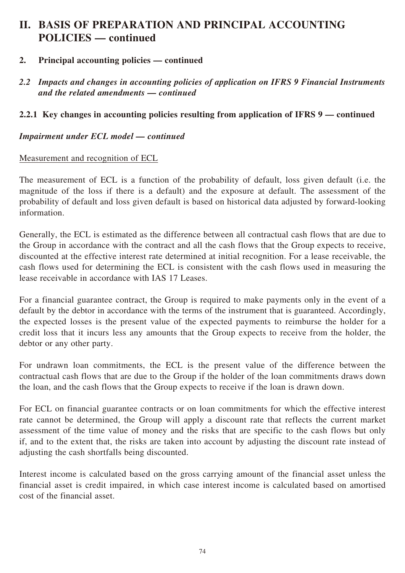- **2. Principal accounting policies continued**
- *2.2 Impacts and changes in accounting policies of application on IFRS 9 Financial Instruments and the related amendments — continued*

### **2.2.1 Key changes in accounting policies resulting from application of IFRS 9 — continued**

### *Impairment under ECL model — continued*

### Measurement and recognition of ECL

The measurement of ECL is a function of the probability of default, loss given default (i.e. the magnitude of the loss if there is a default) and the exposure at default. The assessment of the probability of default and loss given default is based on historical data adjusted by forward-looking information.

Generally, the ECL is estimated as the difference between all contractual cash flows that are due to the Group in accordance with the contract and all the cash flows that the Group expects to receive, discounted at the effective interest rate determined at initial recognition. For a lease receivable, the cash flows used for determining the ECL is consistent with the cash flows used in measuring the lease receivable in accordance with IAS 17 Leases.

For a financial guarantee contract, the Group is required to make payments only in the event of a default by the debtor in accordance with the terms of the instrument that is guaranteed. Accordingly, the expected losses is the present value of the expected payments to reimburse the holder for a credit loss that it incurs less any amounts that the Group expects to receive from the holder, the debtor or any other party.

For undrawn loan commitments, the ECL is the present value of the difference between the contractual cash flows that are due to the Group if the holder of the loan commitments draws down the loan, and the cash flows that the Group expects to receive if the loan is drawn down.

For ECL on financial guarantee contracts or on loan commitments for which the effective interest rate cannot be determined, the Group will apply a discount rate that reflects the current market assessment of the time value of money and the risks that are specific to the cash flows but only if, and to the extent that, the risks are taken into account by adjusting the discount rate instead of adjusting the cash shortfalls being discounted.

Interest income is calculated based on the gross carrying amount of the financial asset unless the financial asset is credit impaired, in which case interest income is calculated based on amortised cost of the financial asset.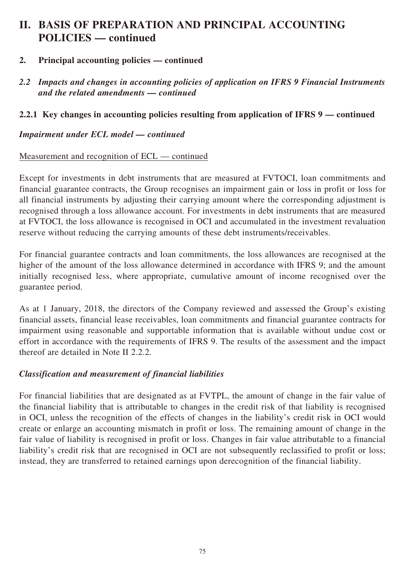- **2. Principal accounting policies continued**
- *2.2 Impacts and changes in accounting policies of application on IFRS 9 Financial Instruments and the related amendments — continued*

### **2.2.1 Key changes in accounting policies resulting from application of IFRS 9 — continued**

*Impairment under ECL model — continued*

### Measurement and recognition of ECL — continued

Except for investments in debt instruments that are measured at FVTOCI, loan commitments and financial guarantee contracts, the Group recognises an impairment gain or loss in profit or loss for all financial instruments by adjusting their carrying amount where the corresponding adjustment is recognised through a loss allowance account. For investments in debt instruments that are measured at FVTOCI, the loss allowance is recognised in OCI and accumulated in the investment revaluation reserve without reducing the carrying amounts of these debt instruments/receivables.

For financial guarantee contracts and loan commitments, the loss allowances are recognised at the higher of the amount of the loss allowance determined in accordance with IFRS 9; and the amount initially recognised less, where appropriate, cumulative amount of income recognised over the guarantee period.

As at 1 January, 2018, the directors of the Company reviewed and assessed the Group's existing financial assets, financial lease receivables, loan commitments and financial guarantee contracts for impairment using reasonable and supportable information that is available without undue cost or effort in accordance with the requirements of IFRS 9. The results of the assessment and the impact thereof are detailed in Note II 2.2.2.

### *Classification and measurement of financial liabilities*

For financial liabilities that are designated as at FVTPL, the amount of change in the fair value of the financial liability that is attributable to changes in the credit risk of that liability is recognised in OCI, unless the recognition of the effects of changes in the liability's credit risk in OCI would create or enlarge an accounting mismatch in profit or loss. The remaining amount of change in the fair value of liability is recognised in profit or loss. Changes in fair value attributable to a financial liability's credit risk that are recognised in OCI are not subsequently reclassified to profit or loss; instead, they are transferred to retained earnings upon derecognition of the financial liability.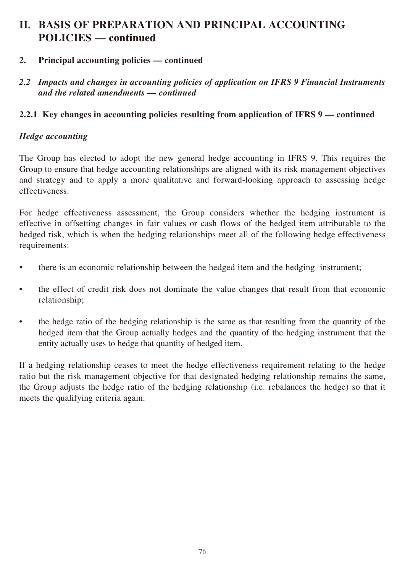### **2. Principal accounting policies — continued**

*2.2 Impacts and changes in accounting policies of application on IFRS 9 Financial Instruments and the related amendments — continued*

### **2.2.1 Key changes in accounting policies resulting from application of IFRS 9 — continued**

### *Hedge accounting*

The Group has elected to adopt the new general hedge accounting in IFRS 9. This requires the Group to ensure that hedge accounting relationships are aligned with its risk management objectives and strategy and to apply a more qualitative and forward-looking approach to assessing hedge effectiveness.

For hedge effectiveness assessment, the Group considers whether the hedging instrument is effective in offsetting changes in fair values or cash flows of the hedged item attributable to the hedged risk, which is when the hedging relationships meet all of the following hedge effectiveness requirements:

- there is an economic relationship between the hedged item and the hedging instrument;
- the effect of credit risk does not dominate the value changes that result from that economic relationship;
- the hedge ratio of the hedging relationship is the same as that resulting from the quantity of the hedged item that the Group actually hedges and the quantity of the hedging instrument that the entity actually uses to hedge that quantity of hedged item.

If a hedging relationship ceases to meet the hedge effectiveness requirement relating to the hedge ratio but the risk management objective for that designated hedging relationship remains the same, the Group adjusts the hedge ratio of the hedging relationship (i.e. rebalances the hedge) so that it meets the qualifying criteria again.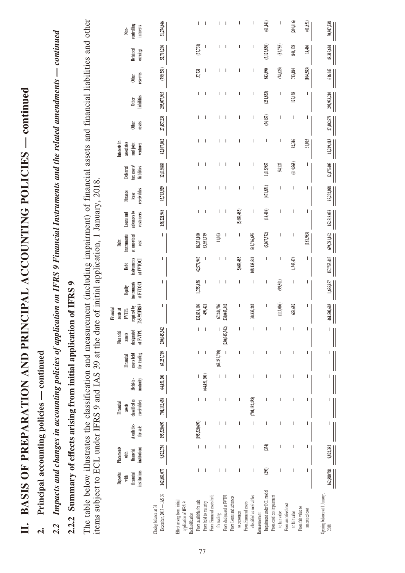| 2.2 Impacts and changes in accounting policies of application on IFRS 9 Financial Instruments and the related amendments — continued                                                                      |                                               |                                              |                                       |                                                     |                          |                                         |                                               |                                                                        |                                    |                                  |                                             |                                              |                                 |                                       |                                                     |                          |                             |                          |                          |                                  |
|-----------------------------------------------------------------------------------------------------------------------------------------------------------------------------------------------------------|-----------------------------------------------|----------------------------------------------|---------------------------------------|-----------------------------------------------------|--------------------------|-----------------------------------------|-----------------------------------------------|------------------------------------------------------------------------|------------------------------------|----------------------------------|---------------------------------------------|----------------------------------------------|---------------------------------|---------------------------------------|-----------------------------------------------------|--------------------------|-----------------------------|--------------------------|--------------------------|----------------------------------|
| 2.2.2 Summary of effects arising from initial application                                                                                                                                                 |                                               |                                              |                                       |                                                     |                          |                                         |                                               | of IFRS 9                                                              |                                    |                                  |                                             |                                              |                                 |                                       |                                                     |                          |                             |                          |                          |                                  |
| The table below illustrates the classification and measurement (including impairment) of financial assets and financial liabilities and other<br>items subject to ECL under IFRS 9 and IAS 39 at the date |                                               |                                              |                                       |                                                     |                          |                                         |                                               |                                                                        |                                    |                                  | of initial application, 1 January, 2018     |                                              |                                 |                                       |                                                     |                          |                             |                          |                          |                                  |
|                                                                                                                                                                                                           | institutions<br>Deposits<br>financial<br>with | Placements<br>institutions<br>financial<br>₹ | Available-<br>$for$ -sale             | classified as<br>receivables<br>Financial<br>assets | Held-to-<br>maturity     | for trading<br>assets held<br>Financial | designated<br>at FVTPL<br>Financial<br>assets | IAS 39/IFRS 9<br>required by<br>Financial<br>assets at<br><b>FVTPL</b> | instruments<br>at FVTOCI<br>Equity | instruments<br>at FVTOCI<br>Deht | instruments<br>at amortised<br>Debt<br>cost | advances to<br><b>Loans</b> and<br>customers | receivables<br>Finance<br>lease | tax assets<br>liabilities<br>Deferred | Interests in<br>associates<br>and joint<br>ventures | <b>Other</b><br>assets   | liabilities<br><b>Other</b> | reserves<br><b>Other</b> | Retained<br>earnings     | controlling<br>interests<br>Non- |
| December, 2017 - IAS 39<br>Closing balance at 31                                                                                                                                                          | 162,881,077                                   | 9,822,736                                    | 195,520,697                           | 701,192,438                                         | 64,451,200               | 67,257,709                              | 230,045,342                                   | ı                                                                      | I                                  | I                                | L                                           | 158, 221, 948                                | 95,703,929                      | 12,019,889                            | 42,097,082                                          | 27,457,236               | 293,077,905                 | (799, 550)               | 52,706,296               | 31,274,846                       |
| From available for sale<br>Effect arising from initial<br>application of IFRS 9<br>Reclassification                                                                                                       | L                                             | $\mathsf I$                                  | (195,520,697)                         | T                                                   |                          | L                                       | I                                             | 132,834,196                                                            | 1,755,458                          | 42,579,943                       | 18,351,100                                  | T                                            | T                               | L                                     | T                                                   | T                        | T                           | 37,731                   | (37,731)                 | L                                |
| From held to maturity                                                                                                                                                                                     | $\overline{\phantom{a}}$                      | $\overline{\phantom{a}}$                     | I                                     | $\overline{\phantom{a}}$                            | (64,451,200)             | $\overline{\phantom{a}}$                | $\overline{\phantom{a}}$                      | 499,421                                                                | I                                  | I                                | 63,951,779                                  |                                              | $\overline{\phantom{a}}$        | $\overline{\phantom{a}}$              | $\overline{\phantom{a}}$                            | $\overline{\phantom{a}}$ |                             |                          |                          | $\overline{\phantom{a}}$         |
| From Financial assets held<br>for trading                                                                                                                                                                 |                                               | T                                            |                                       |                                                     |                          | (67,257,709)                            |                                               | 67,246,706                                                             |                                    | L                                | $11,003$                                    | T                                            | T                               | T                                     | T                                                   |                          |                             |                          |                          | T                                |
| From designated at FVTPL<br>From Loans and advances                                                                                                                                                       | $\overline{1}$                                | $\mathbf{I}$                                 | $\overline{\phantom{a}}$              |                                                     | $\overline{\phantom{a}}$ |                                         | (230,045,342)                                 | 230,045,342                                                            | $\overline{\phantom{a}}$           | $\overline{\phantom{a}}$         |                                             | I                                            | $\overline{\phantom{a}}$        | $\overline{\phantom{a}}$              | $\mathbf{I}$                                        | $\overline{\phantom{a}}$ | I                           | $\overline{\phantom{a}}$ | $\overline{\phantom{a}}$ | $\overline{\phantom{a}}$         |
| From Financial assets<br>to customers                                                                                                                                                                     | I                                             | ı                                            | ı                                     |                                                     |                          |                                         |                                               | I                                                                      | I                                  | 5,689,485                        | I                                           | (5,689,485)                                  | ı                               | ı                                     | I                                                   | ı                        |                             |                          |                          | I                                |
| classified as receivables<br>Remeasurement                                                                                                                                                                | T                                             | ı                                            | $\begin{array}{c} \hline \end{array}$ | (701, 192, 438)                                     |                          |                                         | ı                                             | 30,337,262                                                             | I                                  | 108,138,541                      | 562,716,635                                 | I                                            | ı                               | T                                     | ı                                                   | ı                        |                             | ı                        | I                        | ı                                |
| Impairment under ECL model                                                                                                                                                                                | (293)                                         | (354)                                        | T                                     |                                                     |                          |                                         |                                               |                                                                        | I                                  | $\overline{\phantom{a}}$         | (5,067,372)                                 | (14, 404)                                    | (471, 831)                      | 1,015,957                             | I                                                   | (54, 657)                | (251,853)                   | 843,890                  | (5, 123, 850)            | (61,141)                         |
| From cost less impairment<br>to fair value                                                                                                                                                                | I                                             | ı                                            |                                       |                                                     |                          |                                         |                                               | (117,006)                                                              | (99,501)                           | I                                | ı                                           | I                                            | I                               | 54,127                                | I                                                   | I                        | I                           | (74, 625)                | (87,755)                 | ı                                |
| From amortised cost<br>From fair value to<br>to fair value                                                                                                                                                |                                               |                                              |                                       |                                                     |                          |                                         | ı                                             | 656,682                                                                | I                                  | 1,345,474                        | I                                           | ı                                            | T                               | (614, 568)                            | 92,316                                              | T                        | 127,158                     | 713,184                  | 844,178                  | (204, 616)                       |
| amortised cost                                                                                                                                                                                            |                                               |                                              |                                       |                                                     |                          |                                         | $\overline{\phantom{a}}$                      | T                                                                      | Т                                  | I                                | (181, 983)                                  | T                                            | T                               | I                                     | 30,015                                              | T                        | T                           | (104, 583)               | 14,466                   | $(61,\!851)$                     |
| Opening balance at 1 January,<br>$2018$                                                                                                                                                                   | 162,880,784                                   | 9,822,382                                    |                                       |                                                     |                          |                                         |                                               | 461,502,603<br>Щ                                                       | 1,655,957                          | 157,753,443                      | 639,781,162                                 | 152,518,059                                  | 95,232,098                      | 12,475,405                            | 42,219,413                                          | 27,402,579               | 292,953,210                 | 616,047                  | 48,315,604               | 30,947,238                       |

# II. BASIS OF PREPARATION AND PRINCIPAL ACCOUNTING POLICIES - continued **II. BASIS OF PREPARATION AND PRINCIPAL ACCOUNTING POLICIES — continued**

Principal accounting policies - continued **2. Principal accounting policies — continued**  $\overline{a}$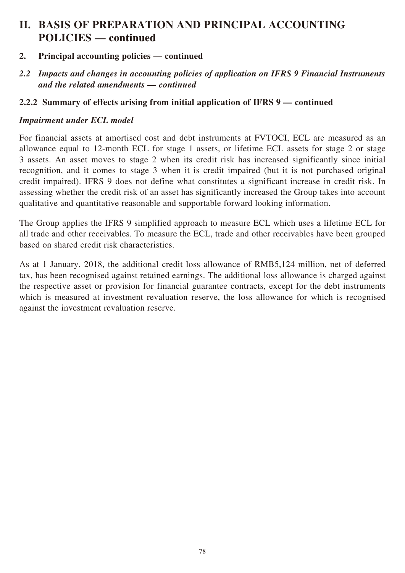- **2. Principal accounting policies continued**
- *2.2 Impacts and changes in accounting policies of application on IFRS 9 Financial Instruments and the related amendments — continued*

### **2.2.2 Summary of effects arising from initial application of IFRS 9 — continued**

### *Impairment under ECL model*

For financial assets at amortised cost and debt instruments at FVTOCI, ECL are measured as an allowance equal to 12-month ECL for stage 1 assets, or lifetime ECL assets for stage 2 or stage 3 assets. An asset moves to stage 2 when its credit risk has increased significantly since initial recognition, and it comes to stage 3 when it is credit impaired (but it is not purchased original credit impaired). IFRS 9 does not define what constitutes a significant increase in credit risk. In assessing whether the credit risk of an asset has significantly increased the Group takes into account qualitative and quantitative reasonable and supportable forward looking information.

The Group applies the IFRS 9 simplified approach to measure ECL which uses a lifetime ECL for all trade and other receivables. To measure the ECL, trade and other receivables have been grouped based on shared credit risk characteristics.

As at 1 January, 2018, the additional credit loss allowance of RMB5,124 million, net of deferred tax, has been recognised against retained earnings. The additional loss allowance is charged against the respective asset or provision for financial guarantee contracts, except for the debt instruments which is measured at investment revaluation reserve, the loss allowance for which is recognised against the investment revaluation reserve.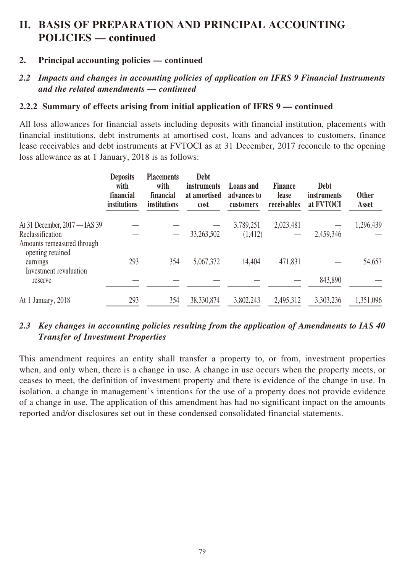### **2. Principal accounting policies — continued**

### *2.2 Impacts and changes in accounting policies of application on IFRS 9 Financial Instruments and the related amendments — continued*

### **2.2.2 Summary of effects arising from initial application of IFRS 9 — continued**

All loss allowances for financial assets including deposits with financial institution, placements with financial institutions, debt instruments at amortised cost, loans and advances to customers, finance lease receivables and debt instruments at FVTOCI as at 31 December, 2017 reconcile to the opening loss allowance as at 1 January, 2018 is as follows:

|                                                                                 | <b>Deposits</b><br>with<br>financial<br>institutions | <b>Placements</b><br>with<br>financial<br>institutions | <b>Debt</b><br><i>instruments</i><br>at amortised<br>cost | <b>Loans</b> and<br>advances to<br>customers | <b>Finance</b><br>lease<br>receivables | <b>Debt</b><br>instruments<br>at FVTOCI | <b>Other</b><br>Asset |
|---------------------------------------------------------------------------------|------------------------------------------------------|--------------------------------------------------------|-----------------------------------------------------------|----------------------------------------------|----------------------------------------|-----------------------------------------|-----------------------|
| At 31 December, 2017 — IAS 39<br>Reclassification<br>Amounts remeasured through |                                                      |                                                        | 33,263,502                                                | 3,789,251<br>(1,412)                         | 2,023,481                              | 2,459,346                               | 1,296,439             |
| opening retained<br>earnings<br>Investment revaluation                          | 293                                                  | 354                                                    | 5,067,372                                                 | 14,404                                       | 471,831                                |                                         | 54,657                |
| reserve                                                                         |                                                      |                                                        |                                                           |                                              |                                        | 843,890                                 |                       |
| At 1 January, 2018                                                              | 293                                                  | 354                                                    | 38, 330, 874                                              | 3,802,243                                    | 2,495,312                              | 3,303,236                               | 1,351,096             |

### *2.3 Key changes in accounting policies resulting from the application of Amendments to IAS 40 Transfer of Investment Properties*

This amendment requires an entity shall transfer a property to, or from, investment properties when, and only when, there is a change in use. A change in use occurs when the property meets, or ceases to meet, the definition of investment property and there is evidence of the change in use. In isolation, a change in management's intentions for the use of a property does not provide evidence of a change in use. The application of this amendment has had no significant impact on the amounts reported and/or disclosures set out in these condensed consolidated financial statements.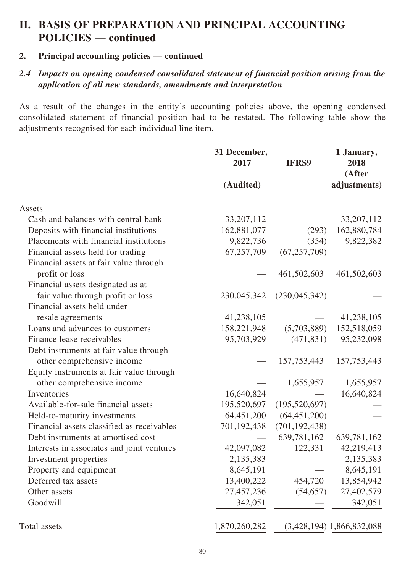### **2. Principal accounting policies — continued**

### *2.4 Impacts on opening condensed consolidated statement of financial position arising from the application of all new standards, amendments and interpretation*

As a result of the changes in the entity's accounting policies above, the opening condensed consolidated statement of financial position had to be restated. The following table show the adjustments recognised for each individual line item.

|                                            | 31 December,<br>2017 | <b>IFRS9</b>    | 1 January,<br>2018<br>(After |
|--------------------------------------------|----------------------|-----------------|------------------------------|
|                                            | (Audited)            |                 | adjustments)                 |
| Assets                                     |                      |                 |                              |
| Cash and balances with central bank        | 33, 207, 112         |                 | 33, 207, 112                 |
| Deposits with financial institutions       | 162,881,077          | (293)           | 162,880,784                  |
| Placements with financial institutions     | 9,822,736            | (354)           | 9,822,382                    |
| Financial assets held for trading          | 67,257,709           | (67, 257, 709)  |                              |
| Financial assets at fair value through     |                      |                 |                              |
| profit or loss                             |                      | 461,502,603     | 461,502,603                  |
| Financial assets designated as at          |                      |                 |                              |
| fair value through profit or loss          | 230,045,342          | (230, 045, 342) |                              |
| Financial assets held under                |                      |                 |                              |
| resale agreements                          | 41,238,105           |                 | 41,238,105                   |
| Loans and advances to customers            | 158,221,948          | (5,703,889)     | 152,518,059                  |
| Finance lease receivables                  | 95,703,929           | (471, 831)      | 95,232,098                   |
| Debt instruments at fair value through     |                      |                 |                              |
| other comprehensive income                 |                      | 157, 753, 443   | 157,753,443                  |
| Equity instruments at fair value through   |                      |                 |                              |
| other comprehensive income                 |                      | 1,655,957       | 1,655,957                    |
| Inventories                                | 16,640,824           |                 | 16,640,824                   |
| Available-for-sale financial assets        | 195,520,697          | (195, 520, 697) |                              |
| Held-to-maturity investments               | 64,451,200           | (64, 451, 200)  |                              |
| Financial assets classified as receivables | 701,192,438          | (701, 192, 438) |                              |
| Debt instruments at amortised cost         |                      | 639,781,162     | 639,781,162                  |
| Interests in associates and joint ventures | 42,097,082           | 122,331         | 42,219,413                   |
| Investment properties                      | 2,135,383            |                 | 2,135,383                    |
| Property and equipment                     | 8,645,191            |                 | 8,645,191                    |
| Deferred tax assets                        | 13,400,222           | 454,720         | 13,854,942                   |
| Other assets                               | 27,457,236           | (54, 657)       | 27,402,579                   |
| Goodwill                                   | 342,051              |                 | 342,051                      |
| Total assets                               | 1,870,260,282        |                 | $(3,428,194)$ 1,866,832,088  |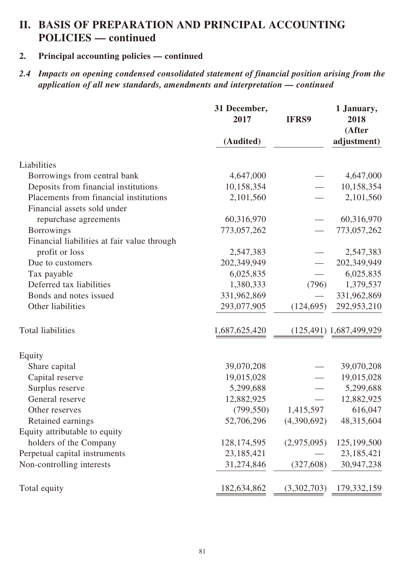### **2. Principal accounting policies — continued**

*2.4 Impacts on opening condensed consolidated statement of financial position arising from the application of all new standards, amendments and interpretation — continued*

|                                             | 31 December,<br>2017 | <b>IFRS9</b> | 1 January,<br>2018<br>(After |
|---------------------------------------------|----------------------|--------------|------------------------------|
|                                             | (Audited)            |              | adjustment)                  |
| Liabilities                                 |                      |              |                              |
| Borrowings from central bank                | 4,647,000            |              | 4,647,000                    |
| Deposits from financial institutions        | 10,158,354           |              | 10,158,354                   |
| Placements from financial institutions      | 2,101,560            |              | 2,101,560                    |
| Financial assets sold under                 |                      |              |                              |
| repurchase agreements                       | 60,316,970           |              | 60,316,970                   |
| <b>Borrowings</b>                           | 773,057,262          |              | 773,057,262                  |
| Financial liabilities at fair value through |                      |              |                              |
| profit or loss                              | 2,547,383            |              | 2,547,383                    |
| Due to customers                            | 202,349,949          |              | 202,349,949                  |
| Tax payable                                 | 6,025,835            |              | 6,025,835                    |
| Deferred tax liabilities                    | 1,380,333            | (796)        | 1,379,537                    |
| Bonds and notes issued                      | 331,962,869          |              | 331,962,869                  |
| Other liabilities                           | 293,077,905          | (124, 695)   | 292,953,210                  |
| Total liabilities                           | 1,687,625,420        |              | $(125,491)$ 1,687,499,929    |
| Equity                                      |                      |              |                              |
| Share capital                               | 39,070,208           |              | 39,070,208                   |
| Capital reserve                             | 19,015,028           |              | 19,015,028                   |
| Surplus reserve                             | 5,299,688            |              | 5,299,688                    |
| General reserve                             | 12,882,925           |              | 12,882,925                   |
| Other reserves                              | (799, 550)           | 1,415,597    | 616,047                      |
| Retained earnings                           | 52,706,296           | (4,390,692)  | 48,315,604                   |
| Equity attributable to equity               |                      |              |                              |
| holders of the Company                      | 128, 174, 595        | (2,975,095)  | 125,199,500                  |
| Perpetual capital instruments               | 23,185,421           |              | 23, 185, 421                 |
| Non-controlling interests                   | 31,274,846           | (327, 608)   | 30,947,238                   |
| Total equity                                | 182,634,862          | (3,302,703)  | 179, 332, 159                |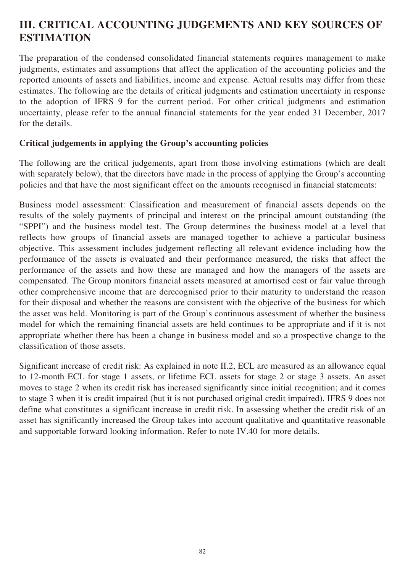# **III. CRITICAL ACCOUNTING JUDGEMENTS AND KEY SOURCES OF ESTIMATION**

The preparation of the condensed consolidated financial statements requires management to make judgments, estimates and assumptions that affect the application of the accounting policies and the reported amounts of assets and liabilities, income and expense. Actual results may differ from these estimates. The following are the details of critical judgments and estimation uncertainty in response to the adoption of IFRS 9 for the current period. For other critical judgments and estimation uncertainty, please refer to the annual financial statements for the year ended 31 December, 2017 for the details.

### **Critical judgements in applying the Group's accounting policies**

The following are the critical judgements, apart from those involving estimations (which are dealt with separately below), that the directors have made in the process of applying the Group's accounting policies and that have the most significant effect on the amounts recognised in financial statements:

Business model assessment: Classification and measurement of financial assets depends on the results of the solely payments of principal and interest on the principal amount outstanding (the "SPPI") and the business model test. The Group determines the business model at a level that reflects how groups of financial assets are managed together to achieve a particular business objective. This assessment includes judgement reflecting all relevant evidence including how the performance of the assets is evaluated and their performance measured, the risks that affect the performance of the assets and how these are managed and how the managers of the assets are compensated. The Group monitors financial assets measured at amortised cost or fair value through other comprehensive income that are derecognised prior to their maturity to understand the reason for their disposal and whether the reasons are consistent with the objective of the business for which the asset was held. Monitoring is part of the Group's continuous assessment of whether the business model for which the remaining financial assets are held continues to be appropriate and if it is not appropriate whether there has been a change in business model and so a prospective change to the classification of those assets.

Significant increase of credit risk: As explained in note II.2, ECL are measured as an allowance equal to 12-month ECL for stage 1 assets, or lifetime ECL assets for stage 2 or stage 3 assets. An asset moves to stage 2 when its credit risk has increased significantly since initial recognition; and it comes to stage 3 when it is credit impaired (but it is not purchased original credit impaired). IFRS 9 does not define what constitutes a significant increase in credit risk. In assessing whether the credit risk of an asset has significantly increased the Group takes into account qualitative and quantitative reasonable and supportable forward looking information. Refer to note IV.40 for more details.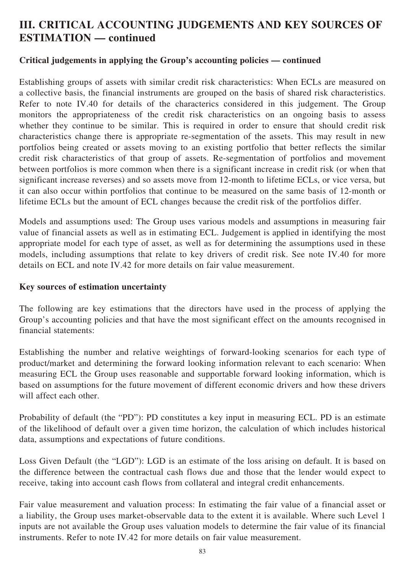# **III. CRITICAL ACCOUNTING JUDGEMENTS AND KEY SOURCES OF ESTIMATION — continued**

### **Critical judgements in applying the Group's accounting policies — continued**

Establishing groups of assets with similar credit risk characteristics: When ECLs are measured on a collective basis, the financial instruments are grouped on the basis of shared risk characteristics. Refer to note IV.40 for details of the characterics considered in this judgement. The Group monitors the appropriateness of the credit risk characteristics on an ongoing basis to assess whether they continue to be similar. This is required in order to ensure that should credit risk characteristics change there is appropriate re-segmentation of the assets. This may result in new portfolios being created or assets moving to an existing portfolio that better reflects the similar credit risk characteristics of that group of assets. Re-segmentation of portfolios and movement between portfolios is more common when there is a significant increase in credit risk (or when that significant increase reverses) and so assets move from 12-month to lifetime ECLs, or vice versa, but it can also occur within portfolios that continue to be measured on the same basis of 12-month or lifetime ECLs but the amount of ECL changes because the credit risk of the portfolios differ.

Models and assumptions used: The Group uses various models and assumptions in measuring fair value of financial assets as well as in estimating ECL. Judgement is applied in identifying the most appropriate model for each type of asset, as well as for determining the assumptions used in these models, including assumptions that relate to key drivers of credit risk. See note IV.40 for more details on ECL and note IV.42 for more details on fair value measurement.

### **Key sources of estimation uncertainty**

The following are key estimations that the directors have used in the process of applying the Group's accounting policies and that have the most significant effect on the amounts recognised in financial statements:

Establishing the number and relative weightings of forward-looking scenarios for each type of product/market and determining the forward looking information relevant to each scenario: When measuring ECL the Group uses reasonable and supportable forward looking information, which is based on assumptions for the future movement of different economic drivers and how these drivers will affect each other.

Probability of default (the "PD"): PD constitutes a key input in measuring ECL. PD is an estimate of the likelihood of default over a given time horizon, the calculation of which includes historical data, assumptions and expectations of future conditions.

Loss Given Default (the "LGD"): LGD is an estimate of the loss arising on default. It is based on the difference between the contractual cash flows due and those that the lender would expect to receive, taking into account cash flows from collateral and integral credit enhancements.

Fair value measurement and valuation process: In estimating the fair value of a financial asset or a liability, the Group uses market-observable data to the extent it is available. Where such Level 1 inputs are not available the Group uses valuation models to determine the fair value of its financial instruments. Refer to note IV.42 for more details on fair value measurement.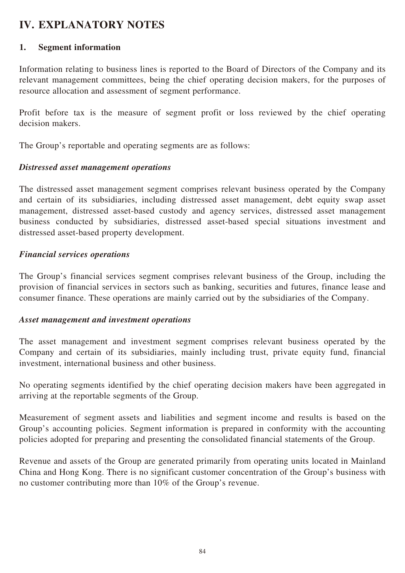# **IV. EXPLANATORY NOTES**

### **1. Segment information**

Information relating to business lines is reported to the Board of Directors of the Company and its relevant management committees, being the chief operating decision makers, for the purposes of resource allocation and assessment of segment performance.

Profit before tax is the measure of segment profit or loss reviewed by the chief operating decision makers.

The Group's reportable and operating segments are as follows:

### *Distressed asset management operations*

The distressed asset management segment comprises relevant business operated by the Company and certain of its subsidiaries, including distressed asset management, debt equity swap asset management, distressed asset-based custody and agency services, distressed asset management business conducted by subsidiaries, distressed asset-based special situations investment and distressed asset-based property development.

### *Financial services operations*

The Group's financial services segment comprises relevant business of the Group, including the provision of financial services in sectors such as banking, securities and futures, finance lease and consumer finance. These operations are mainly carried out by the subsidiaries of the Company.

### *Asset management and investment operations*

The asset management and investment segment comprises relevant business operated by the Company and certain of its subsidiaries, mainly including trust, private equity fund, financial investment, international business and other business.

No operating segments identified by the chief operating decision makers have been aggregated in arriving at the reportable segments of the Group.

Measurement of segment assets and liabilities and segment income and results is based on the Group's accounting policies. Segment information is prepared in conformity with the accounting policies adopted for preparing and presenting the consolidated financial statements of the Group.

Revenue and assets of the Group are generated primarily from operating units located in Mainland China and Hong Kong. There is no significant customer concentration of the Group's business with no customer contributing more than 10% of the Group's revenue.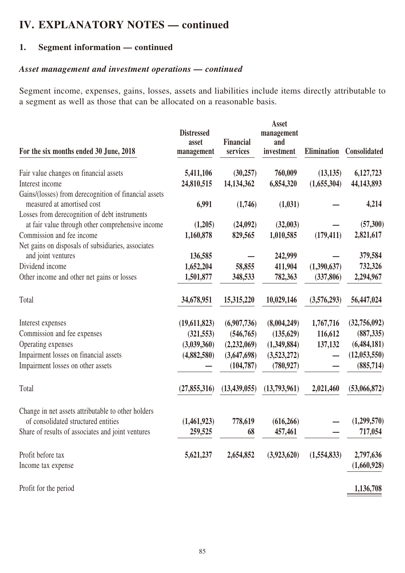### **1. Segment information — continued**

### *Asset management and investment operations — continued*

Segment income, expenses, gains, losses, assets and liabilities include items directly attributable to a segment as well as those that can be allocated on a reasonable basis.

| For the six months ended 30 June, 2018                                                            | <b>Distressed</b><br>asset<br>management | <b>Financial</b><br>services | <b>Asset</b><br>management<br>and<br>investment | Elimination | Consolidated           |
|---------------------------------------------------------------------------------------------------|------------------------------------------|------------------------------|-------------------------------------------------|-------------|------------------------|
| Fair value changes on financial assets                                                            | 5,411,106                                | (30, 257)                    | 760,009                                         | (13, 135)   | 6,127,723              |
| Interest income                                                                                   | 24,810,515                               | 14,134,362                   | 6,854,320                                       | (1,655,304) | 44, 143, 893           |
| Gains/(losses) from derecognition of financial assets<br>measured at amortised cost               | 6,991                                    | (1,746)                      | (1,031)                                         |             | 4,214                  |
| Losses from derecognition of debt instruments<br>at fair value through other comprehensive income | (1,205)                                  | (24,092)                     | (32,003)                                        |             | (57,300)               |
| Commission and fee income                                                                         | 1,160,878                                | 829,565                      | 1,010,585                                       | (179, 411)  | 2,821,617              |
| Net gains on disposals of subsidiaries, associates                                                |                                          |                              |                                                 |             |                        |
| and joint ventures                                                                                | 136,585                                  |                              | 242,999                                         |             | 379,584                |
| Dividend income                                                                                   | 1,652,204                                | 58,855                       | 411,904                                         | (1,390,637) | 732,326                |
| Other income and other net gains or losses                                                        | 1,501,877                                | 348,533                      | 782,363                                         | (337, 806)  | 2,294,967              |
| Total                                                                                             | 34,678,951                               | 15,315,220                   | 10,029,146                                      | (3,576,293) | 56,447,024             |
| Interest expenses                                                                                 | (19,611,823)                             | (6,907,736)                  | (8,004,249)                                     | 1,767,716   | (32,756,092)           |
| Commission and fee expenses                                                                       | (321, 553)                               | (546, 765)                   | (135, 629)                                      | 116,612     | (887, 335)             |
| Operating expenses                                                                                | (3,039,360)                              | (2,232,069)                  | (1,349,884)                                     | 137,132     | (6,484,181)            |
| Impairment losses on financial assets                                                             | (4,882,580)                              | (3,647,698)                  | (3,523,272)                                     |             | (12,053,550)           |
| Impairment losses on other assets                                                                 |                                          | (104, 787)                   | (780, 927)                                      |             | (885, 714)             |
| Total                                                                                             | (27, 855, 316)                           | (13, 439, 055)               | (13,793,961)                                    | 2,021,460   | (53,066,872)           |
| Change in net assets attributable to other holders                                                |                                          |                              |                                                 |             |                        |
| of consolidated structured entities<br>Share of results of associates and joint ventures          | (1,461,923)<br>259,525                   | 778,619<br>68                | (616, 266)<br>457,461                           |             | (1,299,570)<br>717,054 |
|                                                                                                   |                                          |                              |                                                 |             |                        |
| Profit before tax                                                                                 | 5,621,237                                | 2,654,852                    | (3,923,620)                                     | (1,554,833) | 2,797,636              |
| Income tax expense                                                                                |                                          |                              |                                                 |             | (1,660,928)            |
| Profit for the period                                                                             |                                          |                              |                                                 |             | 1,136,708              |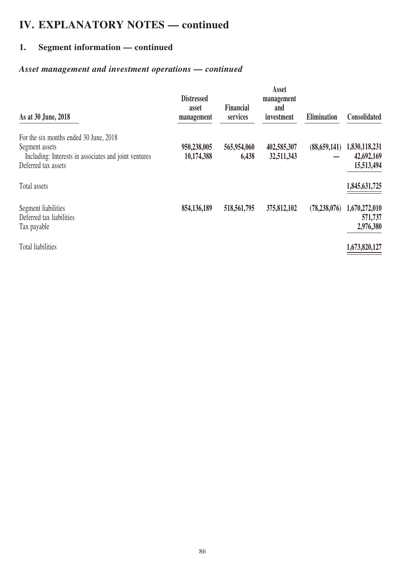# **1. Segment information — continued**

# *Asset management and investment operations — continued*

| As at 30 June, 2018                                                                                                                      | <b>Distressed</b><br>asset<br>management | <b>Financial</b><br>services | <b>Asset</b><br>management<br>and<br>investment | Elimination    | Consolidated                              |
|------------------------------------------------------------------------------------------------------------------------------------------|------------------------------------------|------------------------------|-------------------------------------------------|----------------|-------------------------------------------|
| For the six months ended 30 June, 2018<br>Segment assets<br>Including: Interests in associates and joint ventures<br>Deferred tax assets | 950,238,005<br>10,174,388                | 565,954,060<br>6,438         | 402,585,307<br>32,511,343                       | (88, 659, 141) | 1,830,118,231<br>42,692,169<br>15,513,494 |
| Total assets                                                                                                                             |                                          |                              |                                                 |                | 1,845,631,725                             |
| Segment liabilities<br>Deferred tax liabilities<br>Tax payable                                                                           | 854,136,189                              | 518,561,795                  | 375,812,102                                     | (78, 238, 076) | 1,670,272,010<br>571,737<br>2,976,380     |
| <b>Total liabilities</b>                                                                                                                 |                                          |                              |                                                 |                | 1,673,820,127                             |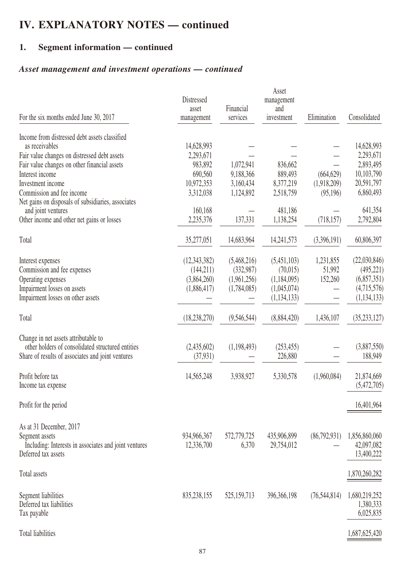# **1. Segment information — continued**

# *Asset management and investment operations — continued*

| For the six months ended June 30, 2017                                   | Distressed<br>asset<br>management | Financial<br>services | Asset<br>management<br>and<br>investment | Elimination    | Consolidated   |
|--------------------------------------------------------------------------|-----------------------------------|-----------------------|------------------------------------------|----------------|----------------|
| Income from distressed debt assets classified                            |                                   |                       |                                          |                |                |
| as receivables                                                           | 14,628,993                        |                       |                                          |                | 14,628,993     |
| Fair value changes on distressed debt assets                             | 2,293,671                         |                       |                                          |                | 2,293,671      |
| Fair value changes on other financial assets                             | 983,892                           | 1,072,941             | 836,662                                  |                | 2,893,495      |
| Interest income                                                          | 690,560                           | 9,188,366             | 889,493                                  | (664, 629)     | 10,103,790     |
| Investment income                                                        | 10,972,353                        | 3,160,434             | 8,377,219                                | (1,918,209)    | 20,591,797     |
| Commission and fee income                                                | 3,312,038                         | 1,124,892             | 2,518,759                                | (95,196)       | 6,860,493      |
| Net gains on disposals of subsidiaries, associates<br>and joint ventures | 160,168                           |                       | 481,186                                  |                | 641,354        |
| Other income and other net gains or losses                               | 2,235,376                         | 137,331               | 1,138,254                                | (718, 157)     | 2,792,804      |
|                                                                          |                                   |                       |                                          |                |                |
| Total                                                                    | 35,277,051                        | 14,683,964            | 14,241,573                               | (3,396,191)    | 60,806,397     |
| Interest expenses                                                        | (12,343,382)                      | (5,468,216)           | (5,451,103)                              | 1,231,855      | (22,030,846)   |
| Commission and fee expenses                                              | (144,211)                         | (332, 987)            | (70,015)                                 | 51,992         | (495, 221)     |
| Operating expenses                                                       | (3,864,260)                       | (1,961,256)           | (1,184,095)                              | 152,260        | (6,857,351)    |
| Impairment losses on assets                                              | (1,886,417)                       | (1,784,085)           | (1,045,074)                              |                | (4,715,576)    |
| Impairment losses on other assets                                        |                                   |                       | (1, 134, 133)                            |                | (1, 134, 133)  |
| Total                                                                    | (18, 238, 270)                    | (9,546,544)           | (8,884,420)                              | 1,436,107      | (35, 233, 127) |
| Change in net assets attributable to                                     |                                   |                       |                                          |                |                |
| other holders of consolidated structured entities                        | (2,435,602)                       | (1,198,493)           | (253, 455)                               |                | (3,887,550)    |
| Share of results of associates and joint ventures                        | (37, 931)                         |                       | 226,880                                  |                | 188,949        |
| Profit before tax                                                        | 14,565,248                        | 3,938,927             | 5,330,578                                | (1,960,084)    | 21,874,669     |
| Income tax expense                                                       |                                   |                       |                                          |                | (5,472,705)    |
|                                                                          |                                   |                       |                                          |                |                |
| Profit for the period                                                    |                                   |                       |                                          |                | 16,401,964     |
| As at 31 December, 2017                                                  |                                   |                       |                                          |                |                |
| Segment assets                                                           | 934,966,367                       | 572,779,725           | 435,906,899                              | (86,792,931)   | 1,856,860,060  |
| Including: Interests in associates and joint ventures                    | 12,336,700                        | 6,370                 | 29,754,012                               |                | 42,097,082     |
| Deferred tax assets                                                      |                                   |                       |                                          |                | 13,400,222     |
| Total assets                                                             |                                   |                       |                                          |                | 1,870,260,282  |
| Segment liabilities                                                      | 835, 238, 155                     | 525, 159, 713         | 396,366,198                              | (76, 544, 814) | 1,680,219,252  |
| Deferred tax liabilities                                                 |                                   |                       |                                          |                | 1,380,333      |
| Tax payable                                                              |                                   |                       |                                          |                | 6,025,835      |
|                                                                          |                                   |                       |                                          |                |                |
| Total liabilities                                                        |                                   |                       |                                          |                | 1,687,625,420  |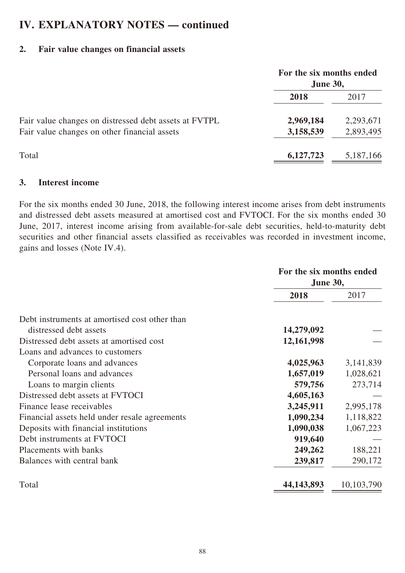# **2. Fair value changes on financial assets**

|                                                       | For the six months ended<br><b>June 30,</b> |           |
|-------------------------------------------------------|---------------------------------------------|-----------|
|                                                       | 2018                                        | 2017      |
| Fair value changes on distressed debt assets at FVTPL | 2,969,184                                   | 2,293,671 |
| Fair value changes on other financial assets          | 3,158,539                                   | 2,893,495 |
| Total                                                 | 6,127,723                                   | 5,187,166 |

### **3. Interest income**

For the six months ended 30 June, 2018, the following interest income arises from debt instruments and distressed debt assets measured at amortised cost and FVTOCI. For the six months ended 30 June, 2017, interest income arising from available-for-sale debt securities, held-to-maturity debt securities and other financial assets classified as receivables was recorded in investment income, gains and losses (Note IV.4).

|                                               | For the six months ended<br><b>June 30,</b> |            |
|-----------------------------------------------|---------------------------------------------|------------|
|                                               | 2018                                        | 2017       |
| Debt instruments at amortised cost other than |                                             |            |
| distressed debt assets                        | 14,279,092                                  |            |
| Distressed debt assets at amortised cost      | 12,161,998                                  |            |
| Loans and advances to customers               |                                             |            |
| Corporate loans and advances                  | 4,025,963                                   | 3,141,839  |
| Personal loans and advances                   | 1,657,019                                   | 1,028,621  |
| Loans to margin clients                       | 579,756                                     | 273,714    |
| Distressed debt assets at FVTOCI              | 4,605,163                                   |            |
| Finance lease receivables                     | 3,245,911                                   | 2,995,178  |
| Financial assets held under resale agreements | 1,090,234                                   | 1,118,822  |
| Deposits with financial institutions          | 1,090,038                                   | 1,067,223  |
| Debt instruments at FVTOCI                    | 919,640                                     |            |
| Placements with banks                         | 249,262                                     | 188,221    |
| Balances with central bank                    | 239,817                                     | 290,172    |
| Total                                         | 44, 143, 893                                | 10,103,790 |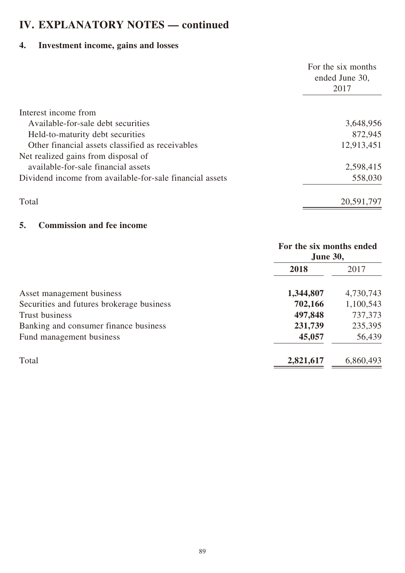# **4. Investment income, gains and losses**

|                                                          | For the six months<br>ended June 30, |
|----------------------------------------------------------|--------------------------------------|
|                                                          | 2017                                 |
| Interest income from                                     |                                      |
| Available-for-sale debt securities                       | 3,648,956                            |
| Held-to-maturity debt securities                         | 872,945                              |
| Other financial assets classified as receivables         | 12,913,451                           |
| Net realized gains from disposal of                      |                                      |
| available-for-sale financial assets                      | 2,598,415                            |
| Dividend income from available-for-sale financial assets | 558,030                              |
| Total                                                    | 20,591,797                           |

### **5. Commission and fee income**

|                                           | For the six months ended<br><b>June 30,</b> |           |
|-------------------------------------------|---------------------------------------------|-----------|
|                                           | 2018                                        | 2017      |
| Asset management business                 | 1,344,807                                   | 4,730,743 |
| Securities and futures brokerage business | 702,166                                     | 1,100,543 |
| <b>Trust business</b>                     | 497,848                                     | 737,373   |
| Banking and consumer finance business     | 231,739                                     | 235,395   |
| Fund management business                  | 45,057                                      | 56,439    |
| Total                                     | 2,821,617                                   | 6,860,493 |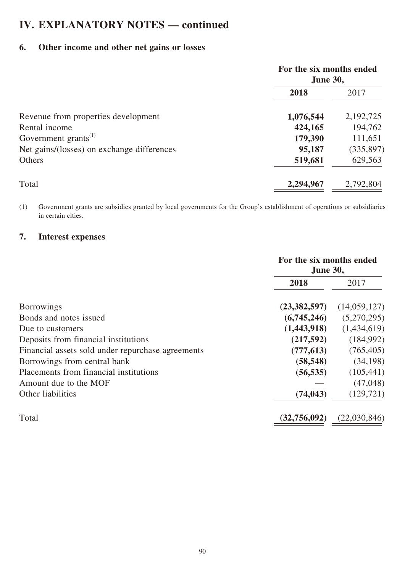# **6. Other income and other net gains or losses**

| For the six months ended<br><b>June 30,</b> |            |
|---------------------------------------------|------------|
| 2018                                        | 2017       |
| 1,076,544                                   | 2,192,725  |
| 424,165                                     | 194,762    |
| 179,390                                     | 111,651    |
| 95,187                                      | (335, 897) |
| 519,681                                     | 629,563    |
| 2,294,967                                   | 2,792,804  |
|                                             |            |

(1) Government grants are subsidies granted by local governments for the Group's establishment of operations or subsidiaries in certain cities.

# **7. Interest expenses**

|                                                   | For the six months ended<br><b>June 30,</b> |              |
|---------------------------------------------------|---------------------------------------------|--------------|
|                                                   | 2018                                        | 2017         |
| <b>Borrowings</b>                                 | (23, 382, 597)                              | (14,059,127) |
| Bonds and notes issued                            | (6,745,246)                                 | (5,270,295)  |
| Due to customers                                  | (1,443,918)                                 | (1,434,619)  |
| Deposits from financial institutions              | (217,592)                                   | (184,992)    |
| Financial assets sold under repurchase agreements | (777, 613)                                  | (765, 405)   |
| Borrowings from central bank                      | (58, 548)                                   | (34, 198)    |
| Placements from financial institutions            | (56, 535)                                   | (105, 441)   |
| Amount due to the MOF                             |                                             | (47,048)     |
| Other liabilities                                 | (74, 043)                                   | (129, 721)   |
| Total                                             | (32,756,092)                                | (22,030,846) |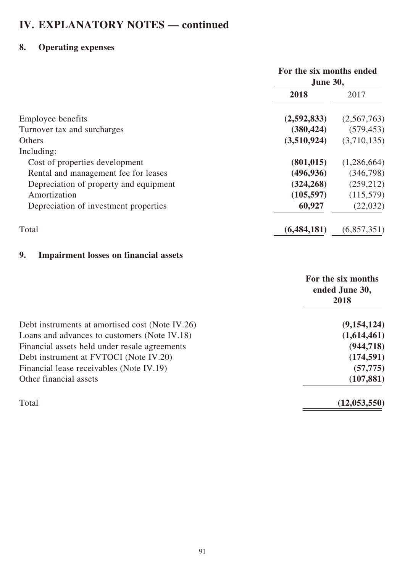# **8. Operating expenses**

|                                        | For the six months ended<br><b>June 30,</b> |             |
|----------------------------------------|---------------------------------------------|-------------|
|                                        | 2018                                        | 2017        |
| Employee benefits                      | (2,592,833)                                 | (2,567,763) |
| Turnover tax and surcharges            | (380, 424)                                  | (579, 453)  |
| Others                                 | (3,510,924)                                 | (3,710,135) |
| Including:                             |                                             |             |
| Cost of properties development         | (801, 015)                                  | (1,286,664) |
| Rental and management fee for leases   | (496, 936)                                  | (346,798)   |
| Depreciation of property and equipment | (324, 268)                                  | (259, 212)  |
| Amortization                           | (105, 597)                                  | (115,579)   |
| Depreciation of investment properties  | 60,927                                      | (22,032)    |
| Total                                  | (6, 484, 181)                               | (6,857,351) |

# **9. Impairment losses on financial assets**

|                                                 | For the six months<br>ended June 30,<br>2018 |
|-------------------------------------------------|----------------------------------------------|
| Debt instruments at amortised cost (Note IV.26) | (9,154,124)                                  |
| Loans and advances to customers (Note IV.18)    | (1,614,461)                                  |
| Financial assets held under resale agreements   | (944, 718)                                   |
| Debt instrument at FVTOCI (Note IV.20)          | (174, 591)                                   |
| Financial lease receivables (Note IV.19)        | (57, 775)                                    |
| Other financial assets                          | (107, 881)                                   |
| Total                                           | (12, 053, 550)                               |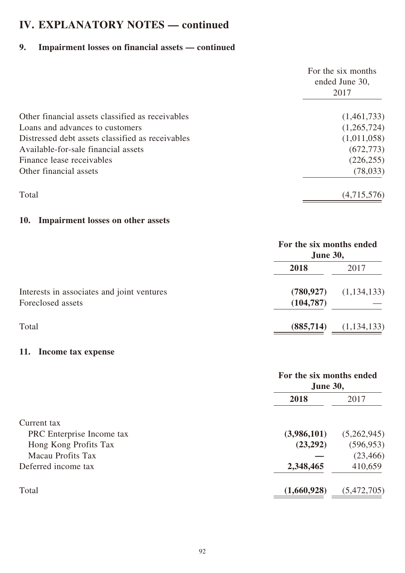# **9. Impairment losses on financial assets — continued**

|                                                  | For the six months<br>ended June 30, |  |
|--------------------------------------------------|--------------------------------------|--|
|                                                  | 2017                                 |  |
| Other financial assets classified as receivables | (1,461,733)                          |  |
| Loans and advances to customers                  | (1,265,724)                          |  |
| Distressed debt assets classified as receivables | (1,011,058)                          |  |
| Available-for-sale financial assets              | (672, 773)                           |  |
| Finance lease receivables                        | (226, 255)                           |  |
| Other financial assets                           | (78, 033)                            |  |
| Total                                            | (4,715,576)                          |  |

### **10. Impairment losses on other assets**

|                                                                 | For the six months ended<br><b>June 30,</b> |             |
|-----------------------------------------------------------------|---------------------------------------------|-------------|
|                                                                 | 2018                                        | 2017        |
| Interests in associates and joint ventures<br>Foreclosed assets | (780, 927)<br>(104, 787)                    | (1,134,133) |
| Total                                                           | (885,714)                                   | (1,134,133) |

### **11. Income tax expense**

|                           | For the six months ended<br><b>June 30,</b> |             |
|---------------------------|---------------------------------------------|-------------|
|                           | 2018                                        | 2017        |
| Current tax               |                                             |             |
| PRC Enterprise Income tax | (3,986,101)                                 | (5,262,945) |
| Hong Kong Profits Tax     | (23,292)                                    | (596, 953)  |
| Macau Profits Tax         |                                             | (23, 466)   |
| Deferred income tax       | 2,348,465                                   | 410,659     |
| Total                     | (1,660,928)                                 | (5,472,705) |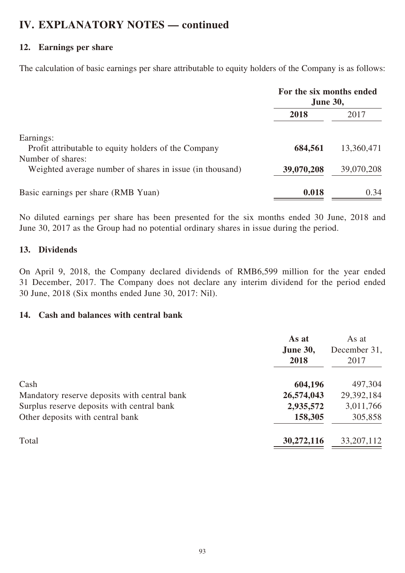### **12. Earnings per share**

The calculation of basic earnings per share attributable to equity holders of the Company is as follows:

|                                                                               | For the six months ended<br><b>June 30,</b> |            |
|-------------------------------------------------------------------------------|---------------------------------------------|------------|
|                                                                               | 2018                                        | 2017       |
| Earnings:                                                                     |                                             |            |
| Profit attributable to equity holders of the Company                          | 684,561                                     | 13,360,471 |
| Number of shares:<br>Weighted average number of shares in issue (in thousand) | 39,070,208                                  | 39,070,208 |
| Basic earnings per share (RMB Yuan)                                           | 0.018                                       | 0.34       |

No diluted earnings per share has been presented for the six months ended 30 June, 2018 and June 30, 2017 as the Group had no potential ordinary shares in issue during the period.

### **13. Dividends**

On April 9, 2018, the Company declared dividends of RMB6,599 million for the year ended 31 December, 2017. The Company does not declare any interim dividend for the period ended 30 June, 2018 (Six months ended June 30, 2017: Nil).

### **14. Cash and balances with central bank**

|                                              | As at<br><b>June 30,</b><br>2018 | As at<br>December 31,<br>2017 |
|----------------------------------------------|----------------------------------|-------------------------------|
| Cash                                         | 604,196                          | 497,304                       |
| Mandatory reserve deposits with central bank | 26,574,043                       | 29,392,184                    |
| Surplus reserve deposits with central bank   | 2,935,572                        | 3,011,766                     |
| Other deposits with central bank             | 158,305                          | 305,858                       |
| Total                                        | 30,272,116                       | 33, 207, 112                  |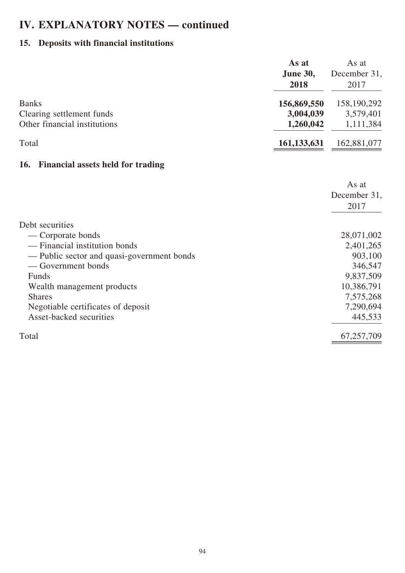# **15. Deposits with financial institutions**

|                                                           | As at<br><b>June 30,</b><br>2018 | As at<br>December 31,<br>2017 |
|-----------------------------------------------------------|----------------------------------|-------------------------------|
| <b>Banks</b>                                              | 156,869,550                      | 158,190,292                   |
| Clearing settlement funds<br>Other financial institutions | 3,004,039<br>1,260,042           | 3,579,401<br>1,111,384        |
|                                                           |                                  |                               |
| Total                                                     | 161, 133, 631                    | 162,881,077                   |
| <b>Financial assets held for trading</b><br>16.           |                                  |                               |
|                                                           |                                  | As at                         |
|                                                           |                                  | December 31,                  |
|                                                           |                                  | 2017                          |
| Debt securities                                           |                                  |                               |
| — Corporate bonds                                         |                                  | 28,071,002                    |
| - Financial institution bonds                             |                                  | 2,401,265                     |
| — Public sector and quasi-government bonds                |                                  | 903,100                       |
| — Government bonds                                        |                                  | 346,547                       |
| Funds                                                     |                                  | 9,837,509                     |
| Wealth management products                                |                                  | 10,386,791                    |
| <b>Shares</b>                                             |                                  | 7,575,268                     |
| Negotiable certificates of deposit                        |                                  | 7,290,694                     |
| Asset-backed securities                                   |                                  | 445,533                       |
| Total                                                     |                                  | 67,257,709                    |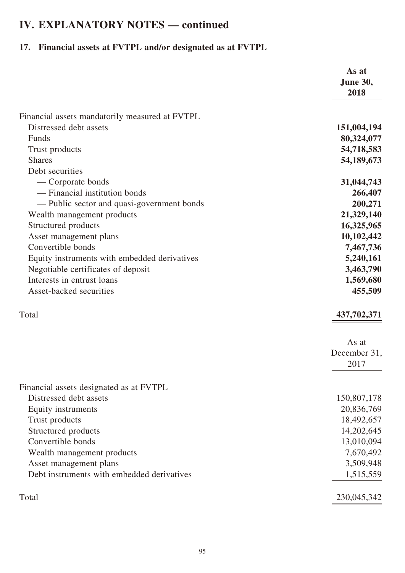# **17. Financial assets at FVTPL and/or designated as at FVTPL**

|                                                | As at<br><b>June 30,</b><br>2018 |
|------------------------------------------------|----------------------------------|
| Financial assets mandatorily measured at FVTPL |                                  |
| Distressed debt assets                         | 151,004,194                      |
| Funds                                          | 80,324,077                       |
| Trust products                                 | 54,718,583                       |
| <b>Shares</b>                                  | 54,189,673                       |
| Debt securities                                |                                  |
| — Corporate bonds                              | 31,044,743                       |
| - Financial institution bonds                  | 266,407                          |
| - Public sector and quasi-government bonds     | 200,271                          |
| Wealth management products                     | 21,329,140                       |
| Structured products                            | 16,325,965                       |
| Asset management plans                         | 10,102,442                       |
| Convertible bonds                              | 7,467,736                        |
| Equity instruments with embedded derivatives   | 5,240,161                        |
| Negotiable certificates of deposit             | 3,463,790                        |
| Interests in entrust loans                     | 1,569,680                        |
| Asset-backed securities                        | 455,509                          |
| Total                                          | 437,702,371                      |
|                                                | As at                            |
|                                                | December 31,                     |
|                                                | 2017                             |
| Financial assets designated as at FVTPL        |                                  |
| Distressed debt assets                         | 150,807,178                      |
| Equity instruments                             | 20,836,769                       |
| Trust products                                 | 18,492,657                       |
| Structured products                            | 14,202,645                       |
| Convertible bonds                              | 13,010,094                       |
| Wealth management products                     | 7,670,492                        |
| Asset management plans                         | 3,509,948                        |
| Debt instruments with embedded derivatives     | 1,515,559                        |
| Total                                          | 230,045,342                      |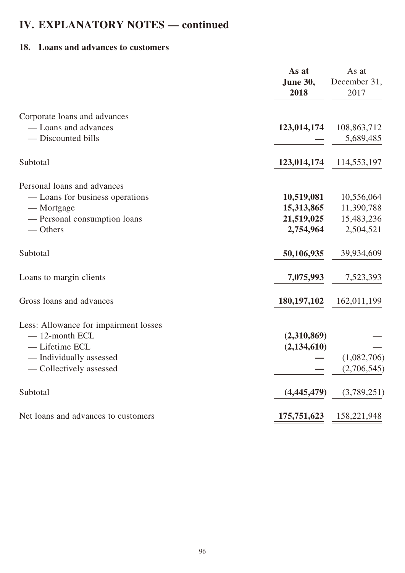### **18. Loans and advances to customers**

|                                       | As at<br><b>June 30,</b><br>2018 | As at<br>December 31,<br>2017 |
|---------------------------------------|----------------------------------|-------------------------------|
| Corporate loans and advances          |                                  |                               |
| - Loans and advances                  | 123,014,174                      | 108,863,712                   |
| - Discounted bills                    |                                  | 5,689,485                     |
| Subtotal                              | 123,014,174                      | 114,553,197                   |
| Personal loans and advances           |                                  |                               |
| — Loans for business operations       | 10,519,081                       | 10,556,064                    |
| — Mortgage                            | 15,313,865                       | 11,390,788                    |
| - Personal consumption loans          | 21,519,025                       | 15,483,236                    |
| $-$ Others                            | 2,754,964                        | 2,504,521                     |
| Subtotal                              | 50,106,935                       | 39,934,609                    |
| Loans to margin clients               | 7,075,993                        | 7,523,393                     |
| Gross loans and advances              | 180, 197, 102                    | 162,011,199                   |
| Less: Allowance for impairment losses |                                  |                               |
| $-12$ -month ECL                      | (2,310,869)                      |                               |
| - Lifetime ECL                        | (2, 134, 610)                    |                               |
| - Individually assessed               |                                  | (1,082,706)                   |
| — Collectively assessed               |                                  | (2,706,545)                   |
| Subtotal                              | (4,445,479)                      | (3,789,251)                   |
| Net loans and advances to customers   | 175,751,623                      | 158,221,948                   |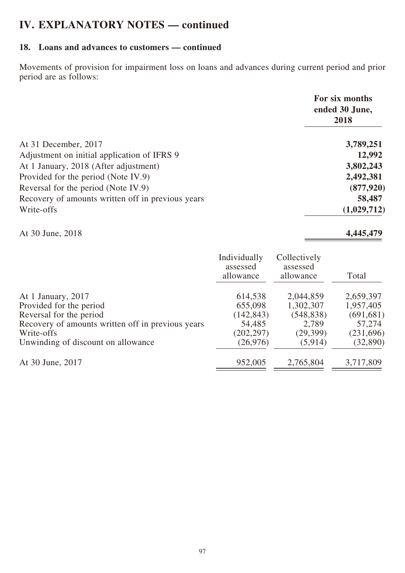### **18. Loans and advances to customers — continued**

Movements of provision for impairment loss on loans and advances during current period and prior period are as follows:

|                                                   | For six months<br>ended 30 June,<br>2018 |
|---------------------------------------------------|------------------------------------------|
| At 31 December, 2017                              | 3,789,251                                |
| Adjustment on initial application of IFRS 9       | 12,992                                   |
| At 1 January, 2018 (After adjustment)             | 3,802,243                                |
| Provided for the period (Note IV.9)               | 2,492,381                                |
| Reversal for the period (Note IV.9)               | (877, 920)                               |
| Recovery of amounts written off in previous years | 58,487                                   |
| Write-offs                                        | (1,029,712)                              |

At 30 June, 2018 **4,445,479**

|                                                   | Individually<br>assessed<br>allowance | Collectively<br>assessed<br>allowance | Total      |
|---------------------------------------------------|---------------------------------------|---------------------------------------|------------|
| At 1 January, 2017                                | 614,538                               | 2,044,859                             | 2,659,397  |
| Provided for the period                           | 655,098                               | 1,302,307                             | 1,957,405  |
| Reversal for the period                           | (142, 843)                            | (548, 838)                            | (691, 681) |
| Recovery of amounts written off in previous years | 54,485                                | 2,789                                 | 57,274     |
| Write-offs                                        | (202, 297)                            | (29,399)                              | (231,696)  |
| Unwinding of discount on allowance                | (26, 976)                             | (5, 914)                              | (32, 890)  |
| At 30 June, 2017                                  | 952,005                               | 2,765,804                             | 3,717,809  |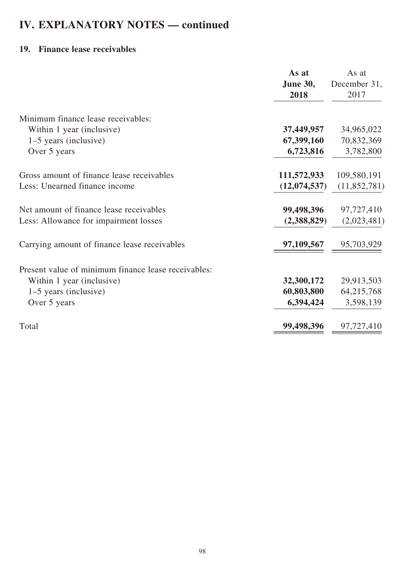### **19. Finance lease receivables**

|                                                     | As at           | As at        |
|-----------------------------------------------------|-----------------|--------------|
|                                                     | <b>June 30,</b> | December 31, |
|                                                     | 2018            | 2017         |
|                                                     |                 |              |
| Minimum finance lease receivables:                  |                 |              |
| Within 1 year (inclusive)                           | 37,449,957      | 34,965,022   |
| 1–5 years (inclusive)                               | 67,399,160      | 70,832,369   |
| Over 5 years                                        | 6,723,816       | 3,782,800    |
| Gross amount of finance lease receivables           | 111,572,933     | 109,580,191  |
| Less: Unearned finance income                       | (12,074,537)    | (11,852,781) |
| Net amount of finance lease receivables             | 99,498,396      | 97,727,410   |
| Less: Allowance for impairment losses               | (2,388,829)     | (2,023,481)  |
| Carrying amount of finance lease receivables        | 97,109,567      | 95,703,929   |
| Present value of minimum finance lease receivables: |                 |              |
| Within 1 year (inclusive)                           | 32,300,172      | 29,913,503   |
| 1–5 years (inclusive)                               | 60,803,800      | 64,215,768   |
| Over 5 years                                        | 6,394,424       | 3,598,139    |
| Total                                               | 99,498,396      | 97,727,410   |
|                                                     |                 |              |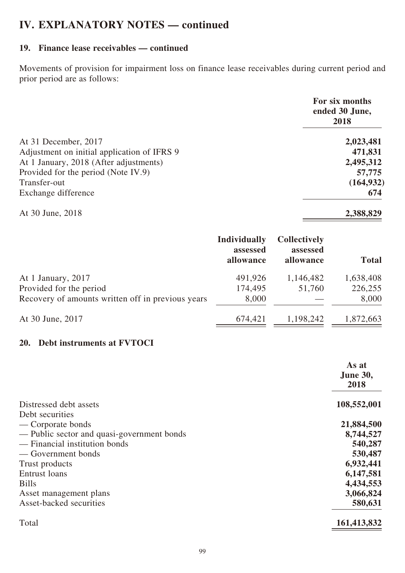### **19. Finance lease receivables — continued**

Movements of provision for impairment loss on finance lease receivables during current period and prior period are as follows:

|                                             | For six months<br>ended 30 June,<br>2018 |
|---------------------------------------------|------------------------------------------|
| At 31 December, 2017                        | 2,023,481                                |
| Adjustment on initial application of IFRS 9 | 471,831                                  |
| At 1 January, 2018 (After adjustments)      | 2,495,312                                |
| Provided for the period (Note IV.9)         | 57,775                                   |
| Transfer-out                                | (164, 932)                               |
| Exchange difference                         | 674                                      |
| At 30 June, 2018                            | 2,388,829                                |

|                                                   | <b>Individually</b><br>assessed<br>allowance | <b>Collectively</b><br>assessed<br>allowance | <b>Total</b> |
|---------------------------------------------------|----------------------------------------------|----------------------------------------------|--------------|
| At 1 January, 2017                                | 491,926                                      | 1,146,482                                    | 1,638,408    |
| Provided for the period                           | 174,495                                      | 51,760                                       | 226,255      |
| Recovery of amounts written off in previous years | 8,000                                        |                                              | 8,000        |
| At 30 June, 2017                                  | 674,421                                      | 1,198,242                                    | 1,872,663    |

### **20. Debt instruments at FVTOCI**

|                                            | As at           |
|--------------------------------------------|-----------------|
|                                            | <b>June 30,</b> |
|                                            | 2018            |
| Distressed debt assets                     | 108,552,001     |
| Debt securities                            |                 |
| — Corporate bonds                          | 21,884,500      |
| — Public sector and quasi-government bonds | 8,744,527       |
| - Financial institution bonds              | 540,287         |
| — Government bonds                         | 530,487         |
| Trust products                             | 6,932,441       |
| Entrust loans                              | 6,147,581       |
| <b>Bills</b>                               | 4,434,553       |
| Asset management plans                     | 3,066,824       |
| Asset-backed securities                    | 580,631         |
| Total                                      | 161,413,832     |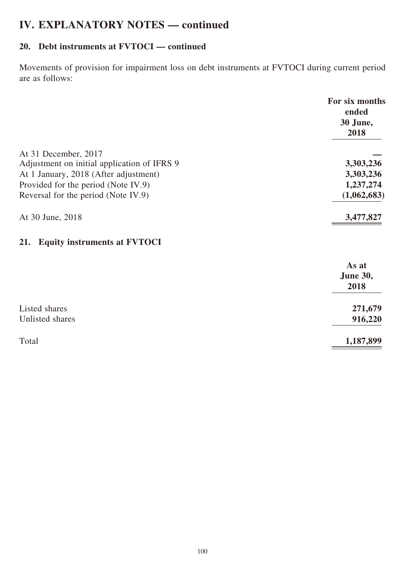# **20. Debt instruments at FVTOCI — continued**

Movements of provision for impairment loss on debt instruments at FVTOCI during current period are as follows:

|                                                                     | For six months<br>ended<br>30 June,<br>2018 |
|---------------------------------------------------------------------|---------------------------------------------|
| At 31 December, 2017<br>Adjustment on initial application of IFRS 9 | 3,303,236                                   |
| At 1 January, 2018 (After adjustment)                               | 3,303,236                                   |
| Provided for the period (Note IV.9)                                 | 1,237,274                                   |
| Reversal for the period (Note IV.9)                                 | (1,062,683)                                 |
| At 30 June, 2018                                                    | 3,477,827                                   |
| <b>Equity instruments at FVTOCI</b><br>21.                          |                                             |
|                                                                     | As at                                       |
|                                                                     | <b>June 30,</b>                             |
|                                                                     | 2018                                        |
| Listed shares                                                       | 271,679                                     |
| Unlisted shares                                                     | 916,220                                     |
| Total                                                               | 1,187,899                                   |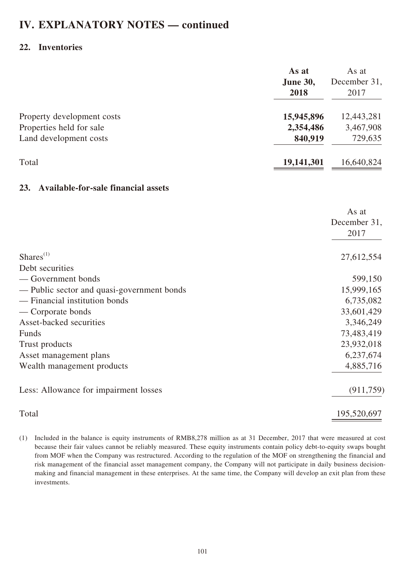### **22. Inventories**

|                                                   | As at<br><b>June 30,</b><br>2018 | As at<br>December 31,<br>2017 |
|---------------------------------------------------|----------------------------------|-------------------------------|
| Property development costs                        | 15,945,896                       | 12,443,281                    |
| Properties held for sale                          | 2,354,486                        | 3,467,908                     |
| Land development costs                            | 840,919                          | 729,635                       |
| Total                                             | 19,141,301                       | 16,640,824                    |
| <b>Available-for-sale financial assets</b><br>23. |                                  |                               |
|                                                   |                                  | As at                         |
|                                                   |                                  | December 31,<br>2017          |
| $Shares$ <sup>(1)</sup>                           |                                  | 27,612,554                    |
| Debt securities                                   |                                  |                               |
| — Government bonds                                |                                  | 599,150                       |
| - Public sector and quasi-government bonds        |                                  | 15,999,165                    |
| - Financial institution bonds                     |                                  | 6,735,082                     |
| — Corporate bonds                                 |                                  | 33,601,429                    |
| Asset-backed securities                           |                                  | 3,346,249                     |
| Funds                                             |                                  | 73,483,419                    |
| Trust products                                    |                                  | 23,932,018                    |
| Asset management plans                            |                                  | 6,237,674                     |
| Wealth management products                        |                                  | 4,885,716                     |
| Less: Allowance for impairment losses             |                                  | (911, 759)                    |
| Total                                             |                                  | 195,520,697                   |

(1) Included in the balance is equity instruments of RMB8,278 million as at 31 December, 2017 that were measured at cost because their fair values cannot be reliably measured. These equity instruments contain policy debt-to-equity swaps bought from MOF when the Company was restructured. According to the regulation of the MOF on strengthening the financial and risk management of the financial asset management company, the Company will not participate in daily business decisionmaking and financial management in these enterprises. At the same time, the Company will develop an exit plan from these investments.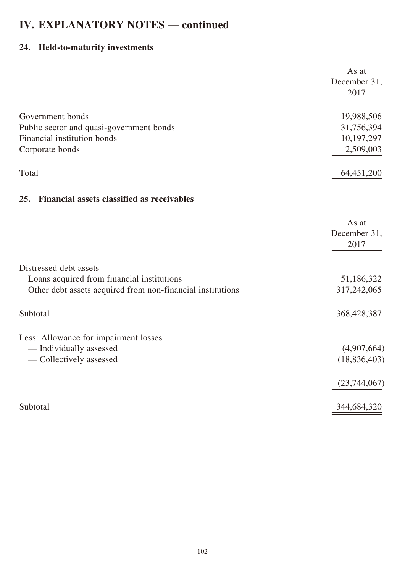# **24. Held-to-maturity investments**

|                                                            | As at          |
|------------------------------------------------------------|----------------|
|                                                            | December 31,   |
|                                                            | 2017           |
|                                                            |                |
| Government bonds                                           | 19,988,506     |
| Public sector and quasi-government bonds                   | 31,756,394     |
| Financial institution bonds                                | 10,197,297     |
| Corporate bonds                                            | 2,509,003      |
|                                                            |                |
| Total                                                      | 64,451,200     |
|                                                            |                |
| <b>Financial assets classified as receivables</b><br>25.   |                |
|                                                            |                |
|                                                            | As at          |
|                                                            | December 31,   |
|                                                            | 2017           |
|                                                            |                |
| Distressed debt assets                                     |                |
| Loans acquired from financial institutions                 | 51,186,322     |
| Other debt assets acquired from non-financial institutions | 317,242,065    |
|                                                            |                |
| Subtotal                                                   | 368,428,387    |
|                                                            |                |
| Less: Allowance for impairment losses                      |                |
| - Individually assessed                                    | (4,907,664)    |
| - Collectively assessed                                    | (18, 836, 403) |
|                                                            |                |
|                                                            | (23, 744, 067) |
|                                                            |                |
| Subtotal                                                   | 344,684,320    |
|                                                            |                |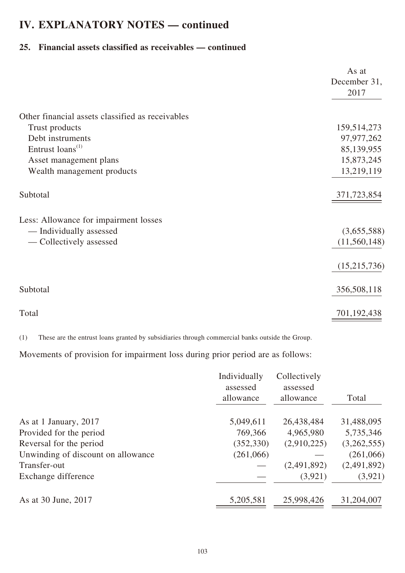### **25. Financial assets classified as receivables — continued**

|                                                  | As at                |
|--------------------------------------------------|----------------------|
|                                                  | December 31,<br>2017 |
|                                                  |                      |
| Other financial assets classified as receivables |                      |
| Trust products                                   | 159,514,273          |
| Debt instruments                                 | 97,977,262           |
| Entrust loans <sup>(1)</sup>                     | 85,139,955           |
| Asset management plans                           | 15,873,245           |
| Wealth management products                       | 13,219,119           |
| Subtotal                                         | 371,723,854          |
| Less: Allowance for impairment losses            |                      |
| — Individually assessed                          | (3,655,588)          |
| — Collectively assessed                          | (11,560,148)         |
|                                                  | (15,215,736)         |
| Subtotal                                         | 356,508,118          |
| Total                                            | 701,192,438          |

(1) These are the entrust loans granted by subsidiaries through commercial banks outside the Group.

Movements of provision for impairment loss during prior period are as follows:

|                                    | Individually<br>assessed<br>allowance | Collectively<br>assessed<br>allowance | Total       |
|------------------------------------|---------------------------------------|---------------------------------------|-------------|
| As at 1 January, 2017              | 5,049,611                             | 26,438,484                            | 31,488,095  |
| Provided for the period            | 769,366                               | 4,965,980                             | 5,735,346   |
| Reversal for the period            | (352, 330)                            | (2,910,225)                           | (3,262,555) |
| Unwinding of discount on allowance | (261,066)                             |                                       | (261,066)   |
| Transfer-out                       |                                       | (2,491,892)                           | (2,491,892) |
| Exchange difference                |                                       | (3,921)                               | (3,921)     |
| As at 30 June, 2017                | 5,205,581                             | 25,998,426                            | 31,204,007  |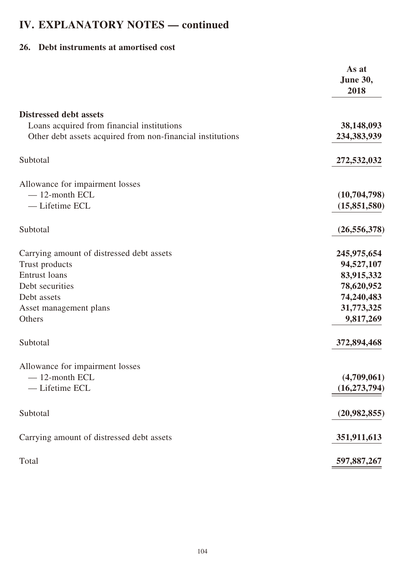## **26. Debt instruments at amortised cost**

|                                                            | As at<br>June 30,<br>2018 |
|------------------------------------------------------------|---------------------------|
| <b>Distressed debt assets</b>                              |                           |
| Loans acquired from financial institutions                 | 38,148,093                |
| Other debt assets acquired from non-financial institutions | 234,383,939               |
| Subtotal                                                   | 272,532,032               |
| Allowance for impairment losses                            |                           |
| $-12$ -month ECL                                           | (10,704,798)              |
| - Lifetime ECL                                             | (15,851,580)              |
| Subtotal                                                   | (26, 556, 378)            |
| Carrying amount of distressed debt assets                  | 245,975,654               |
| Trust products                                             | 94,527,107                |
| <b>Entrust loans</b>                                       | 83,915,332                |
| Debt securities                                            | 78,620,952                |
| Debt assets                                                | 74,240,483                |
| Asset management plans                                     | 31,773,325                |
| Others                                                     | 9,817,269                 |
| Subtotal                                                   | 372,894,468               |
| Allowance for impairment losses                            |                           |
| $-12$ -month ECL                                           | (4,709,061)               |
| - Lifetime ECL                                             | (16, 273, 794)            |
| Subtotal                                                   | (20,982,855)              |
| Carrying amount of distressed debt assets                  | 351,911,613               |
| Total                                                      | 597,887,267               |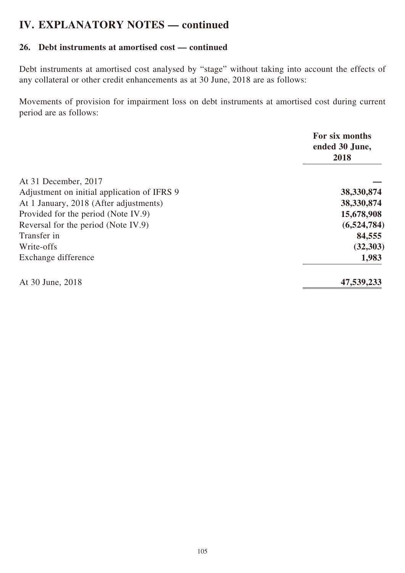### **26. Debt instruments at amortised cost — continued**

Debt instruments at amortised cost analysed by "stage" without taking into account the effects of any collateral or other credit enhancements as at 30 June, 2018 are as follows:

Movements of provision for impairment loss on debt instruments at amortised cost during current period are as follows:

|                                             | For six months<br>ended 30 June,<br>2018 |
|---------------------------------------------|------------------------------------------|
| At 31 December, 2017                        |                                          |
| Adjustment on initial application of IFRS 9 | 38,330,874                               |
| At 1 January, 2018 (After adjustments)      | 38,330,874                               |
| Provided for the period (Note IV.9)         | 15,678,908                               |
| Reversal for the period (Note IV.9)         | (6,524,784)                              |
| Transfer in                                 | 84,555                                   |
| Write-offs                                  | (32,303)                                 |
| Exchange difference                         | 1,983                                    |
| At 30 June, 2018                            | 47,539,233                               |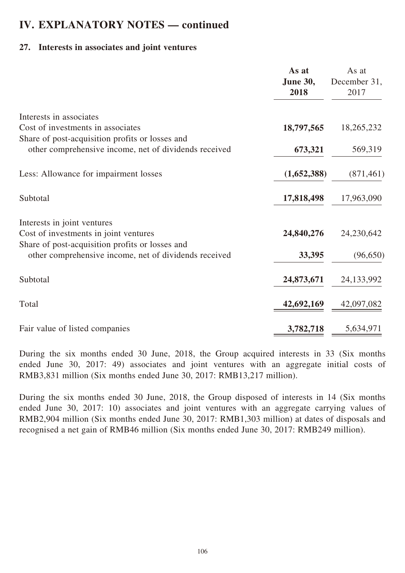### **27. Interests in associates and joint ventures**

|                                                       | As at                   | As at                |
|-------------------------------------------------------|-------------------------|----------------------|
|                                                       | <b>June 30,</b><br>2018 | December 31,<br>2017 |
|                                                       |                         |                      |
| Interests in associates                               |                         |                      |
| Cost of investments in associates                     | 18,797,565              | 18,265,232           |
| Share of post-acquisition profits or losses and       |                         |                      |
| other comprehensive income, net of dividends received | 673,321                 | 569,319              |
| Less: Allowance for impairment losses                 | (1,652,388)             | (871, 461)           |
| Subtotal                                              | 17,818,498              | 17,963,090           |
| Interests in joint ventures                           |                         |                      |
| Cost of investments in joint ventures                 | 24,840,276              | 24,230,642           |
| Share of post-acquisition profits or losses and       |                         |                      |
| other comprehensive income, net of dividends received | 33,395                  | (96, 650)            |
| Subtotal                                              | 24,873,671              | 24, 133, 992         |
| Total                                                 | 42,692,169              | 42,097,082           |
|                                                       |                         |                      |
| Fair value of listed companies                        | 3,782,718               | 5,634,971            |

During the six months ended 30 June, 2018, the Group acquired interests in 33 (Six months ended June 30, 2017: 49) associates and joint ventures with an aggregate initial costs of RMB3,831 million (Six months ended June 30, 2017: RMB13,217 million).

During the six months ended 30 June, 2018, the Group disposed of interests in 14 (Six months ended June 30, 2017: 10) associates and joint ventures with an aggregate carrying values of RMB2,904 million (Six months ended June 30, 2017: RMB1,303 million) at dates of disposals and recognised a net gain of RMB46 million (Six months ended June 30, 2017: RMB249 million).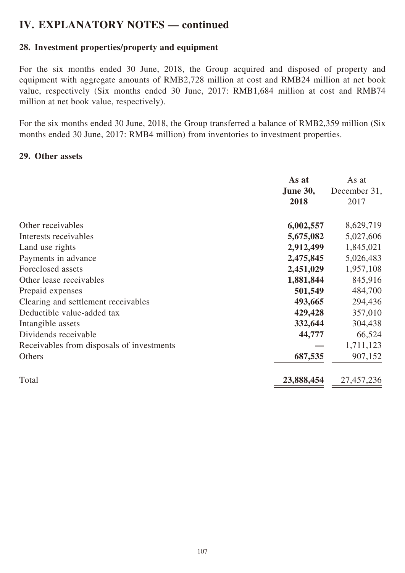# **28. Investment properties/property and equipment**

For the six months ended 30 June, 2018, the Group acquired and disposed of property and equipment with aggregate amounts of RMB2,728 million at cost and RMB24 million at net book value, respectively (Six months ended 30 June, 2017: RMB1,684 million at cost and RMB74 million at net book value, respectively).

For the six months ended 30 June, 2018, the Group transferred a balance of RMB2,359 million (Six months ended 30 June, 2017: RMB4 million) from inventories to investment properties.

### **29. Other assets**

|                                           | As at<br><b>June 30,</b><br>2018 | As at<br>December 31,<br>2017 |
|-------------------------------------------|----------------------------------|-------------------------------|
| Other receivables                         | 6,002,557                        | 8,629,719                     |
| Interests receivables                     | 5,675,082                        | 5,027,606                     |
| Land use rights                           | 2,912,499                        | 1,845,021                     |
| Payments in advance                       | 2,475,845                        | 5,026,483                     |
| Foreclosed assets                         | 2,451,029                        | 1,957,108                     |
| Other lease receivables                   | 1,881,844                        | 845,916                       |
| Prepaid expenses                          | 501,549                          | 484,700                       |
| Clearing and settlement receivables       | 493,665                          | 294,436                       |
| Deductible value-added tax                | 429,428                          | 357,010                       |
| Intangible assets                         | 332,644                          | 304,438                       |
| Dividends receivable                      | 44,777                           | 66,524                        |
| Receivables from disposals of investments |                                  | 1,711,123                     |
| Others                                    | 687,535                          | 907,152                       |
| Total                                     | 23,888,454                       | 27,457,236                    |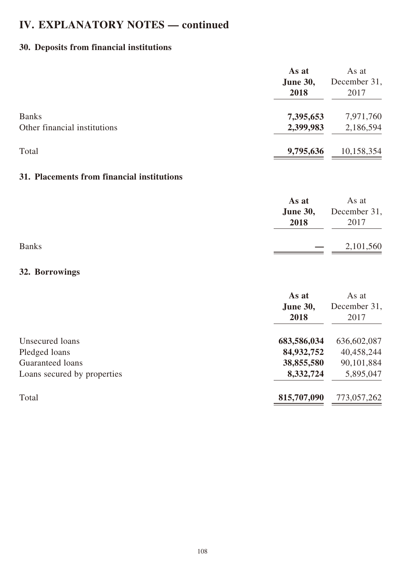# **30. Deposits from financial institutions**

|                              | As at<br><b>June 30,</b><br>2018 | As at<br>December 31,<br>2017 |
|------------------------------|----------------------------------|-------------------------------|
| <b>Banks</b>                 | 7,395,653                        | 7,971,760                     |
| Other financial institutions | 2,399,983                        | 2,186,594                     |
| Total                        | 9,795,636                        | 10,158,354                    |

# **31. Placements from financial institutions**

| As at<br>2018            | As at<br><b>June 30,</b> December 31,<br>2017 |
|--------------------------|-----------------------------------------------|
| $\overline{\phantom{0}}$ | 2,101,560                                     |

### **32. Borrowings**

| As at<br><b>June 30,</b><br>2018 | As at<br>December 31,<br>2017 |
|----------------------------------|-------------------------------|
| 683,586,034                      | 636,602,087                   |
| 84,932,752                       | 40,458,244                    |
| 38,855,580                       | 90,101,884                    |
| 8,332,724                        | 5,895,047                     |
| 815,707,090                      | 773,057,262                   |
|                                  |                               |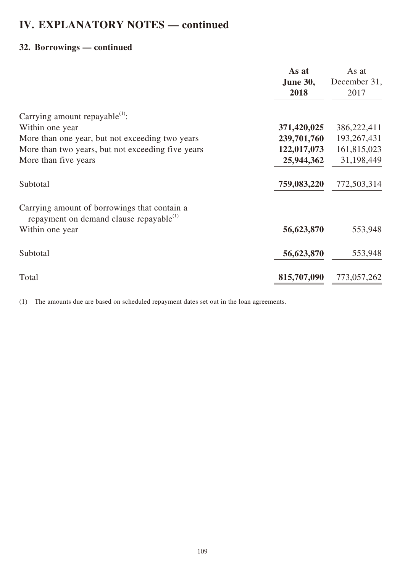### **32. Borrowings — continued**

|                                                                                                     | As at                   | As at         |
|-----------------------------------------------------------------------------------------------------|-------------------------|---------------|
|                                                                                                     | <b>June 30,</b><br>2018 | December 31,  |
|                                                                                                     |                         | 2017          |
| Carrying amount repayable $(1)$ :                                                                   |                         |               |
| Within one year                                                                                     | 371,420,025             | 386,222,411   |
| More than one year, but not exceeding two years                                                     | 239,701,760             | 193, 267, 431 |
| More than two years, but not exceeding five years                                                   | 122,017,073             | 161,815,023   |
| More than five years                                                                                | 25,944,362              | 31,198,449    |
| Subtotal                                                                                            | 759,083,220             | 772,503,314   |
| Carrying amount of borrowings that contain a<br>repayment on demand clause repayable <sup>(1)</sup> |                         |               |
| Within one year                                                                                     | 56,623,870              | 553,948       |
| Subtotal                                                                                            | 56,623,870              | 553,948       |
| Total                                                                                               | 815,707,090             | 773,057,262   |

(1) The amounts due are based on scheduled repayment dates set out in the loan agreements.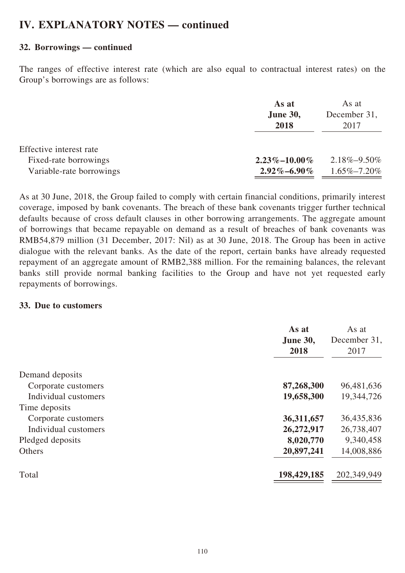#### **32. Borrowings — continued**

The ranges of effective interest rate (which are also equal to contractual interest rates) on the Group's borrowings are as follows:

|                          | As at              | As at             |
|--------------------------|--------------------|-------------------|
|                          | <b>June 30,</b>    | December 31,      |
|                          | 2018               | 2017              |
| Effective interest rate  |                    |                   |
| Fixed-rate borrowings    | $2.23\% - 10.00\%$ | $2.18\% - 9.50\%$ |
| Variable-rate borrowings | $2.92\% - 6.90\%$  | $1.65\% - 7.20\%$ |

As at 30 June, 2018, the Group failed to comply with certain financial conditions, primarily interest coverage, imposed by bank covenants. The breach of these bank covenants trigger further technical defaults because of cross default clauses in other borrowing arrangements. The aggregate amount of borrowings that became repayable on demand as a result of breaches of bank covenants was RMB54,879 million (31 December, 2017: Nil) as at 30 June, 2018. The Group has been in active dialogue with the relevant banks. As the date of the report, certain banks have already requested repayment of an aggregate amount of RMB2,388 million. For the remaining balances, the relevant banks still provide normal banking facilities to the Group and have not yet requested early repayments of borrowings.

#### **33. Due to customers**

|                      | As at<br><b>June 30,</b><br>2018 | As at<br>December 31,<br>2017 |
|----------------------|----------------------------------|-------------------------------|
| Demand deposits      |                                  |                               |
| Corporate customers  | 87,268,300                       | 96,481,636                    |
| Individual customers | 19,658,300                       | 19,344,726                    |
| Time deposits        |                                  |                               |
| Corporate customers  | 36,311,657                       | 36,435,836                    |
| Individual customers | 26,272,917                       | 26,738,407                    |
| Pledged deposits     | 8,020,770                        | 9,340,458                     |
| <b>Others</b>        | 20,897,241                       | 14,008,886                    |
| Total                | 198,429,185                      | 202,349,949                   |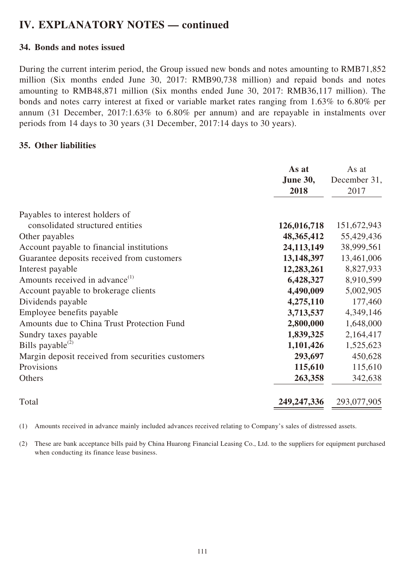#### **34. Bonds and notes issued**

During the current interim period, the Group issued new bonds and notes amounting to RMB71,852 million (Six months ended June 30, 2017: RMB90,738 million) and repaid bonds and notes amounting to RMB48,871 million (Six months ended June 30, 2017: RMB36,117 million). The bonds and notes carry interest at fixed or variable market rates ranging from 1.63% to 6.80% per annum (31 December, 2017:1.63% to 6.80% per annum) and are repayable in instalments over periods from 14 days to 30 years (31 December, 2017:14 days to 30 years).

#### **35. Other liabilities**

|                                                   | As at<br><b>June 30,</b><br>2018 | As at<br>December 31,<br>2017 |
|---------------------------------------------------|----------------------------------|-------------------------------|
| Payables to interest holders of                   |                                  |                               |
| consolidated structured entities                  | 126,016,718                      | 151,672,943                   |
| Other payables                                    | 48, 365, 412                     | 55,429,436                    |
| Account payable to financial institutions         | 24, 113, 149                     | 38,999,561                    |
| Guarantee deposits received from customers        | 13,148,397                       | 13,461,006                    |
| Interest payable                                  | 12,283,261                       | 8,827,933                     |
| Amounts received in advance <sup>(1)</sup>        | 6,428,327                        | 8,910,599                     |
| Account payable to brokerage clients              | 4,490,009                        | 5,002,905                     |
| Dividends payable                                 | 4,275,110                        | 177,460                       |
| Employee benefits payable                         | 3,713,537                        | 4,349,146                     |
| Amounts due to China Trust Protection Fund        | 2,800,000                        | 1,648,000                     |
| Sundry taxes payable                              | 1,839,325                        | 2,164,417                     |
| Bills payable <sup>(2)</sup>                      | 1,101,426                        | 1,525,623                     |
| Margin deposit received from securities customers | 293,697                          | 450,628                       |
| Provisions                                        | 115,610                          | 115,610                       |
| Others                                            | 263,358                          | 342,638                       |
| Total                                             | 249, 247, 336                    | 293,077,905                   |

(1) Amounts received in advance mainly included advances received relating to Company's sales of distressed assets.

(2) These are bank acceptance bills paid by China Huarong Financial Leasing Co., Ltd. to the suppliers for equipment purchased when conducting its finance lease business.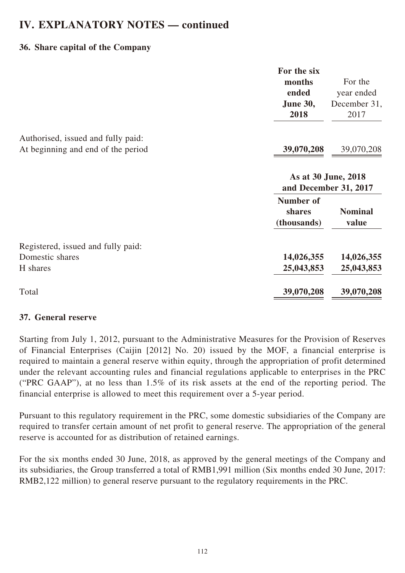### **36. Share capital of the Company**

|                                                                          | For the six<br>months<br>ended<br><b>June 30,</b><br>2018 | For the<br>year ended<br>December 31,<br>2017 |
|--------------------------------------------------------------------------|-----------------------------------------------------------|-----------------------------------------------|
| Authorised, issued and fully paid:<br>At beginning and end of the period | 39,070,208                                                | 39,070,208                                    |
|                                                                          |                                                           | As at 30 June, 2018<br>and December 31, 2017  |
|                                                                          | Number of<br>shares<br>(thousands)                        | <b>Nominal</b><br>value                       |
| Registered, issued and fully paid:<br>Domestic shares<br>H shares        | 14,026,355<br>25,043,853                                  | 14,026,355<br>25,043,853                      |
| Total                                                                    | 39,070,208                                                | 39,070,208                                    |

#### **37. General reserve**

Starting from July 1, 2012, pursuant to the Administrative Measures for the Provision of Reserves of Financial Enterprises (Caijin [2012] No. 20) issued by the MOF, a financial enterprise is required to maintain a general reserve within equity, through the appropriation of profit determined under the relevant accounting rules and financial regulations applicable to enterprises in the PRC ("PRC GAAP"), at no less than 1.5% of its risk assets at the end of the reporting period. The financial enterprise is allowed to meet this requirement over a 5-year period.

Pursuant to this regulatory requirement in the PRC, some domestic subsidiaries of the Company are required to transfer certain amount of net profit to general reserve. The appropriation of the general reserve is accounted for as distribution of retained earnings.

For the six months ended 30 June, 2018, as approved by the general meetings of the Company and its subsidiaries, the Group transferred a total of RMB1,991 million (Six months ended 30 June, 2017: RMB2,122 million) to general reserve pursuant to the regulatory requirements in the PRC.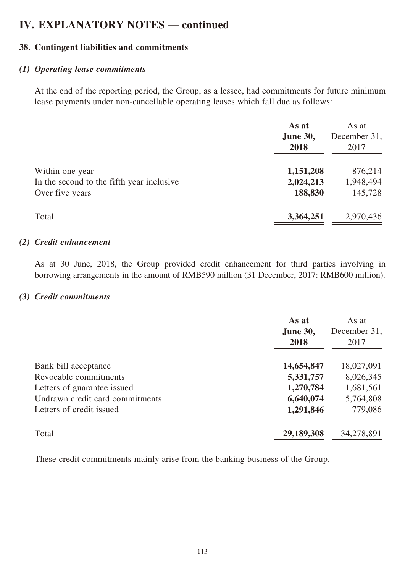### **38. Contingent liabilities and commitments**

#### *(1) Operating lease commitments*

At the end of the reporting period, the Group, as a lessee, had commitments for future minimum lease payments under non-cancellable operating leases which fall due as follows:

|                                           | As at<br><b>June 30,</b><br>2018 | As at<br>December 31,<br>2017 |
|-------------------------------------------|----------------------------------|-------------------------------|
| Within one year                           | 1,151,208                        | 876,214                       |
| In the second to the fifth year inclusive | 2,024,213                        | 1,948,494                     |
| Over five years                           | 188,830                          | 145,728                       |
| Total                                     | 3,364,251                        | 2,970,436                     |

#### *(2) Credit enhancement*

As at 30 June, 2018, the Group provided credit enhancement for third parties involving in borrowing arrangements in the amount of RMB590 million (31 December, 2017: RMB600 million).

#### *(3) Credit commitments*

|                                 | As at<br>June 30,<br>2018 | As at<br>December 31,<br>2017 |
|---------------------------------|---------------------------|-------------------------------|
| Bank bill acceptance            | 14,654,847                | 18,027,091                    |
| Revocable commitments           | 5,331,757                 | 8,026,345                     |
| Letters of guarantee issued     | 1,270,784                 | 1,681,561                     |
| Undrawn credit card commitments | 6,640,074                 | 5,764,808                     |
| Letters of credit issued        | 1,291,846                 | 779,086                       |
| Total                           | 29,189,308                | 34,278,891                    |

These credit commitments mainly arise from the banking business of the Group.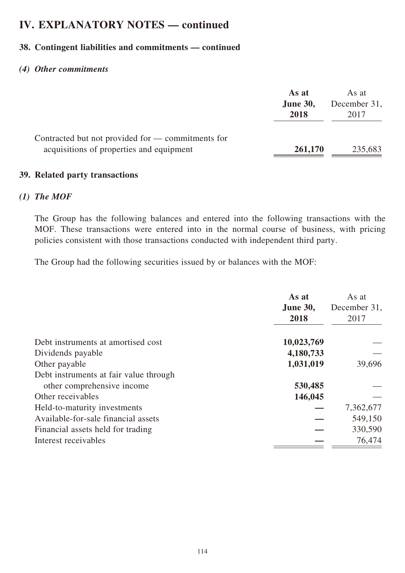### **38. Contingent liabilities and commitments — continued**

#### *(4) Other commitments*

|                                                                                                    | As at<br><b>June 30,</b><br>2018 | As at<br>December 31,<br>2017 |
|----------------------------------------------------------------------------------------------------|----------------------------------|-------------------------------|
| Contracted but not provided for $\sim$ commitments for<br>acquisitions of properties and equipment | 261,170                          | 235,683                       |

#### **39. Related party transactions**

#### *(1) The MOF*

The Group has the following balances and entered into the following transactions with the MOF. These transactions were entered into in the normal course of business, with pricing policies consistent with those transactions conducted with independent third party.

The Group had the following securities issued by or balances with the MOF:

|                                        | As at<br><b>June 30,</b><br>2018 | As at<br>December 31,<br>2017 |
|----------------------------------------|----------------------------------|-------------------------------|
| Debt instruments at amortised cost     | 10,023,769                       |                               |
| Dividends payable                      | 4,180,733                        |                               |
| Other payable                          | 1,031,019                        | 39,696                        |
| Debt instruments at fair value through |                                  |                               |
| other comprehensive income             | 530,485                          |                               |
| Other receivables                      | 146,045                          |                               |
| Held-to-maturity investments           |                                  | 7,362,677                     |
| Available-for-sale financial assets    |                                  | 549,150                       |
| Financial assets held for trading      |                                  | 330,590                       |
| Interest receivables                   |                                  | 76,474                        |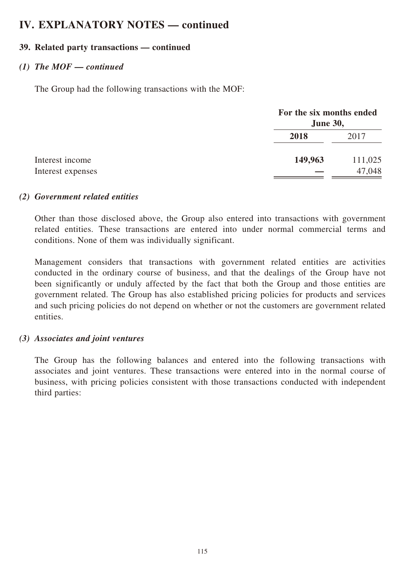#### **39. Related party transactions — continued**

#### *(1) The MOF — continued*

The Group had the following transactions with the MOF:

| For the six months ended<br><b>June 30,</b> |         |
|---------------------------------------------|---------|
| 2018                                        | 2017    |
| 149,963                                     | 111,025 |
|                                             | 47,048  |

#### *(2) Government related entities*

Other than those disclosed above, the Group also entered into transactions with government related entities. These transactions are entered into under normal commercial terms and conditions. None of them was individually significant.

Management considers that transactions with government related entities are activities conducted in the ordinary course of business, and that the dealings of the Group have not been significantly or unduly affected by the fact that both the Group and those entities are government related. The Group has also established pricing policies for products and services and such pricing policies do not depend on whether or not the customers are government related entities.

#### *(3) Associates and joint ventures*

The Group has the following balances and entered into the following transactions with associates and joint ventures. These transactions were entered into in the normal course of business, with pricing policies consistent with those transactions conducted with independent third parties: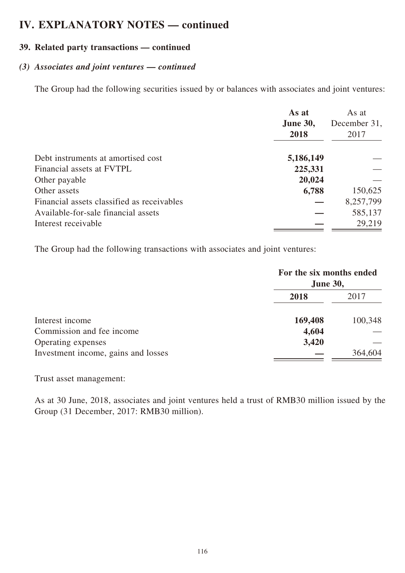#### **39. Related party transactions — continued**

#### *(3) Associates and joint ventures — continued*

The Group had the following securities issued by or balances with associates and joint ventures:

|                                            | As at<br>June 30,<br>2018 | As at<br>December 31,<br>2017 |
|--------------------------------------------|---------------------------|-------------------------------|
| Debt instruments at amortised cost         | 5,186,149                 |                               |
| Financial assets at FVTPL                  | 225,331                   |                               |
| Other payable                              | 20,024                    |                               |
| Other assets                               | 6,788                     | 150,625                       |
| Financial assets classified as receivables |                           | 8,257,799                     |
| Available-for-sale financial assets        |                           | 585,137                       |
| Interest receivable                        |                           | 29,219                        |

The Group had the following transactions with associates and joint ventures:

|                                     | For the six months ended<br><b>June 30,</b> |         |
|-------------------------------------|---------------------------------------------|---------|
|                                     | 2018                                        | 2017    |
| Interest income                     | 169,408                                     | 100,348 |
| Commission and fee income           | 4,604                                       |         |
| Operating expenses                  | 3,420                                       |         |
| Investment income, gains and losses |                                             | 364,604 |

Trust asset management:

As at 30 June, 2018, associates and joint ventures held a trust of RMB30 million issued by the Group (31 December, 2017: RMB30 million).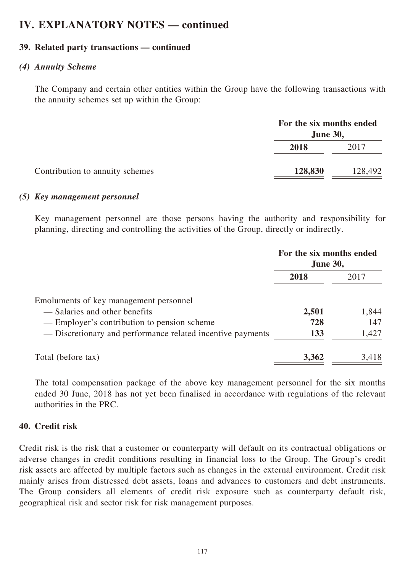#### **39. Related party transactions — continued**

#### *(4) Annuity Scheme*

The Company and certain other entities within the Group have the following transactions with the annuity schemes set up within the Group:

|                                 | For the six months ended<br><b>June 30,</b> |         |
|---------------------------------|---------------------------------------------|---------|
|                                 | 2018                                        | 2017    |
| Contribution to annuity schemes | 128,830                                     | 128,492 |

#### *(5) Key management personnel*

Key management personnel are those persons having the authority and responsibility for planning, directing and controlling the activities of the Group, directly or indirectly.

|                                                            |       | For the six months ended<br><b>June 30,</b> |  |
|------------------------------------------------------------|-------|---------------------------------------------|--|
|                                                            | 2018  | 2017                                        |  |
| Emoluments of key management personnel                     |       |                                             |  |
| — Salaries and other benefits                              | 2,501 | 1,844                                       |  |
| — Employer's contribution to pension scheme                | 728   | 147                                         |  |
| — Discretionary and performance related incentive payments | 133   | 1,427                                       |  |
| Total (before tax)                                         | 3,362 | 3,418                                       |  |

The total compensation package of the above key management personnel for the six months ended 30 June, 2018 has not yet been finalised in accordance with regulations of the relevant authorities in the PRC.

#### **40. Credit risk**

Credit risk is the risk that a customer or counterparty will default on its contractual obligations or adverse changes in credit conditions resulting in financial loss to the Group. The Group's credit risk assets are affected by multiple factors such as changes in the external environment. Credit risk mainly arises from distressed debt assets, loans and advances to customers and debt instruments. The Group considers all elements of credit risk exposure such as counterparty default risk, geographical risk and sector risk for risk management purposes.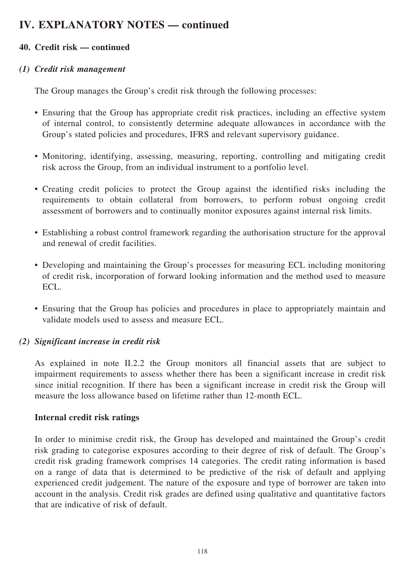### **40. Credit risk — continued**

#### *(1) Credit risk management*

The Group manages the Group's credit risk through the following processes:

- Ensuring that the Group has appropriate credit risk practices, including an effective system of internal control, to consistently determine adequate allowances in accordance with the Group's stated policies and procedures, IFRS and relevant supervisory guidance.
- Monitoring, identifying, assessing, measuring, reporting, controlling and mitigating credit risk across the Group, from an individual instrument to a portfolio level.
- Creating credit policies to protect the Group against the identified risks including the requirements to obtain collateral from borrowers, to perform robust ongoing credit assessment of borrowers and to continually monitor exposures against internal risk limits.
- Establishing a robust control framework regarding the authorisation structure for the approval and renewal of credit facilities.
- Developing and maintaining the Group's processes for measuring ECL including monitoring of credit risk, incorporation of forward looking information and the method used to measure ECL.
- Ensuring that the Group has policies and procedures in place to appropriately maintain and validate models used to assess and measure ECL.

#### *(2) Significant increase in credit risk*

As explained in note II.2.2 the Group monitors all financial assets that are subject to impairment requirements to assess whether there has been a significant increase in credit risk since initial recognition. If there has been a significant increase in credit risk the Group will measure the loss allowance based on lifetime rather than 12-month ECL.

#### **Internal credit risk ratings**

In order to minimise credit risk, the Group has developed and maintained the Group's credit risk grading to categorise exposures according to their degree of risk of default. The Group's credit risk grading framework comprises 14 categories. The credit rating information is based on a range of data that is determined to be predictive of the risk of default and applying experienced credit judgement. The nature of the exposure and type of borrower are taken into account in the analysis. Credit risk grades are defined using qualitative and quantitative factors that are indicative of risk of default.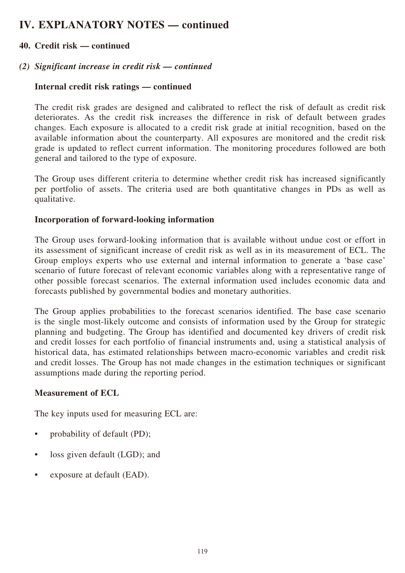### **40. Credit risk — continued**

#### *(2) Significant increase in credit risk — continued*

#### **Internal credit risk ratings — continued**

The credit risk grades are designed and calibrated to reflect the risk of default as credit risk deteriorates. As the credit risk increases the difference in risk of default between grades changes. Each exposure is allocated to a credit risk grade at initial recognition, based on the available information about the counterparty. All exposures are monitored and the credit risk grade is updated to reflect current information. The monitoring procedures followed are both general and tailored to the type of exposure.

The Group uses different criteria to determine whether credit risk has increased significantly per portfolio of assets. The criteria used are both quantitative changes in PDs as well as qualitative.

#### **Incorporation of forward-looking information**

The Group uses forward-looking information that is available without undue cost or effort in its assessment of significant increase of credit risk as well as in its measurement of ECL. The Group employs experts who use external and internal information to generate a 'base case' scenario of future forecast of relevant economic variables along with a representative range of other possible forecast scenarios. The external information used includes economic data and forecasts published by governmental bodies and monetary authorities.

The Group applies probabilities to the forecast scenarios identified. The base case scenario is the single most-likely outcome and consists of information used by the Group for strategic planning and budgeting. The Group has identified and documented key drivers of credit risk and credit losses for each portfolio of financial instruments and, using a statistical analysis of historical data, has estimated relationships between macro-economic variables and credit risk and credit losses. The Group has not made changes in the estimation techniques or significant assumptions made during the reporting period.

#### **Measurement of ECL**

The key inputs used for measuring ECL are:

- probability of default (PD);
- loss given default (LGD); and
- exposure at default (EAD).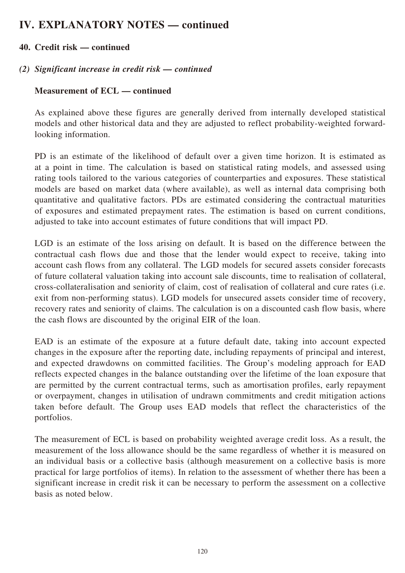### **40. Credit risk — continued**

#### *(2) Significant increase in credit risk — continued*

#### **Measurement of ECL — continued**

As explained above these figures are generally derived from internally developed statistical models and other historical data and they are adjusted to reflect probability-weighted forwardlooking information.

PD is an estimate of the likelihood of default over a given time horizon. It is estimated as at a point in time. The calculation is based on statistical rating models, and assessed using rating tools tailored to the various categories of counterparties and exposures. These statistical models are based on market data (where available), as well as internal data comprising both quantitative and qualitative factors. PDs are estimated considering the contractual maturities of exposures and estimated prepayment rates. The estimation is based on current conditions, adjusted to take into account estimates of future conditions that will impact PD.

LGD is an estimate of the loss arising on default. It is based on the difference between the contractual cash flows due and those that the lender would expect to receive, taking into account cash flows from any collateral. The LGD models for secured assets consider forecasts of future collateral valuation taking into account sale discounts, time to realisation of collateral, cross-collateralisation and seniority of claim, cost of realisation of collateral and cure rates (i.e. exit from non-performing status). LGD models for unsecured assets consider time of recovery, recovery rates and seniority of claims. The calculation is on a discounted cash flow basis, where the cash flows are discounted by the original EIR of the loan.

EAD is an estimate of the exposure at a future default date, taking into account expected changes in the exposure after the reporting date, including repayments of principal and interest, and expected drawdowns on committed facilities. The Group's modeling approach for EAD reflects expected changes in the balance outstanding over the lifetime of the loan exposure that are permitted by the current contractual terms, such as amortisation profiles, early repayment or overpayment, changes in utilisation of undrawn commitments and credit mitigation actions taken before default. The Group uses EAD models that reflect the characteristics of the portfolios.

The measurement of ECL is based on probability weighted average credit loss. As a result, the measurement of the loss allowance should be the same regardless of whether it is measured on an individual basis or a collective basis (although measurement on a collective basis is more practical for large portfolios of items). In relation to the assessment of whether there has been a significant increase in credit risk it can be necessary to perform the assessment on a collective basis as noted below.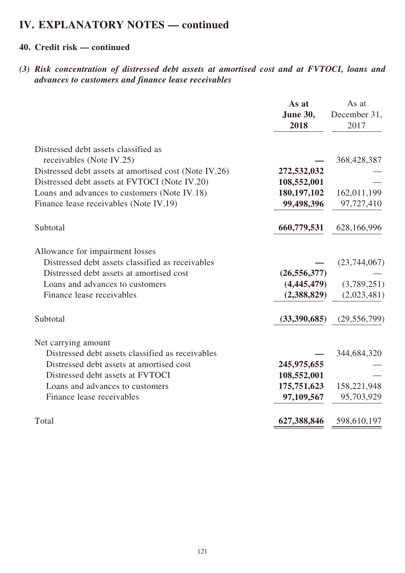### **40. Credit risk — continued**

*(3) Risk concentration of distressed debt assets at amortised cost and at FVTOCI, loans and advances to customers and finance lease receivables*

|                                                       | As at<br>June 30,<br>2018 | As at<br>December 31,<br>2017 |
|-------------------------------------------------------|---------------------------|-------------------------------|
| Distressed debt assets classified as                  |                           |                               |
| receivables (Note IV.25)                              |                           | 368,428,387                   |
| Distressed debt assets at amortised cost (Note IV.26) | 272,532,032               |                               |
| Distressed debt assets at FVTOCI (Note IV.20)         | 108,552,001               |                               |
| Loans and advances to customers (Note IV.18)          | 180, 197, 102             | 162,011,199                   |
| Finance lease receivables (Note IV.19)                | 99,498,396                | 97,727,410                    |
| Subtotal                                              | 660,779,531               | 628,166,996                   |
| Allowance for impairment losses                       |                           |                               |
| Distressed debt assets classified as receivables      |                           | (23,744,067)                  |
| Distressed debt assets at amortised cost              | (26, 556, 377)            |                               |
| Loans and advances to customers                       | (4, 445, 479)             | (3,789,251)                   |
| Finance lease receivables                             | (2,388,829)               | (2,023,481)                   |
| Subtotal                                              | (33,390,685)              | (29, 556, 799)                |
| Net carrying amount                                   |                           |                               |
| Distressed debt assets classified as receivables      |                           | 344,684,320                   |
| Distressed debt assets at amortised cost              | 245,975,655               |                               |
| Distressed debt assets at FVTOCI                      | 108,552,001               |                               |
| Loans and advances to customers                       | 175,751,623               | 158,221,948                   |
| Finance lease receivables                             | 97,109,567                | 95,703,929                    |
| Total                                                 | 627,388,846               | 598,610,197                   |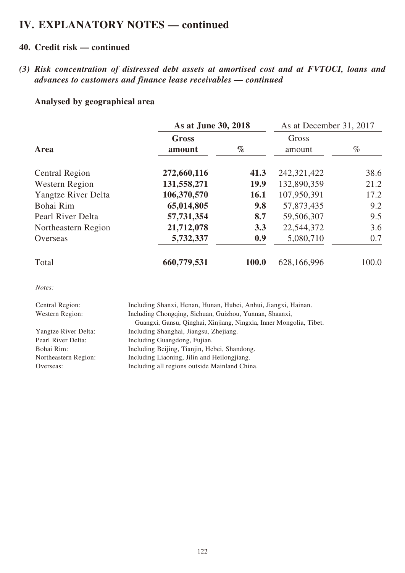### **40. Credit risk — continued**

*(3) Risk concentration of distressed debt assets at amortised cost and at FVTOCI, loans and advances to customers and finance lease receivables — continued* 

#### **Analysed by geographical area**

|                     | As at June 30, 2018            |       | As at December 31, 2017 |       |  |
|---------------------|--------------------------------|-------|-------------------------|-------|--|
| Area                | <b>Gross</b><br>$\%$<br>amount |       | Gross<br>amount         | $\%$  |  |
| Central Region      | 272,660,116                    | 41.3  | 242, 321, 422           | 38.6  |  |
| Western Region      | 131,558,271                    | 19.9  | 132,890,359             | 21.2  |  |
| Yangtze River Delta | 106,370,570                    | 16.1  | 107,950,391             | 17.2  |  |
| Bohai Rim           | 65,014,805                     | 9.8   | 57,873,435              | 9.2   |  |
| Pearl River Delta   | 57,731,354                     | 8.7   | 59,506,307              | 9.5   |  |
| Northeastern Region | 21,712,078                     | 3.3   | 22,544,372              | 3.6   |  |
| Overseas            | 5,732,337                      | 0.9   | 5,080,710               | 0.7   |  |
| Total               | 660,779,531                    | 100.0 | 628,166,996             | 100.0 |  |

*Notes:*

| Central Region:        | Including Shanxi, Henan, Hunan, Hubei, Anhui, Jiangxi, Hainan.     |
|------------------------|--------------------------------------------------------------------|
| <b>Western Region:</b> | Including Chongqing, Sichuan, Guizhou, Yunnan, Shaanxi,            |
|                        | Guangxi, Gansu, Qinghai, Xinjiang, Ningxia, Inner Mongolia, Tibet. |
| Yangtze River Delta:   | Including Shanghai, Jiangsu, Zhejiang.                             |
| Pearl River Delta:     | Including Guangdong, Fujian.                                       |
| Bohai Rim:             | Including Beijing, Tianjin, Hebei, Shandong.                       |
| Northeastern Region:   | Including Liaoning, Jilin and Heilongjiang.                        |
| Overseas:              | Including all regions outside Mainland China.                      |
|                        |                                                                    |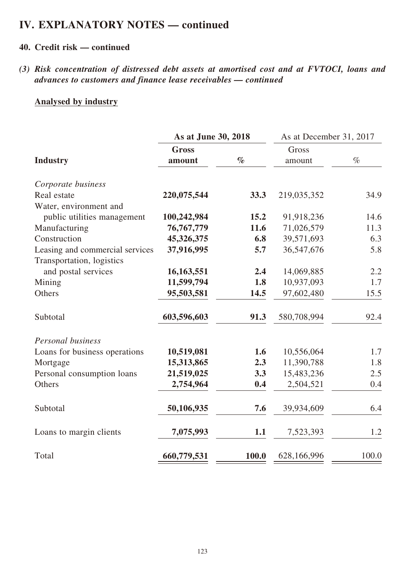### **40. Credit risk — continued**

*(3) Risk concentration of distressed debt assets at amortised cost and at FVTOCI, loans and advances to customers and finance lease receivables — continued* 

#### **Analysed by industry**

|                                 | As at June 30, 2018 |       | As at December 31, 2017 |       |  |
|---------------------------------|---------------------|-------|-------------------------|-------|--|
|                                 | <b>Gross</b>        |       | Gross                   |       |  |
| <b>Industry</b>                 | amount              | $\%$  | amount                  | $\%$  |  |
| Corporate business              |                     |       |                         |       |  |
| Real estate                     | 220,075,544         | 33.3  | 219,035,352             | 34.9  |  |
| Water, environment and          |                     |       |                         |       |  |
| public utilities management     | 100,242,984         | 15.2  | 91,918,236              | 14.6  |  |
| Manufacturing                   | 76, 767, 779        | 11.6  | 71,026,579              | 11.3  |  |
| Construction                    | 45,326,375          | 6.8   | 39,571,693              | 6.3   |  |
| Leasing and commercial services | 37,916,995          | 5.7   | 36,547,676              | 5.8   |  |
| Transportation, logistics       |                     |       |                         |       |  |
| and postal services             | 16,163,551          | 2.4   | 14,069,885              | 2.2   |  |
| Mining                          | 11,599,794          | 1.8   | 10,937,093              | 1.7   |  |
| Others                          | 95,503,581          | 14.5  | 97,602,480              | 15.5  |  |
| Subtotal                        | 603,596,603         | 91.3  | 580,708,994             | 92.4  |  |
| Personal business               |                     |       |                         |       |  |
| Loans for business operations   | 10,519,081          | 1.6   | 10,556,064              | 1.7   |  |
| Mortgage                        | 15,313,865          | 2.3   | 11,390,788              | 1.8   |  |
| Personal consumption loans      | 21,519,025          | 3.3   | 15,483,236              | 2.5   |  |
| Others                          | 2,754,964           | 0.4   | 2,504,521               | 0.4   |  |
| Subtotal                        | 50,106,935          | 7.6   | 39,934,609              | 6.4   |  |
| Loans to margin clients         | 7,075,993           | 1.1   | 7,523,393               | 1.2   |  |
| Total                           | 660,779,531         | 100.0 | 628,166,996             | 100.0 |  |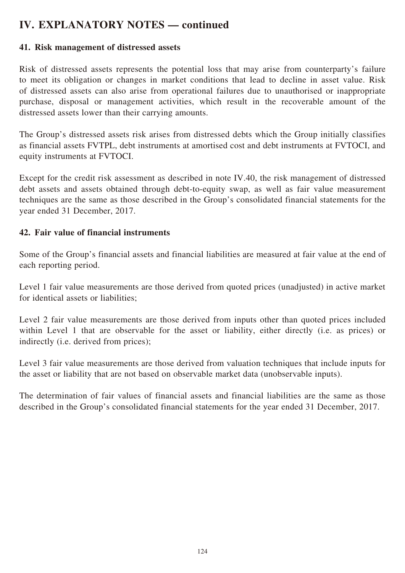#### **41. Risk management of distressed assets**

Risk of distressed assets represents the potential loss that may arise from counterparty's failure to meet its obligation or changes in market conditions that lead to decline in asset value. Risk of distressed assets can also arise from operational failures due to unauthorised or inappropriate purchase, disposal or management activities, which result in the recoverable amount of the distressed assets lower than their carrying amounts.

The Group's distressed assets risk arises from distressed debts which the Group initially classifies as financial assets FVTPL, debt instruments at amortised cost and debt instruments at FVTOCI, and equity instruments at FVTOCI.

Except for the credit risk assessment as described in note IV.40, the risk management of distressed debt assets and assets obtained through debt-to-equity swap, as well as fair value measurement techniques are the same as those described in the Group's consolidated financial statements for the year ended 31 December, 2017.

#### **42. Fair value of financial instruments**

Some of the Group's financial assets and financial liabilities are measured at fair value at the end of each reporting period.

Level 1 fair value measurements are those derived from quoted prices (unadjusted) in active market for identical assets or liabilities;

Level 2 fair value measurements are those derived from inputs other than quoted prices included within Level 1 that are observable for the asset or liability, either directly (i.e. as prices) or indirectly (i.e. derived from prices);

Level 3 fair value measurements are those derived from valuation techniques that include inputs for the asset or liability that are not based on observable market data (unobservable inputs).

The determination of fair values of financial assets and financial liabilities are the same as those described in the Group's consolidated financial statements for the year ended 31 December, 2017.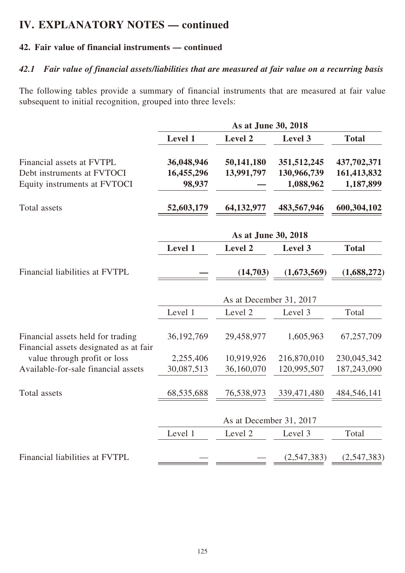### **42. Fair value of financial instruments — continued**

#### *42.1 Fair value of financial assets/liabilities that are measured at fair value on a recurring basis*

The following tables provide a summary of financial instruments that are measured at fair value subsequent to initial recognition, grouped into three levels:

|                                                                             | As at June 30, 2018 |                         |               |              |  |
|-----------------------------------------------------------------------------|---------------------|-------------------------|---------------|--------------|--|
|                                                                             | Level 1             | Level 2                 | Level 3       | <b>Total</b> |  |
| Financial assets at FVTPL                                                   | 36,048,946          | 50,141,180              | 351,512,245   | 437,702,371  |  |
| Debt instruments at FVTOCI                                                  | 16,455,296          | 13,991,797              | 130,966,739   | 161,413,832  |  |
| Equity instruments at FVTOCI                                                | 98,937              |                         | 1,088,962     | 1,187,899    |  |
| Total assets                                                                | 52,603,179          | 64,132,977              | 483,567,946   | 600,304,102  |  |
|                                                                             |                     | As at June 30, 2018     |               |              |  |
|                                                                             | Level 1             | Level 2                 | Level 3       | <b>Total</b> |  |
| Financial liabilities at FVTPL                                              |                     | (14,703)                | (1,673,569)   | (1,688,272)  |  |
|                                                                             |                     | As at December 31, 2017 |               |              |  |
|                                                                             | Level 1             | Level 2                 | Level 3       | Total        |  |
| Financial assets held for trading<br>Financial assets designated as at fair | 36, 192, 769        | 29,458,977              | 1,605,963     | 67,257,709   |  |
| value through profit or loss                                                | 2,255,406           | 10,919,926              | 216,870,010   | 230,045,342  |  |
| Available-for-sale financial assets                                         | 30,087,513          | 36,160,070              | 120,995,507   | 187,243,090  |  |
| Total assets                                                                | 68,535,688          | 76,538,973              | 339, 471, 480 | 484,546,141  |  |
|                                                                             |                     | As at December 31, 2017 |               |              |  |
|                                                                             | Level 1             | Level 2                 | Level 3       | Total        |  |
| Financial liabilities at FVTPL                                              |                     |                         | (2,547,383)   | (2,547,383)  |  |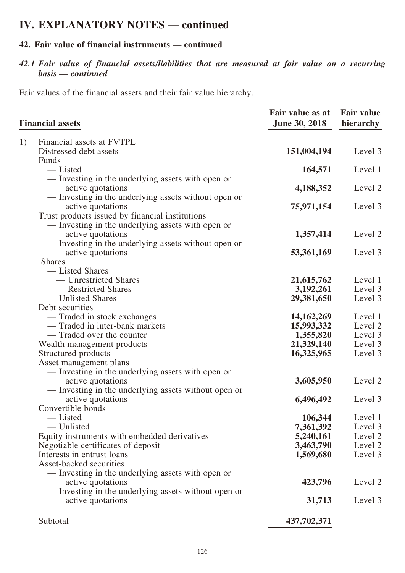### **42. Fair value of financial instruments — continued**

### *42.1 Fair value of financial assets/liabilities that are measured at fair value on a recurring basis — continued*

Fair values of the financial assets and their fair value hierarchy.

| Fair value as at<br><b>June 30, 2018</b><br><b>Financial assets</b> | <b>Fair value</b><br>hierarchy |
|---------------------------------------------------------------------|--------------------------------|
| 1)<br>Financial assets at FVTPL                                     |                                |
| Distressed debt assets<br>151,004,194                               | Level 3                        |
| Funds                                                               |                                |
| -Listed<br>164,571                                                  | Level 1                        |
| — Investing in the underlying assets with open or                   |                                |
| active quotations<br>4,188,352                                      | Level 2                        |
| — Investing in the underlying assets without open or                |                                |
| active quotations<br>75,971,154                                     | Level 3                        |
| Trust products issued by financial institutions                     |                                |
| — Investing in the underlying assets with open or                   |                                |
| active quotations<br>1,357,414                                      | Level 2                        |
| — Investing in the underlying assets without open or                |                                |
| active quotations<br>53,361,169                                     | Level 3                        |
| <b>Shares</b>                                                       |                                |
| — Listed Shares                                                     |                                |
| — Unrestricted Shares<br>21,615,762                                 | Level 1                        |
| — Restricted Shares<br>3,192,261                                    | Level 3                        |
| — Unlisted Shares<br>29,381,650                                     | Level 3                        |
| Debt securities                                                     |                                |
| — Traded in stock exchanges<br>14, 162, 269                         | Level 1                        |
| - Traded in inter-bank markets<br>15,993,332                        | Level 2                        |
| — Traded over the counter<br>1,355,820                              | Level 3                        |
| 21,329,140<br>Wealth management products                            | Level 3                        |
| Structured products<br>16,325,965                                   | Level 3                        |
| Asset management plans                                              |                                |
| - Investing in the underlying assets with open or                   |                                |
| active quotations<br>3,605,950                                      | Level 2                        |
| — Investing in the underlying assets without open or                | Level 3                        |
| active quotations<br>6,496,492<br>Convertible bonds                 |                                |
| -Listed<br>106,344                                                  | Level 1                        |
| - Unlisted<br>7,361,392                                             | Level 3                        |
| Equity instruments with embedded derivatives<br>5,240,161           | Level 2                        |
| Negotiable certificates of deposit<br>3,463,790                     | Level 2                        |
| Interests in entrust loans<br>1,569,680                             | Level 3                        |
| Asset-backed securities                                             |                                |
| — Investing in the underlying assets with open or                   |                                |
| 423,796<br>active quotations                                        | Level 2                        |
| — Investing in the underlying assets without open or                |                                |
| active quotations<br>31,713                                         | Level 3                        |
| Subtotal<br>437,702,371                                             |                                |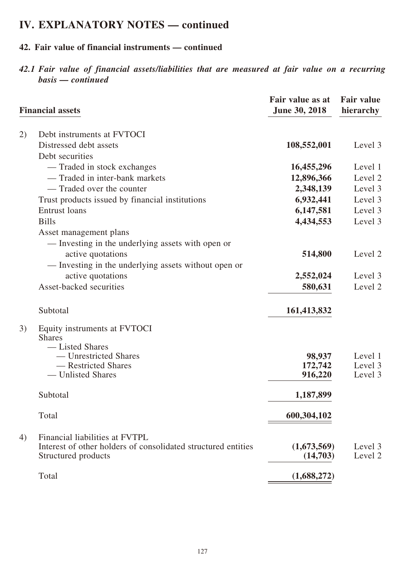### **42. Fair value of financial instruments — continued**

*42.1 Fair value of financial assets/liabilities that are measured at fair value on a recurring basis — continued*

|    | <b>Financial assets</b>                                                                                                | Fair value as at<br>June 30, 2018 | <b>Fair value</b><br>hierarchy |
|----|------------------------------------------------------------------------------------------------------------------------|-----------------------------------|--------------------------------|
| 2) | Debt instruments at FVTOCI<br>Distressed debt assets                                                                   | 108,552,001                       | Level 3                        |
|    | Debt securities                                                                                                        |                                   |                                |
|    | - Traded in stock exchanges                                                                                            | 16,455,296                        | Level 1                        |
|    | — Traded in inter-bank markets                                                                                         | 12,896,366                        | Level 2                        |
|    | - Traded over the counter                                                                                              | 2,348,139                         | Level 3                        |
|    | Trust products issued by financial institutions                                                                        | 6,932,441                         | Level 3                        |
|    | <b>Entrust</b> loans                                                                                                   | 6,147,581                         | Level 3                        |
|    | <b>Bills</b>                                                                                                           | 4,434,553                         | Level 3                        |
|    | Asset management plans                                                                                                 |                                   |                                |
|    | — Investing in the underlying assets with open or                                                                      |                                   |                                |
|    | active quotations                                                                                                      | 514,800                           | Level 2                        |
|    | - Investing in the underlying assets without open or                                                                   |                                   |                                |
|    | active quotations                                                                                                      | 2,552,024                         | Level 3                        |
|    | Asset-backed securities                                                                                                | 580,631                           | Level 2                        |
|    |                                                                                                                        |                                   |                                |
|    | Subtotal                                                                                                               | 161,413,832                       |                                |
| 3) | Equity instruments at FVTOCI                                                                                           |                                   |                                |
|    | <b>Shares</b>                                                                                                          |                                   |                                |
|    | — Listed Shares<br>— Unrestricted Shares                                                                               | 98,937                            | Level 1                        |
|    | - Restricted Shares                                                                                                    | 172,742                           | Level 3                        |
|    | — Unlisted Shares                                                                                                      | 916,220                           | Level 3                        |
|    |                                                                                                                        |                                   |                                |
|    | Subtotal                                                                                                               | 1,187,899                         |                                |
|    | Total                                                                                                                  | 600,304,102                       |                                |
| 4) | Financial liabilities at FVTPL<br>Interest of other holders of consolidated structured entities<br>Structured products | (1,673,569)<br>(14,703)           | Level 3<br>Level 2             |
|    | Total                                                                                                                  | (1,688,272)                       |                                |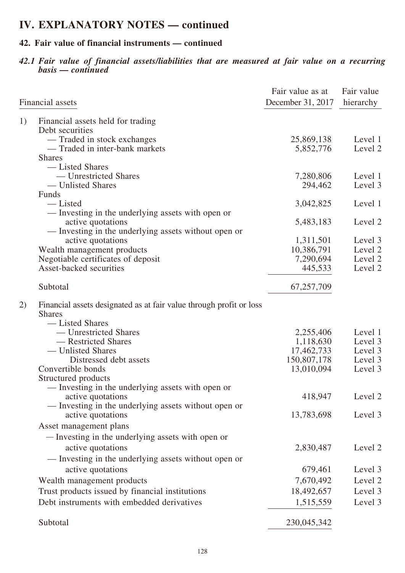### **42. Fair value of financial instruments — continued**

*42.1 Fair value of financial assets/liabilities that are measured at fair value on a recurring basis — continued*

|    | Financial assets                                                       | Fair value as at<br>December 31, 2017 | Fair value<br>hierarchy |
|----|------------------------------------------------------------------------|---------------------------------------|-------------------------|
| 1) | Financial assets held for trading                                      |                                       |                         |
|    | Debt securities                                                        |                                       |                         |
|    | — Traded in stock exchanges                                            | 25,869,138                            | Level 1                 |
|    | - Traded in inter-bank markets                                         | 5,852,776                             | Level 2                 |
|    | <b>Shares</b>                                                          |                                       |                         |
|    | — Listed Shares                                                        |                                       |                         |
|    | — Unrestricted Shares                                                  | 7,280,806                             | Level 1                 |
|    | — Unlisted Shares                                                      | 294,462                               | Level 3                 |
|    | Funds                                                                  |                                       |                         |
|    | — Listed                                                               | 3,042,825                             | Level 1                 |
|    | — Investing in the underlying assets with open or                      |                                       |                         |
|    | active quotations                                                      | 5,483,183                             | Level 2                 |
|    | — Investing in the underlying assets without open or                   |                                       |                         |
|    | active quotations                                                      | 1,311,501                             | Level 3                 |
|    | Wealth management products                                             | 10,386,791                            | Level 2                 |
|    | Negotiable certificates of deposit                                     | 7,290,694                             | Level 2                 |
|    | Asset-backed securities                                                | 445,533                               | Level 2                 |
|    | Subtotal                                                               | 67,257,709                            |                         |
| 2) | Financial assets designated as at fair value through profit or loss    |                                       |                         |
|    | <b>Shares</b>                                                          |                                       |                         |
|    | — Listed Shares                                                        |                                       |                         |
|    | — Unrestricted Shares                                                  | 2,255,406                             | Level 1                 |
|    | — Restricted Shares                                                    | 1,118,630                             | Level 3                 |
|    | — Unlisted Shares                                                      | 17,462,733                            | Level 3                 |
|    | Distressed debt assets<br>Convertible bonds                            | 150,807,178<br>13,010,094             | Level 3<br>Level 3      |
|    |                                                                        |                                       |                         |
|    | Structured products                                                    |                                       |                         |
|    | — Investing in the underlying assets with open or<br>active quotations | 418,947                               | Level 2                 |
|    | — Investing in the underlying assets without open or                   |                                       |                         |
|    | active quotations                                                      | 13,783,698                            | Level 3                 |
|    |                                                                        |                                       |                         |
|    | Asset management plans                                                 |                                       |                         |
|    | - Investing in the underlying assets with open or                      |                                       |                         |
|    | active quotations                                                      | 2,830,487                             | Level 2                 |
|    | — Investing in the underlying assets without open or                   |                                       |                         |
|    | active quotations                                                      | 679,461                               | Level 3                 |
|    | Wealth management products                                             | 7,670,492                             | Level 2                 |
|    | Trust products issued by financial institutions                        | 18,492,657                            | Level 3                 |
|    | Debt instruments with embedded derivatives                             |                                       | Level 3                 |
|    |                                                                        | 1,515,559                             |                         |
|    | Subtotal                                                               | 230,045,342                           |                         |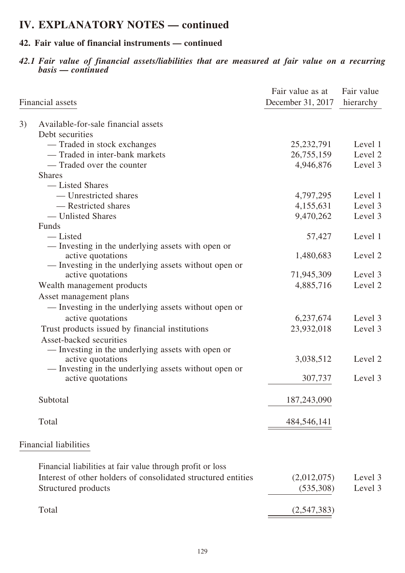### **42. Fair value of financial instruments — continued**

*42.1 Fair value of financial assets/liabilities that are measured at fair value on a recurring basis — continued*

|    | Financial assets                                                          | Fair value as at<br>December 31, 2017 | Fair value<br>hierarchy |
|----|---------------------------------------------------------------------------|---------------------------------------|-------------------------|
| 3) | Available-for-sale financial assets                                       |                                       |                         |
|    | Debt securities                                                           |                                       |                         |
|    | - Traded in stock exchanges                                               | 25, 232, 791                          | Level 1                 |
|    | - Traded in inter-bank markets                                            | 26,755,159                            | Level 2                 |
|    | — Traded over the counter                                                 | 4,946,876                             | Level 3                 |
|    | <b>Shares</b>                                                             |                                       |                         |
|    | — Listed Shares                                                           |                                       |                         |
|    | — Unrestricted shares                                                     | 4,797,295                             | Level 1                 |
|    | - Restricted shares                                                       | 4,155,631                             | Level 3                 |
|    | — Unlisted Shares                                                         | 9,470,262                             | Level 3                 |
|    | Funds                                                                     |                                       |                         |
|    | — Listed                                                                  | 57,427                                | Level 1                 |
|    | — Investing in the underlying assets with open or                         |                                       |                         |
|    | active quotations<br>— Investing in the underlying assets without open or | 1,480,683                             | Level 2                 |
|    | active quotations                                                         | 71,945,309                            | Level 3                 |
|    | Wealth management products                                                | 4,885,716                             | Level 2                 |
|    | Asset management plans                                                    |                                       |                         |
|    | — Investing in the underlying assets without open or                      |                                       |                         |
|    | active quotations                                                         | 6,237,674                             | Level 3                 |
|    | Trust products issued by financial institutions                           | 23,932,018                            | Level 3                 |
|    | Asset-backed securities                                                   |                                       |                         |
|    | — Investing in the underlying assets with open or                         |                                       |                         |
|    | active quotations                                                         | 3,038,512                             | Level 2                 |
|    | - Investing in the underlying assets without open or                      |                                       |                         |
|    | active quotations                                                         | 307,737                               | Level 3                 |
|    |                                                                           |                                       |                         |
|    | Subtotal                                                                  | 187,243,090                           |                         |
|    |                                                                           |                                       |                         |
|    | Total                                                                     | 484,546,141                           |                         |
|    | Financial liabilities                                                     |                                       |                         |
|    |                                                                           |                                       |                         |
|    | Financial liabilities at fair value through profit or loss                |                                       |                         |
|    | Interest of other holders of consolidated structured entities             | (2,012,075)                           | Level 3                 |
|    | Structured products                                                       | (535,308)                             | Level 3                 |
|    | Total                                                                     |                                       |                         |
|    |                                                                           | (2,547,383)                           |                         |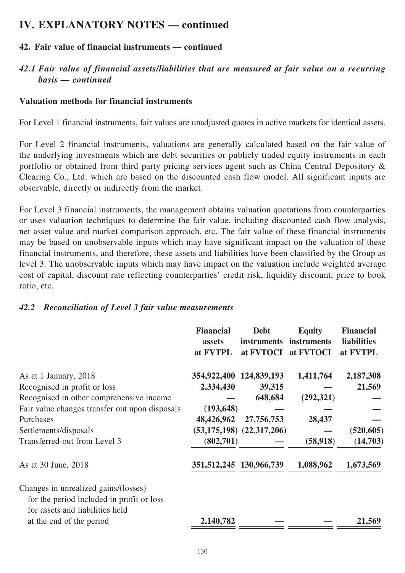### **42. Fair value of financial instruments — continued**

### *42.1 Fair value of financial assets/liabilities that are measured at fair value on a recurring basis — continued*

#### **Valuation methods for financial instruments**

For Level 1 financial instruments, fair values are unadjusted quotes in active markets for identical assets.

For Level 2 financial instruments, valuations are generally calculated based on the fair value of the underlying investments which are debt securities or publicly traded equity instruments in each portfolio or obtained from third party pricing services agent such as China Central Depository & Clearing Co., Ltd. which are based on the discounted cash flow model. All significant inputs are observable, directly or indirectly from the market.

For Level 3 financial instruments, the management obtains valuation quotations from counterparties or uses valuation techniques to determine the fair value, including discounted cash flow analysis, net asset value and market comparison approach, etc. The fair value of these financial instruments may be based on unobservable inputs which may have significant impact on the valuation of these financial instruments, and therefore, these assets and liabilities have been classified by the Group as level 3. The unobservable inputs which may have impact on the valuation include weighted average cost of capital, discount rate reflecting counterparties' credit risk, liquidity discount, price to book ratio, etc.

#### *42.2 Reconciliation of Level 3 fair value measurements*

|                                                | <b>Financial</b><br>assets<br>at FVTPL | <b>Debt</b><br><i>instruments</i><br>at FVTOCI | <b>Equity</b><br>instruments<br>at FVTOCI | <b>Financial</b><br><b>liabilities</b><br>at FVTPL |
|------------------------------------------------|----------------------------------------|------------------------------------------------|-------------------------------------------|----------------------------------------------------|
| As at 1 January, 2018                          | 354,922,400 124,839,193                |                                                | 1,411,764                                 | 2,187,308                                          |
| Recognised in profit or loss                   | 2,334,430                              | 39,315                                         |                                           | 21,569                                             |
| Recognised in other comprehensive income       |                                        | 648,684                                        | (292, 321)                                |                                                    |
| Fair value changes transfer out upon disposals | (193, 648)                             |                                                |                                           |                                                    |
| Purchases                                      | 48,426,962                             | 27,756,753                                     | 28,437                                    |                                                    |
| Settlements/disposals                          |                                        | $(53, 175, 198)$ $(22, 317, 206)$              |                                           | (520, 605)                                         |
| Transferred-out from Level 3                   | (802,701)                              |                                                | (58, 918)                                 | (14,703)                                           |
| As at 30 June, 2018                            | 351, 512, 245 130, 966, 739            |                                                | 1,088,962                                 | 1,673,569                                          |
| Changes in unrealized gains/(losses)           |                                        |                                                |                                           |                                                    |
| for the period included in profit or loss      |                                        |                                                |                                           |                                                    |
| for assets and liabilities held                |                                        |                                                |                                           |                                                    |
| at the end of the period                       | 2,140,782                              |                                                |                                           | 21,569                                             |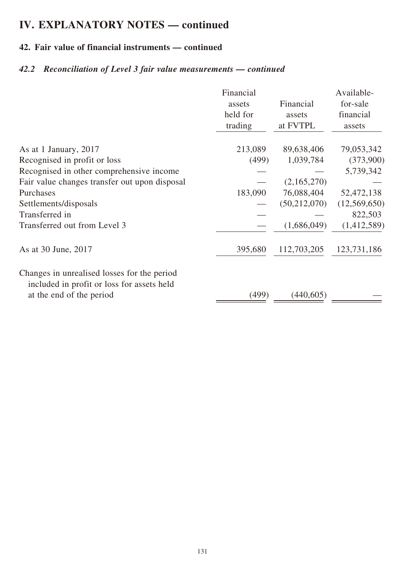## **42. Fair value of financial instruments — continued**

## *42.2 Reconciliation of Level 3 fair value measurements — continued*

| 213,089<br>(499) | 89,638,406<br>1,039,784<br>(2,165,270) | 79,053,342<br>(373,900)<br>5,739,342 |
|------------------|----------------------------------------|--------------------------------------|
|                  |                                        |                                      |
|                  |                                        |                                      |
|                  |                                        |                                      |
|                  |                                        |                                      |
| 183,090          | 76,088,404                             | 52,472,138                           |
|                  | (50, 212, 070)                         | (12,569,650)                         |
|                  |                                        | 822,503                              |
|                  | (1,686,049)                            | (1,412,589)                          |
| 395,680          | 112,703,205                            | 123,731,186                          |
|                  |                                        |                                      |
|                  |                                        | (499)<br>(440,605)                   |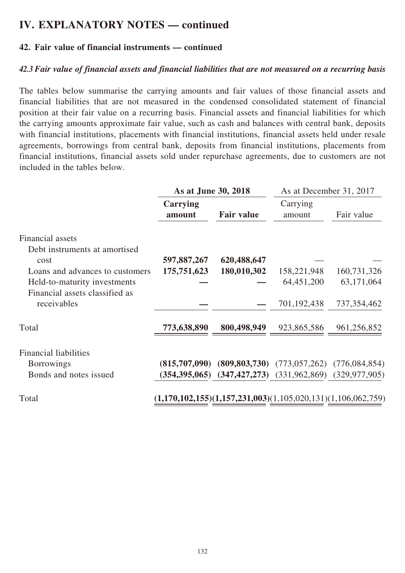#### **42. Fair value of financial instruments — continued**

#### *42.3 Fair value of financial assets and financial liabilities that are not measured on a recurring basis*

The tables below summarise the carrying amounts and fair values of those financial assets and financial liabilities that are not measured in the condensed consolidated statement of financial position at their fair value on a recurring basis. Financial assets and financial liabilities for which the carrying amounts approximate fair value, such as cash and balances with central bank, deposits with financial institutions, placements with financial institutions, financial assets held under resale agreements, borrowings from central bank, deposits from financial institutions, placements from financial institutions, financial assets sold under repurchase agreements, due to customers are not included in the tables below.

|                                 | As at June 30, 2018                                            |                   | As at December 31, 2017                                         |               |
|---------------------------------|----------------------------------------------------------------|-------------------|-----------------------------------------------------------------|---------------|
|                                 | Carrying<br>amount                                             | <b>Fair value</b> | Carrying<br>amount                                              | Fair value    |
| Financial assets                |                                                                |                   |                                                                 |               |
| Debt instruments at amortised   |                                                                |                   |                                                                 |               |
| cost                            | 597,887,267                                                    | 620,488,647       |                                                                 |               |
| Loans and advances to customers | 175,751,623                                                    | 180,010,302       | 158,221,948                                                     | 160,731,326   |
| Held-to-maturity investments    |                                                                |                   | 64,451,200                                                      | 63,171,064    |
| Financial assets classified as  |                                                                |                   |                                                                 |               |
| receivables                     |                                                                |                   | 701,192,438                                                     | 737, 354, 462 |
| Total                           | 773,638,890                                                    | 800,498,949       | 923,865,586                                                     | 961,256,852   |
| <b>Financial liabilities</b>    |                                                                |                   |                                                                 |               |
| <b>Borrowings</b>               | (815,707,090)                                                  |                   | $(809, 803, 730)$ $(773, 057, 262)$ $(776, 084, 854)$           |               |
| Bonds and notes issued          |                                                                |                   | $(354,395,065)$ $(347,427,273)$ $(331,962,869)$ $(329,977,905)$ |               |
| Total                           | $(1,170,102,155)(1,157,231,003)(1,105,020,131)(1,106,062,759)$ |                   |                                                                 |               |